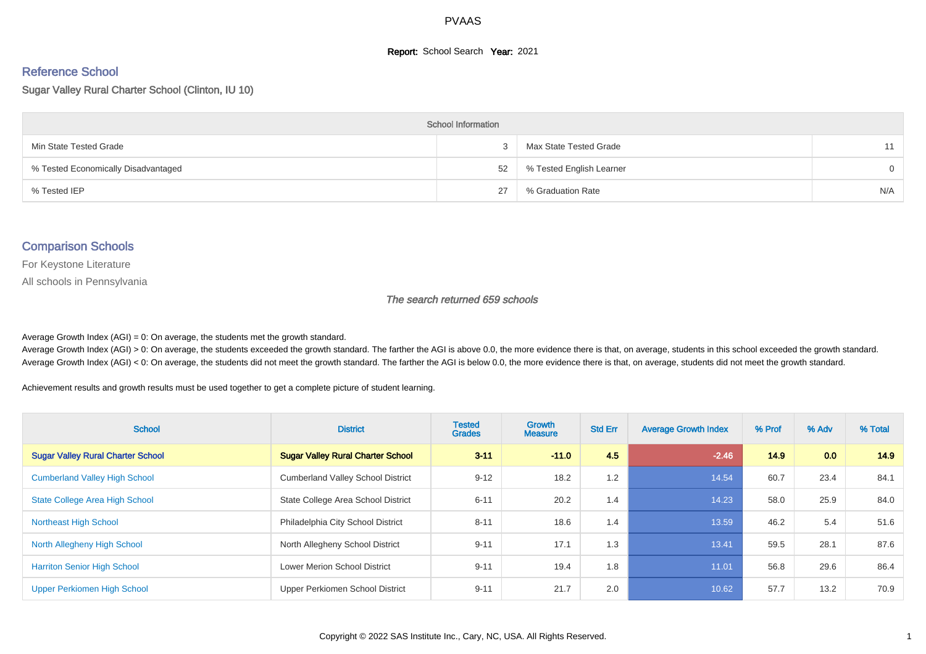#### **Report:** School Search **Year:** 2021

# Reference School

Sugar Valley Rural Charter School (Clinton, IU 10)

| <b>School Information</b>           |    |                          |          |  |  |  |  |  |
|-------------------------------------|----|--------------------------|----------|--|--|--|--|--|
| Min State Tested Grade              |    | Max State Tested Grade   | 11       |  |  |  |  |  |
| % Tested Economically Disadvantaged | 52 | % Tested English Learner | $\Omega$ |  |  |  |  |  |
| % Tested IEP                        | 27 | % Graduation Rate        | N/A      |  |  |  |  |  |

#### Comparison Schools

For Keystone Literature

All schools in Pennsylvania

The search returned 659 schools

Average Growth Index (AGI) = 0: On average, the students met the growth standard.

Average Growth Index (AGI) > 0: On average, the students exceeded the growth standard. The farther the AGI is above 0.0, the more evidence there is that, on average, students in this school exceeded the growth standard. Average Growth Index (AGI) < 0: On average, the students did not meet the growth standard. The farther the AGI is below 0.0, the more evidence there is that, on average, students did not meet the growth standard.

Achievement results and growth results must be used together to get a complete picture of student learning.

| <b>School</b>                            | <b>District</b>                          | <b>Tested</b><br><b>Grades</b> | Growth<br><b>Measure</b> | <b>Std Err</b> | <b>Average Growth Index</b> | % Prof | % Adv | % Total |
|------------------------------------------|------------------------------------------|--------------------------------|--------------------------|----------------|-----------------------------|--------|-------|---------|
| <b>Sugar Valley Rural Charter School</b> | <b>Sugar Valley Rural Charter School</b> | $3 - 11$                       | $-11.0$                  | 4.5            | $-2.46$                     | 14.9   | 0.0   | 14.9    |
| <b>Cumberland Valley High School</b>     | <b>Cumberland Valley School District</b> | $9 - 12$                       | 18.2                     | 1.2            | 14.54                       | 60.7   | 23.4  | 84.1    |
| <b>State College Area High School</b>    | State College Area School District       | $6 - 11$                       | 20.2                     | 1.4            | 14.23                       | 58.0   | 25.9  | 84.0    |
| <b>Northeast High School</b>             | Philadelphia City School District        | $8 - 11$                       | 18.6                     | 1.4            | 13.59                       | 46.2   | 5.4   | 51.6    |
| North Allegheny High School              | North Allegheny School District          | $9 - 11$                       | 17.1                     | 1.3            | 13.41                       | 59.5   | 28.1  | 87.6    |
| <b>Harriton Senior High School</b>       | <b>Lower Merion School District</b>      | $9 - 11$                       | 19.4                     | 1.8            | 11.01                       | 56.8   | 29.6  | 86.4    |
| Upper Perkiomen High School              | Upper Perkiomen School District          | $9 - 11$                       | 21.7                     | 2.0            | 10.62                       | 57.7   | 13.2  | 70.9    |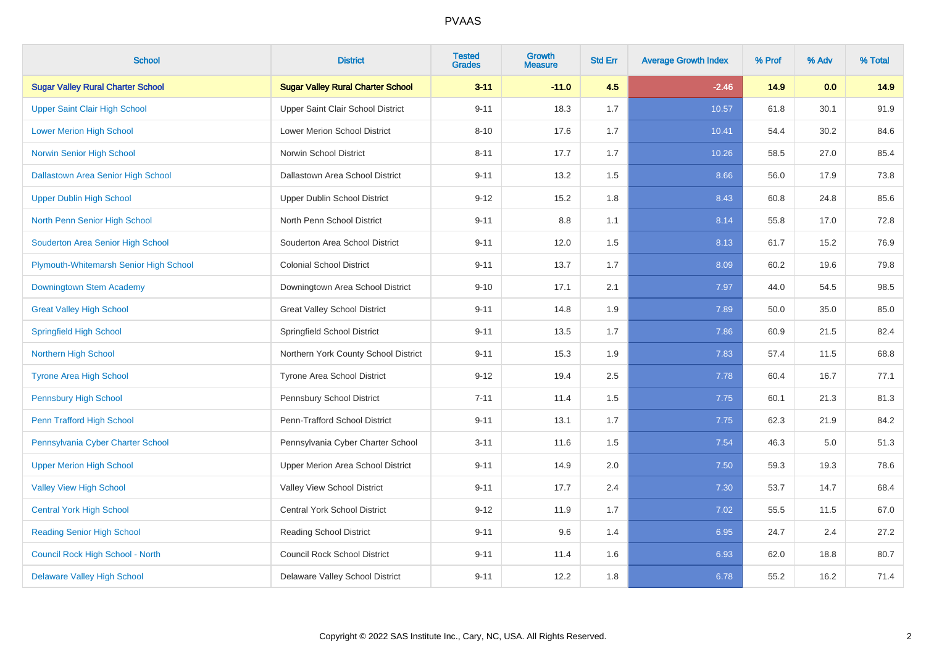| <b>School</b>                             | <b>District</b>                          | <b>Tested</b><br><b>Grades</b> | <b>Growth</b><br><b>Measure</b> | <b>Std Err</b> | <b>Average Growth Index</b> | % Prof | % Adv | % Total |
|-------------------------------------------|------------------------------------------|--------------------------------|---------------------------------|----------------|-----------------------------|--------|-------|---------|
| <b>Sugar Valley Rural Charter School</b>  | <b>Sugar Valley Rural Charter School</b> | $3 - 11$                       | $-11.0$                         | 4.5            | $-2.46$                     | 14.9   | 0.0   | 14.9    |
| <b>Upper Saint Clair High School</b>      | Upper Saint Clair School District        | $9 - 11$                       | 18.3                            | 1.7            | 10.57                       | 61.8   | 30.1  | 91.9    |
| <b>Lower Merion High School</b>           | <b>Lower Merion School District</b>      | $8 - 10$                       | 17.6                            | 1.7            | 10.41                       | 54.4   | 30.2  | 84.6    |
| Norwin Senior High School                 | Norwin School District                   | $8 - 11$                       | 17.7                            | 1.7            | 10.26                       | 58.5   | 27.0  | 85.4    |
| <b>Dallastown Area Senior High School</b> | Dallastown Area School District          | $9 - 11$                       | 13.2                            | 1.5            | 8.66                        | 56.0   | 17.9  | 73.8    |
| <b>Upper Dublin High School</b>           | Upper Dublin School District             | $9 - 12$                       | 15.2                            | 1.8            | 8.43                        | 60.8   | 24.8  | 85.6    |
| North Penn Senior High School             | North Penn School District               | $9 - 11$                       | 8.8                             | 1.1            | 8.14                        | 55.8   | 17.0  | 72.8    |
| Souderton Area Senior High School         | Souderton Area School District           | $9 - 11$                       | 12.0                            | 1.5            | 8.13                        | 61.7   | 15.2  | 76.9    |
| Plymouth-Whitemarsh Senior High School    | <b>Colonial School District</b>          | $9 - 11$                       | 13.7                            | 1.7            | 8.09                        | 60.2   | 19.6  | 79.8    |
| Downingtown Stem Academy                  | Downingtown Area School District         | $9 - 10$                       | 17.1                            | 2.1            | 7.97                        | 44.0   | 54.5  | 98.5    |
| <b>Great Valley High School</b>           | <b>Great Valley School District</b>      | $9 - 11$                       | 14.8                            | 1.9            | 7.89                        | 50.0   | 35.0  | 85.0    |
| <b>Springfield High School</b>            | Springfield School District              | $9 - 11$                       | 13.5                            | 1.7            | 7.86                        | 60.9   | 21.5  | 82.4    |
| <b>Northern High School</b>               | Northern York County School District     | $9 - 11$                       | 15.3                            | 1.9            | 7.83                        | 57.4   | 11.5  | 68.8    |
| <b>Tyrone Area High School</b>            | Tyrone Area School District              | $9 - 12$                       | 19.4                            | 2.5            | 7.78                        | 60.4   | 16.7  | 77.1    |
| <b>Pennsbury High School</b>              | Pennsbury School District                | $7 - 11$                       | 11.4                            | 1.5            | 7.75                        | 60.1   | 21.3  | 81.3    |
| Penn Trafford High School                 | Penn-Trafford School District            | $9 - 11$                       | 13.1                            | 1.7            | 7.75                        | 62.3   | 21.9  | 84.2    |
| Pennsylvania Cyber Charter School         | Pennsylvania Cyber Charter School        | $3 - 11$                       | 11.6                            | 1.5            | 7.54                        | 46.3   | 5.0   | 51.3    |
| <b>Upper Merion High School</b>           | Upper Merion Area School District        | $9 - 11$                       | 14.9                            | 2.0            | 7.50                        | 59.3   | 19.3  | 78.6    |
| <b>Valley View High School</b>            | Valley View School District              | $9 - 11$                       | 17.7                            | 2.4            | 7.30                        | 53.7   | 14.7  | 68.4    |
| <b>Central York High School</b>           | <b>Central York School District</b>      | $9 - 12$                       | 11.9                            | 1.7            | 7.02                        | 55.5   | 11.5  | 67.0    |
| <b>Reading Senior High School</b>         | <b>Reading School District</b>           | $9 - 11$                       | 9.6                             | 1.4            | 6.95                        | 24.7   | 2.4   | 27.2    |
| Council Rock High School - North          | <b>Council Rock School District</b>      | $9 - 11$                       | 11.4                            | 1.6            | 6.93                        | 62.0   | 18.8  | 80.7    |
| <b>Delaware Valley High School</b>        | Delaware Valley School District          | $9 - 11$                       | 12.2                            | 1.8            | 6.78                        | 55.2   | 16.2  | 71.4    |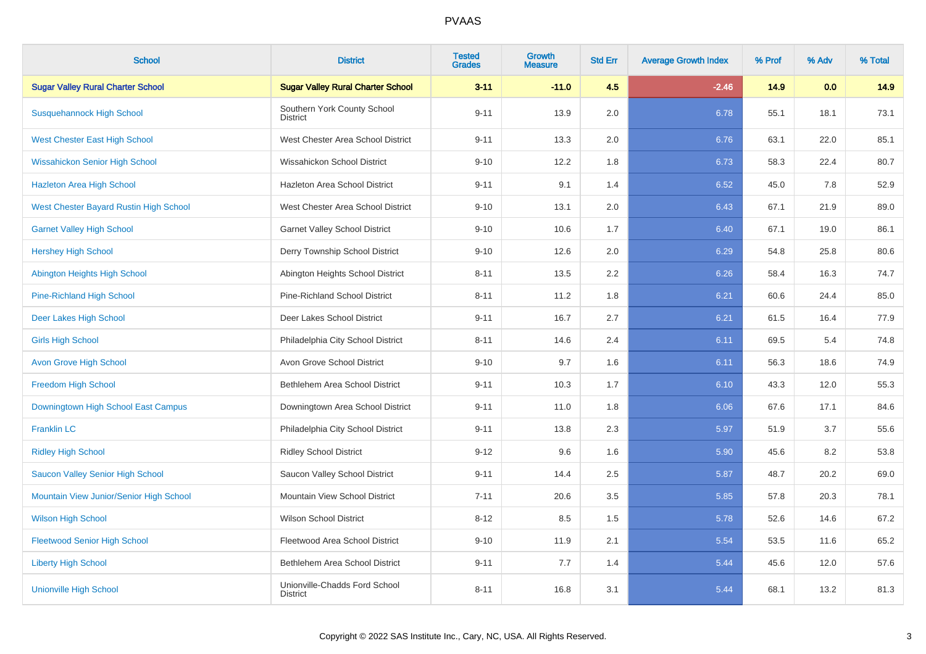| <b>School</b>                            | <b>District</b>                                  | <b>Tested</b><br><b>Grades</b> | Growth<br><b>Measure</b> | <b>Std Err</b> | <b>Average Growth Index</b> | % Prof | % Adv | % Total |
|------------------------------------------|--------------------------------------------------|--------------------------------|--------------------------|----------------|-----------------------------|--------|-------|---------|
| <b>Sugar Valley Rural Charter School</b> | <b>Sugar Valley Rural Charter School</b>         | $3 - 11$                       | $-11.0$                  | 4.5            | $-2.46$                     | 14.9   | 0.0   | 14.9    |
| <b>Susquehannock High School</b>         | Southern York County School<br><b>District</b>   | $9 - 11$                       | 13.9                     | 2.0            | 6.78                        | 55.1   | 18.1  | 73.1    |
| <b>West Chester East High School</b>     | West Chester Area School District                | $9 - 11$                       | 13.3                     | 2.0            | 6.76                        | 63.1   | 22.0  | 85.1    |
| <b>Wissahickon Senior High School</b>    | Wissahickon School District                      | $9 - 10$                       | 12.2                     | 1.8            | 6.73                        | 58.3   | 22.4  | 80.7    |
| <b>Hazleton Area High School</b>         | Hazleton Area School District                    | $9 - 11$                       | 9.1                      | 1.4            | 6.52                        | 45.0   | 7.8   | 52.9    |
| West Chester Bayard Rustin High School   | West Chester Area School District                | $9 - 10$                       | 13.1                     | 2.0            | 6.43                        | 67.1   | 21.9  | 89.0    |
| <b>Garnet Valley High School</b>         | <b>Garnet Valley School District</b>             | $9 - 10$                       | 10.6                     | 1.7            | 6.40                        | 67.1   | 19.0  | 86.1    |
| <b>Hershey High School</b>               | Derry Township School District                   | $9 - 10$                       | 12.6                     | 2.0            | 6.29                        | 54.8   | 25.8  | 80.6    |
| Abington Heights High School             | Abington Heights School District                 | $8 - 11$                       | 13.5                     | 2.2            | 6.26                        | 58.4   | 16.3  | 74.7    |
| <b>Pine-Richland High School</b>         | Pine-Richland School District                    | $8 - 11$                       | 11.2                     | 1.8            | 6.21                        | 60.6   | 24.4  | 85.0    |
| Deer Lakes High School                   | Deer Lakes School District                       | $9 - 11$                       | 16.7                     | 2.7            | 6.21                        | 61.5   | 16.4  | 77.9    |
| <b>Girls High School</b>                 | Philadelphia City School District                | $8 - 11$                       | 14.6                     | 2.4            | 6.11                        | 69.5   | 5.4   | 74.8    |
| <b>Avon Grove High School</b>            | Avon Grove School District                       | $9 - 10$                       | 9.7                      | 1.6            | 6.11                        | 56.3   | 18.6  | 74.9    |
| <b>Freedom High School</b>               | Bethlehem Area School District                   | $9 - 11$                       | 10.3                     | 1.7            | 6.10                        | 43.3   | 12.0  | 55.3    |
| Downingtown High School East Campus      | Downingtown Area School District                 | $9 - 11$                       | 11.0                     | 1.8            | 6.06                        | 67.6   | 17.1  | 84.6    |
| <b>Franklin LC</b>                       | Philadelphia City School District                | $9 - 11$                       | 13.8                     | 2.3            | 5.97                        | 51.9   | 3.7   | 55.6    |
| <b>Ridley High School</b>                | <b>Ridley School District</b>                    | $9 - 12$                       | 9.6                      | 1.6            | 5.90                        | 45.6   | 8.2   | 53.8    |
| Saucon Valley Senior High School         | Saucon Valley School District                    | $9 - 11$                       | 14.4                     | 2.5            | 5.87                        | 48.7   | 20.2  | 69.0    |
| Mountain View Junior/Senior High School  | Mountain View School District                    | $7 - 11$                       | 20.6                     | 3.5            | 5.85                        | 57.8   | 20.3  | 78.1    |
| <b>Wilson High School</b>                | <b>Wilson School District</b>                    | $8 - 12$                       | 8.5                      | 1.5            | 5.78                        | 52.6   | 14.6  | 67.2    |
| <b>Fleetwood Senior High School</b>      | Fleetwood Area School District                   | $9 - 10$                       | 11.9                     | 2.1            | 5.54                        | 53.5   | 11.6  | 65.2    |
| <b>Liberty High School</b>               | Bethlehem Area School District                   | $9 - 11$                       | 7.7                      | 1.4            | 5.44                        | 45.6   | 12.0  | 57.6    |
| <b>Unionville High School</b>            | Unionville-Chadds Ford School<br><b>District</b> | $8 - 11$                       | 16.8                     | 3.1            | 5.44                        | 68.1   | 13.2  | 81.3    |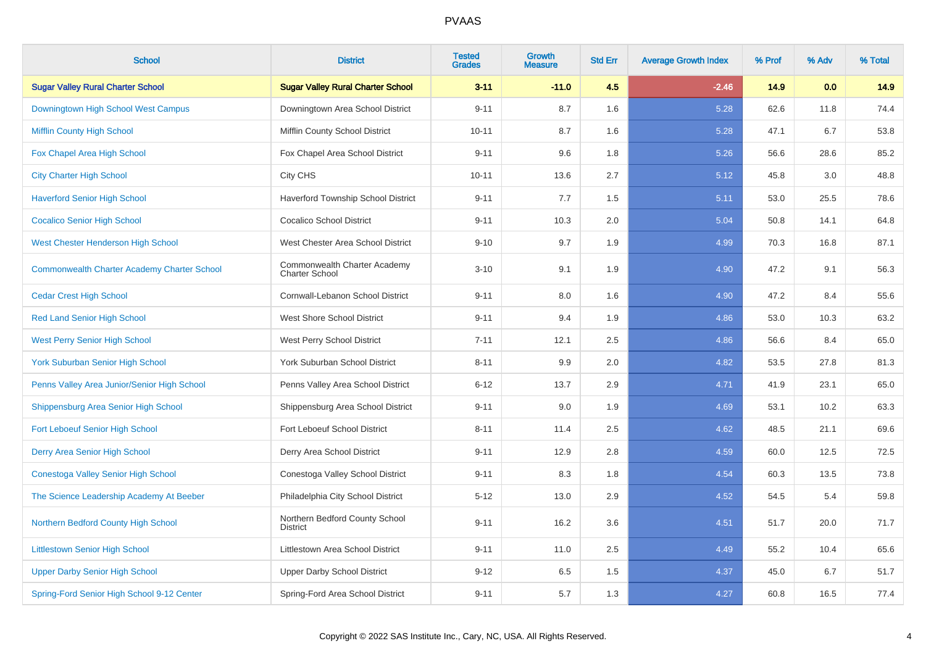| <b>School</b>                                      | <b>District</b>                                       | <b>Tested</b><br><b>Grades</b> | Growth<br><b>Measure</b> | <b>Std Err</b> | <b>Average Growth Index</b> | % Prof | % Adv | % Total |
|----------------------------------------------------|-------------------------------------------------------|--------------------------------|--------------------------|----------------|-----------------------------|--------|-------|---------|
| <b>Sugar Valley Rural Charter School</b>           | <b>Sugar Valley Rural Charter School</b>              | $3 - 11$                       | $-11.0$                  | 4.5            | $-2.46$                     | 14.9   | 0.0   | 14.9    |
| Downingtown High School West Campus                | Downingtown Area School District                      | $9 - 11$                       | 8.7                      | 1.6            | 5.28                        | 62.6   | 11.8  | 74.4    |
| <b>Mifflin County High School</b>                  | Mifflin County School District                        | $10 - 11$                      | 8.7                      | 1.6            | 5.28                        | 47.1   | 6.7   | 53.8    |
| Fox Chapel Area High School                        | Fox Chapel Area School District                       | $9 - 11$                       | 9.6                      | 1.8            | 5.26                        | 56.6   | 28.6  | 85.2    |
| <b>City Charter High School</b>                    | City CHS                                              | $10 - 11$                      | 13.6                     | 2.7            | 5.12                        | 45.8   | 3.0   | 48.8    |
| <b>Haverford Senior High School</b>                | Haverford Township School District                    | $9 - 11$                       | 7.7                      | 1.5            | 5.11                        | 53.0   | 25.5  | 78.6    |
| <b>Cocalico Senior High School</b>                 | <b>Cocalico School District</b>                       | $9 - 11$                       | 10.3                     | 2.0            | 5.04                        | 50.8   | 14.1  | 64.8    |
| <b>West Chester Henderson High School</b>          | West Chester Area School District                     | $9 - 10$                       | 9.7                      | 1.9            | 4.99                        | 70.3   | 16.8  | 87.1    |
| <b>Commonwealth Charter Academy Charter School</b> | Commonwealth Charter Academy<br><b>Charter School</b> | $3 - 10$                       | 9.1                      | 1.9            | 4.90                        | 47.2   | 9.1   | 56.3    |
| <b>Cedar Crest High School</b>                     | Cornwall-Lebanon School District                      | $9 - 11$                       | 8.0                      | 1.6            | 4.90                        | 47.2   | 8.4   | 55.6    |
| <b>Red Land Senior High School</b>                 | <b>West Shore School District</b>                     | $9 - 11$                       | 9.4                      | 1.9            | 4.86                        | 53.0   | 10.3  | 63.2    |
| <b>West Perry Senior High School</b>               | West Perry School District                            | $7 - 11$                       | 12.1                     | 2.5            | 4.86                        | 56.6   | 8.4   | 65.0    |
| <b>York Suburban Senior High School</b>            | York Suburban School District                         | $8 - 11$                       | 9.9                      | 2.0            | 4.82                        | 53.5   | 27.8  | 81.3    |
| Penns Valley Area Junior/Senior High School        | Penns Valley Area School District                     | $6 - 12$                       | 13.7                     | 2.9            | 4.71                        | 41.9   | 23.1  | 65.0    |
| Shippensburg Area Senior High School               | Shippensburg Area School District                     | $9 - 11$                       | 9.0                      | 1.9            | 4.69                        | 53.1   | 10.2  | 63.3    |
| <b>Fort Leboeuf Senior High School</b>             | Fort Leboeuf School District                          | $8 - 11$                       | 11.4                     | 2.5            | 4.62                        | 48.5   | 21.1  | 69.6    |
| Derry Area Senior High School                      | Derry Area School District                            | $9 - 11$                       | 12.9                     | 2.8            | 4.59                        | 60.0   | 12.5  | 72.5    |
| Conestoga Valley Senior High School                | Conestoga Valley School District                      | $9 - 11$                       | 8.3                      | 1.8            | 4.54                        | 60.3   | 13.5  | 73.8    |
| The Science Leadership Academy At Beeber           | Philadelphia City School District                     | $5 - 12$                       | 13.0                     | 2.9            | 4.52                        | 54.5   | 5.4   | 59.8    |
| Northern Bedford County High School                | Northern Bedford County School<br><b>District</b>     | $9 - 11$                       | 16.2                     | 3.6            | 4.51                        | 51.7   | 20.0  | 71.7    |
| <b>Littlestown Senior High School</b>              | Littlestown Area School District                      | $9 - 11$                       | 11.0                     | 2.5            | 4.49                        | 55.2   | 10.4  | 65.6    |
| <b>Upper Darby Senior High School</b>              | <b>Upper Darby School District</b>                    | $9 - 12$                       | 6.5                      | 1.5            | 4.37                        | 45.0   | 6.7   | 51.7    |
| Spring-Ford Senior High School 9-12 Center         | Spring-Ford Area School District                      | $9 - 11$                       | 5.7                      | 1.3            | 4.27                        | 60.8   | 16.5  | 77.4    |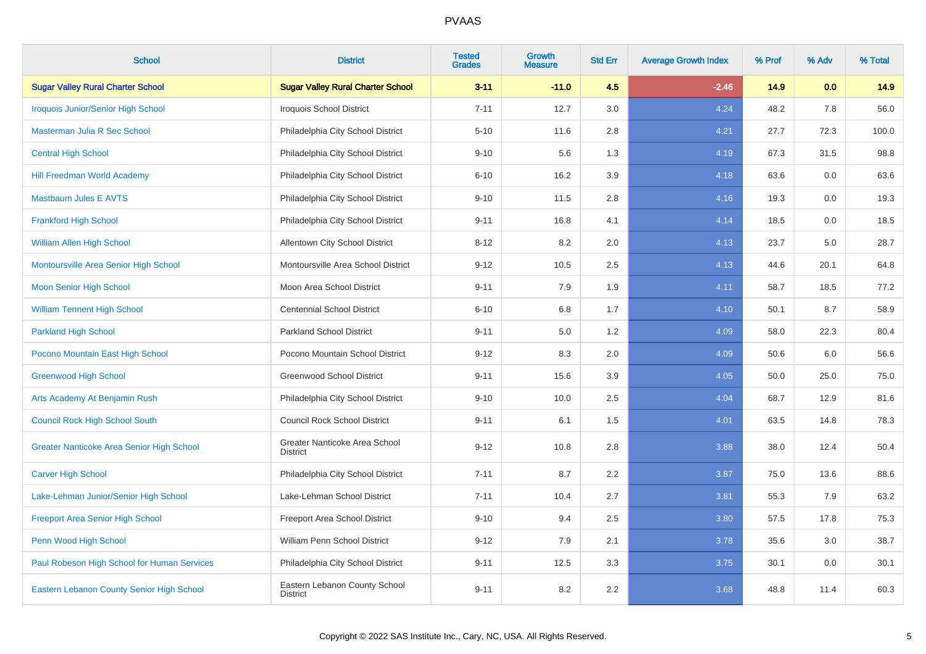| <b>School</b>                               | <b>District</b>                                  | <b>Tested</b><br><b>Grades</b> | <b>Growth</b><br><b>Measure</b> | <b>Std Err</b> | <b>Average Growth Index</b> | % Prof | % Adv | % Total |
|---------------------------------------------|--------------------------------------------------|--------------------------------|---------------------------------|----------------|-----------------------------|--------|-------|---------|
| <b>Sugar Valley Rural Charter School</b>    | <b>Sugar Valley Rural Charter School</b>         | $3 - 11$                       | $-11.0$                         | 4.5            | $-2.46$                     | 14.9   | 0.0   | 14.9    |
| <b>Iroquois Junior/Senior High School</b>   | <b>Iroquois School District</b>                  | $7 - 11$                       | 12.7                            | 3.0            | 4.24                        | 48.2   | 7.8   | 56.0    |
| Masterman Julia R Sec School                | Philadelphia City School District                | $5 - 10$                       | 11.6                            | 2.8            | 4.21                        | 27.7   | 72.3  | 100.0   |
| <b>Central High School</b>                  | Philadelphia City School District                | $9 - 10$                       | 5.6                             | 1.3            | 4.19                        | 67.3   | 31.5  | 98.8    |
| <b>Hill Freedman World Academy</b>          | Philadelphia City School District                | $6 - 10$                       | 16.2                            | 3.9            | 4.18                        | 63.6   | 0.0   | 63.6    |
| <b>Mastbaum Jules E AVTS</b>                | Philadelphia City School District                | $9 - 10$                       | 11.5                            | 2.8            | 4.16                        | 19.3   | 0.0   | 19.3    |
| <b>Frankford High School</b>                | Philadelphia City School District                | $9 - 11$                       | 16.8                            | 4.1            | 4.14                        | 18.5   | 0.0   | 18.5    |
| William Allen High School                   | <b>Allentown City School District</b>            | $8 - 12$                       | 8.2                             | 2.0            | 4.13                        | 23.7   | 5.0   | 28.7    |
| Montoursville Area Senior High School       | Montoursville Area School District               | $9 - 12$                       | 10.5                            | 2.5            | 4.13                        | 44.6   | 20.1  | 64.8    |
| <b>Moon Senior High School</b>              | Moon Area School District                        | $9 - 11$                       | 7.9                             | 1.9            | 4.11                        | 58.7   | 18.5  | 77.2    |
| <b>William Tennent High School</b>          | <b>Centennial School District</b>                | $6 - 10$                       | 6.8                             | 1.7            | 4.10                        | 50.1   | 8.7   | 58.9    |
| <b>Parkland High School</b>                 | <b>Parkland School District</b>                  | $9 - 11$                       | 5.0                             | 1.2            | 4.09                        | 58.0   | 22.3  | 80.4    |
| Pocono Mountain East High School            | Pocono Mountain School District                  | $9 - 12$                       | 8.3                             | 2.0            | 4.09                        | 50.6   | 6.0   | 56.6    |
| <b>Greenwood High School</b>                | <b>Greenwood School District</b>                 | $9 - 11$                       | 15.6                            | 3.9            | 4.05                        | 50.0   | 25.0  | 75.0    |
| Arts Academy At Benjamin Rush               | Philadelphia City School District                | $9 - 10$                       | 10.0                            | 2.5            | 4.04                        | 68.7   | 12.9  | 81.6    |
| <b>Council Rock High School South</b>       | <b>Council Rock School District</b>              | $9 - 11$                       | 6.1                             | 1.5            | 4.01                        | 63.5   | 14.8  | 78.3    |
| Greater Nanticoke Area Senior High School   | Greater Nanticoke Area School<br><b>District</b> | $9 - 12$                       | 10.8                            | 2.8            | 3.88                        | 38.0   | 12.4  | 50.4    |
| <b>Carver High School</b>                   | Philadelphia City School District                | $7 - 11$                       | 8.7                             | 2.2            | 3.87                        | 75.0   | 13.6  | 88.6    |
| Lake-Lehman Junior/Senior High School       | Lake-Lehman School District                      | $7 - 11$                       | 10.4                            | 2.7            | 3.81                        | 55.3   | 7.9   | 63.2    |
| <b>Freeport Area Senior High School</b>     | Freeport Area School District                    | $9 - 10$                       | 9.4                             | 2.5            | 3.80                        | 57.5   | 17.8  | 75.3    |
| Penn Wood High School                       | William Penn School District                     | $9 - 12$                       | 7.9                             | 2.1            | 3.78                        | 35.6   | 3.0   | 38.7    |
| Paul Robeson High School for Human Services | Philadelphia City School District                | $9 - 11$                       | 12.5                            | 3.3            | 3.75                        | 30.1   | 0.0   | 30.1    |
| Eastern Lebanon County Senior High School   | Eastern Lebanon County School<br><b>District</b> | $9 - 11$                       | 8.2                             | 2.2            | 3.68                        | 48.8   | 11.4  | 60.3    |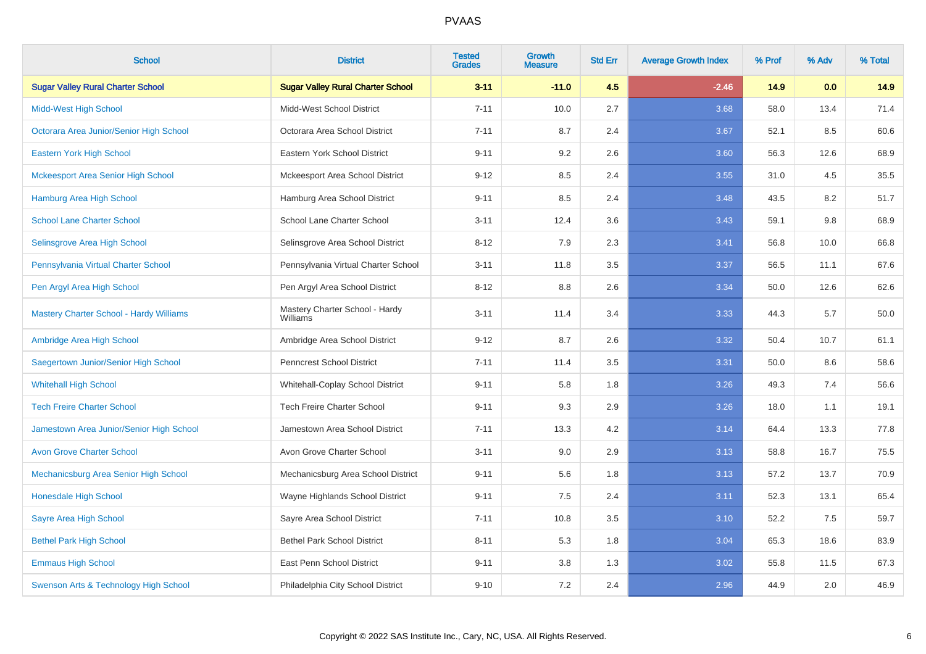| <b>School</b>                                  | <b>District</b>                            | <b>Tested</b><br><b>Grades</b> | <b>Growth</b><br><b>Measure</b> | <b>Std Err</b> | <b>Average Growth Index</b> | % Prof | % Adv | % Total |
|------------------------------------------------|--------------------------------------------|--------------------------------|---------------------------------|----------------|-----------------------------|--------|-------|---------|
| <b>Sugar Valley Rural Charter School</b>       | <b>Sugar Valley Rural Charter School</b>   | $3 - 11$                       | $-11.0$                         | 4.5            | $-2.46$                     | 14.9   | 0.0   | 14.9    |
| <b>Midd-West High School</b>                   | Midd-West School District                  | $7 - 11$                       | 10.0                            | 2.7            | 3.68                        | 58.0   | 13.4  | 71.4    |
| Octorara Area Junior/Senior High School        | Octorara Area School District              | $7 - 11$                       | 8.7                             | 2.4            | 3.67                        | 52.1   | 8.5   | 60.6    |
| Eastern York High School                       | Eastern York School District               | $9 - 11$                       | 9.2                             | 2.6            | 3.60                        | 56.3   | 12.6  | 68.9    |
| <b>Mckeesport Area Senior High School</b>      | Mckeesport Area School District            | $9 - 12$                       | 8.5                             | 2.4            | 3.55                        | 31.0   | 4.5   | 35.5    |
| <b>Hamburg Area High School</b>                | Hamburg Area School District               | $9 - 11$                       | 8.5                             | 2.4            | 3.48                        | 43.5   | 8.2   | 51.7    |
| <b>School Lane Charter School</b>              | School Lane Charter School                 | $3 - 11$                       | 12.4                            | 3.6            | 3.43                        | 59.1   | 9.8   | 68.9    |
| Selinsgrove Area High School                   | Selinsgrove Area School District           | $8 - 12$                       | 7.9                             | 2.3            | 3.41                        | 56.8   | 10.0  | 66.8    |
| Pennsylvania Virtual Charter School            | Pennsylvania Virtual Charter School        | $3 - 11$                       | 11.8                            | 3.5            | 3.37                        | 56.5   | 11.1  | 67.6    |
| Pen Argyl Area High School                     | Pen Argyl Area School District             | $8 - 12$                       | 8.8                             | 2.6            | 3.34                        | 50.0   | 12.6  | 62.6    |
| <b>Mastery Charter School - Hardy Williams</b> | Mastery Charter School - Hardy<br>Williams | $3 - 11$                       | 11.4                            | 3.4            | 3.33                        | 44.3   | 5.7   | 50.0    |
| Ambridge Area High School                      | Ambridge Area School District              | $9 - 12$                       | 8.7                             | 2.6            | 3.32                        | 50.4   | 10.7  | 61.1    |
| Saegertown Junior/Senior High School           | Penncrest School District                  | $7 - 11$                       | 11.4                            | 3.5            | 3.31                        | 50.0   | 8.6   | 58.6    |
| <b>Whitehall High School</b>                   | Whitehall-Coplay School District           | $9 - 11$                       | 5.8                             | 1.8            | 3.26                        | 49.3   | 7.4   | 56.6    |
| <b>Tech Freire Charter School</b>              | <b>Tech Freire Charter School</b>          | $9 - 11$                       | 9.3                             | 2.9            | 3.26                        | 18.0   | 1.1   | 19.1    |
| Jamestown Area Junior/Senior High School       | Jamestown Area School District             | $7 - 11$                       | 13.3                            | 4.2            | 3.14                        | 64.4   | 13.3  | 77.8    |
| <b>Avon Grove Charter School</b>               | Avon Grove Charter School                  | $3 - 11$                       | 9.0                             | 2.9            | 3.13                        | 58.8   | 16.7  | 75.5    |
| Mechanicsburg Area Senior High School          | Mechanicsburg Area School District         | $9 - 11$                       | 5.6                             | 1.8            | 3.13                        | 57.2   | 13.7  | 70.9    |
| Honesdale High School                          | Wayne Highlands School District            | $9 - 11$                       | $7.5\,$                         | 2.4            | 3.11                        | 52.3   | 13.1  | 65.4    |
| Sayre Area High School                         | Sayre Area School District                 | $7 - 11$                       | 10.8                            | 3.5            | 3.10                        | 52.2   | 7.5   | 59.7    |
| <b>Bethel Park High School</b>                 | <b>Bethel Park School District</b>         | $8 - 11$                       | 5.3                             | 1.8            | 3.04                        | 65.3   | 18.6  | 83.9    |
| <b>Emmaus High School</b>                      | East Penn School District                  | $9 - 11$                       | 3.8                             | 1.3            | 3.02                        | 55.8   | 11.5  | 67.3    |
| Swenson Arts & Technology High School          | Philadelphia City School District          | $9 - 10$                       | 7.2                             | 2.4            | 2.96                        | 44.9   | 2.0   | 46.9    |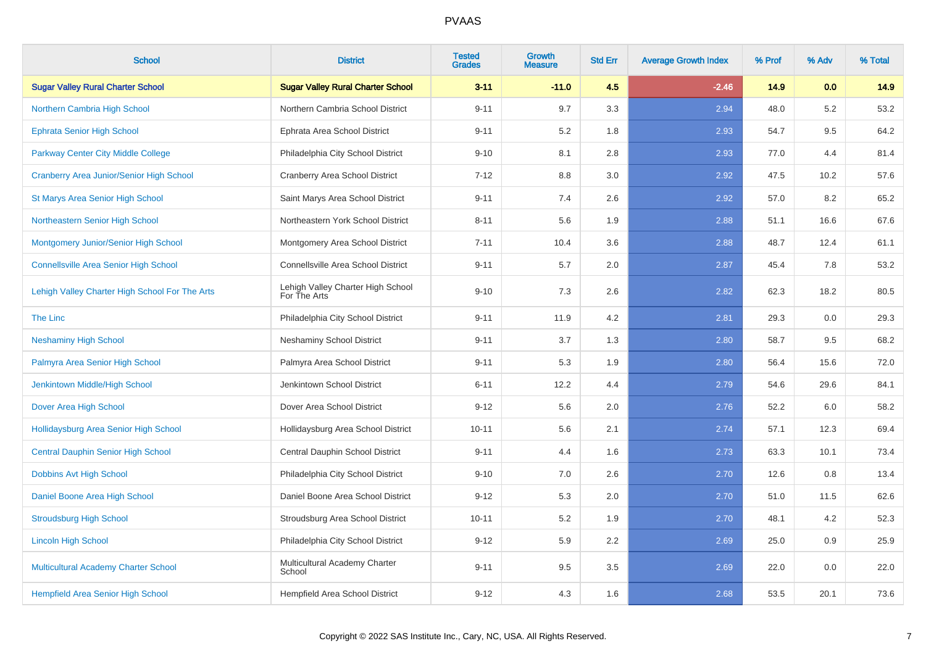| <b>School</b>                                   | <b>District</b>                                   | <b>Tested</b><br><b>Grades</b> | <b>Growth</b><br><b>Measure</b> | <b>Std Err</b> | <b>Average Growth Index</b> | % Prof | % Adv | % Total |
|-------------------------------------------------|---------------------------------------------------|--------------------------------|---------------------------------|----------------|-----------------------------|--------|-------|---------|
| <b>Sugar Valley Rural Charter School</b>        | <b>Sugar Valley Rural Charter School</b>          | $3 - 11$                       | $-11.0$                         | 4.5            | $-2.46$                     | 14.9   | 0.0   | 14.9    |
| Northern Cambria High School                    | Northern Cambria School District                  | $9 - 11$                       | 9.7                             | 3.3            | 2.94                        | 48.0   | 5.2   | 53.2    |
| <b>Ephrata Senior High School</b>               | Ephrata Area School District                      | $9 - 11$                       | 5.2                             | 1.8            | 2.93                        | 54.7   | 9.5   | 64.2    |
| Parkway Center City Middle College              | Philadelphia City School District                 | $9 - 10$                       | 8.1                             | 2.8            | 2.93                        | 77.0   | 4.4   | 81.4    |
| <b>Cranberry Area Junior/Senior High School</b> | Cranberry Area School District                    | $7 - 12$                       | 8.8                             | 3.0            | 2.92                        | 47.5   | 10.2  | 57.6    |
| <b>St Marys Area Senior High School</b>         | Saint Marys Area School District                  | $9 - 11$                       | 7.4                             | 2.6            | 2.92                        | 57.0   | 8.2   | 65.2    |
| Northeastern Senior High School                 | Northeastern York School District                 | $8 - 11$                       | 5.6                             | 1.9            | 2.88                        | 51.1   | 16.6  | 67.6    |
| Montgomery Junior/Senior High School            | Montgomery Area School District                   | $7 - 11$                       | 10.4                            | 3.6            | 2.88                        | 48.7   | 12.4  | 61.1    |
| <b>Connellsville Area Senior High School</b>    | Connellsville Area School District                | $9 - 11$                       | 5.7                             | 2.0            | 2.87                        | 45.4   | 7.8   | 53.2    |
| Lehigh Valley Charter High School For The Arts  | Lehigh Valley Charter High School<br>For The Arts | $9 - 10$                       | 7.3                             | 2.6            | 2.82                        | 62.3   | 18.2  | 80.5    |
| The Linc                                        | Philadelphia City School District                 | $9 - 11$                       | 11.9                            | 4.2            | 2.81                        | 29.3   | 0.0   | 29.3    |
| <b>Neshaminy High School</b>                    | <b>Neshaminy School District</b>                  | $9 - 11$                       | 3.7                             | 1.3            | 2.80                        | 58.7   | 9.5   | 68.2    |
| Palmyra Area Senior High School                 | Palmyra Area School District                      | $9 - 11$                       | 5.3                             | 1.9            | 2.80                        | 56.4   | 15.6  | 72.0    |
| Jenkintown Middle/High School                   | Jenkintown School District                        | $6 - 11$                       | 12.2                            | 4.4            | 2.79                        | 54.6   | 29.6  | 84.1    |
| Dover Area High School                          | Dover Area School District                        | $9 - 12$                       | 5.6                             | 2.0            | 2.76                        | 52.2   | 6.0   | 58.2    |
| Hollidaysburg Area Senior High School           | Hollidaysburg Area School District                | $10 - 11$                      | 5.6                             | 2.1            | 2.74                        | 57.1   | 12.3  | 69.4    |
| <b>Central Dauphin Senior High School</b>       | Central Dauphin School District                   | $9 - 11$                       | 4.4                             | 1.6            | 2.73                        | 63.3   | 10.1  | 73.4    |
| Dobbins Avt High School                         | Philadelphia City School District                 | $9 - 10$                       | 7.0                             | 2.6            | 2.70                        | 12.6   | 0.8   | 13.4    |
| Daniel Boone Area High School                   | Daniel Boone Area School District                 | $9 - 12$                       | 5.3                             | 2.0            | 2.70                        | 51.0   | 11.5  | 62.6    |
| <b>Stroudsburg High School</b>                  | Stroudsburg Area School District                  | $10 - 11$                      | 5.2                             | 1.9            | 2.70                        | 48.1   | 4.2   | 52.3    |
| <b>Lincoln High School</b>                      | Philadelphia City School District                 | $9 - 12$                       | 5.9                             | $2.2\,$        | 2.69                        | 25.0   | 0.9   | 25.9    |
| <b>Multicultural Academy Charter School</b>     | Multicultural Academy Charter<br>School           | $9 - 11$                       | 9.5                             | 3.5            | 2.69                        | 22.0   | 0.0   | 22.0    |
| <b>Hempfield Area Senior High School</b>        | Hempfield Area School District                    | $9 - 12$                       | 4.3                             | 1.6            | 2.68                        | 53.5   | 20.1  | 73.6    |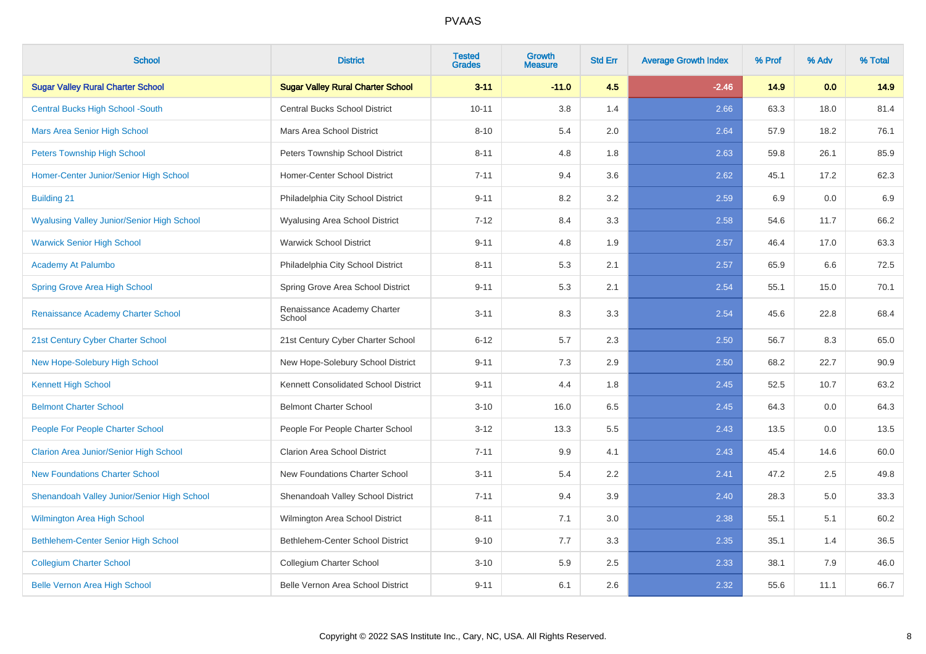| <b>School</b>                                     | <b>District</b>                          | <b>Tested</b><br><b>Grades</b> | <b>Growth</b><br><b>Measure</b> | <b>Std Err</b> | <b>Average Growth Index</b> | % Prof | % Adv | % Total |
|---------------------------------------------------|------------------------------------------|--------------------------------|---------------------------------|----------------|-----------------------------|--------|-------|---------|
| <b>Sugar Valley Rural Charter School</b>          | <b>Sugar Valley Rural Charter School</b> | $3 - 11$                       | $-11.0$                         | 4.5            | $-2.46$                     | 14.9   | 0.0   | 14.9    |
| <b>Central Bucks High School -South</b>           | <b>Central Bucks School District</b>     | $10 - 11$                      | 3.8                             | 1.4            | 2.66                        | 63.3   | 18.0  | 81.4    |
| <b>Mars Area Senior High School</b>               | Mars Area School District                | $8 - 10$                       | 5.4                             | 2.0            | 2.64                        | 57.9   | 18.2  | 76.1    |
| <b>Peters Township High School</b>                | Peters Township School District          | $8 - 11$                       | 4.8                             | 1.8            | 2.63                        | 59.8   | 26.1  | 85.9    |
| Homer-Center Junior/Senior High School            | Homer-Center School District             | $7 - 11$                       | 9.4                             | 3.6            | 2.62                        | 45.1   | 17.2  | 62.3    |
| <b>Building 21</b>                                | Philadelphia City School District        | $9 - 11$                       | 8.2                             | 3.2            | 2.59                        | 6.9    | 0.0   | 6.9     |
| <b>Wyalusing Valley Junior/Senior High School</b> | Wyalusing Area School District           | $7 - 12$                       | 8.4                             | 3.3            | 2.58                        | 54.6   | 11.7  | 66.2    |
| <b>Warwick Senior High School</b>                 | <b>Warwick School District</b>           | $9 - 11$                       | 4.8                             | 1.9            | 2.57                        | 46.4   | 17.0  | 63.3    |
| Academy At Palumbo                                | Philadelphia City School District        | $8 - 11$                       | 5.3                             | 2.1            | 2.57                        | 65.9   | 6.6   | 72.5    |
| <b>Spring Grove Area High School</b>              | Spring Grove Area School District        | $9 - 11$                       | 5.3                             | 2.1            | 2.54                        | 55.1   | 15.0  | 70.1    |
| Renaissance Academy Charter School                | Renaissance Academy Charter<br>School    | $3 - 11$                       | 8.3                             | 3.3            | 2.54                        | 45.6   | 22.8  | 68.4    |
| 21st Century Cyber Charter School                 | 21st Century Cyber Charter School        | $6 - 12$                       | 5.7                             | 2.3            | 2.50                        | 56.7   | 8.3   | 65.0    |
| New Hope-Solebury High School                     | New Hope-Solebury School District        | $9 - 11$                       | 7.3                             | 2.9            | 2.50                        | 68.2   | 22.7  | 90.9    |
| <b>Kennett High School</b>                        | Kennett Consolidated School District     | $9 - 11$                       | 4.4                             | 1.8            | 2.45                        | 52.5   | 10.7  | 63.2    |
| <b>Belmont Charter School</b>                     | <b>Belmont Charter School</b>            | $3 - 10$                       | 16.0                            | 6.5            | 2.45                        | 64.3   | 0.0   | 64.3    |
| People For People Charter School                  | People For People Charter School         | $3 - 12$                       | 13.3                            | 5.5            | 2.43                        | 13.5   | 0.0   | 13.5    |
| <b>Clarion Area Junior/Senior High School</b>     | <b>Clarion Area School District</b>      | $7 - 11$                       | 9.9                             | 4.1            | 2.43                        | 45.4   | 14.6  | 60.0    |
| <b>New Foundations Charter School</b>             | New Foundations Charter School           | $3 - 11$                       | 5.4                             | 2.2            | 2.41                        | 47.2   | 2.5   | 49.8    |
| Shenandoah Valley Junior/Senior High School       | Shenandoah Valley School District        | $7 - 11$                       | 9.4                             | 3.9            | 2.40                        | 28.3   | 5.0   | 33.3    |
| <b>Wilmington Area High School</b>                | Wilmington Area School District          | $8 - 11$                       | 7.1                             | 3.0            | 2.38                        | 55.1   | 5.1   | 60.2    |
| Bethlehem-Center Senior High School               | Bethlehem-Center School District         | $9 - 10$                       | 7.7                             | 3.3            | 2.35                        | 35.1   | 1.4   | 36.5    |
| <b>Collegium Charter School</b>                   | Collegium Charter School                 | $3 - 10$                       | 5.9                             | 2.5            | 2.33                        | 38.1   | 7.9   | 46.0    |
| <b>Belle Vernon Area High School</b>              | Belle Vernon Area School District        | $9 - 11$                       | 6.1                             | 2.6            | 2.32                        | 55.6   | 11.1  | 66.7    |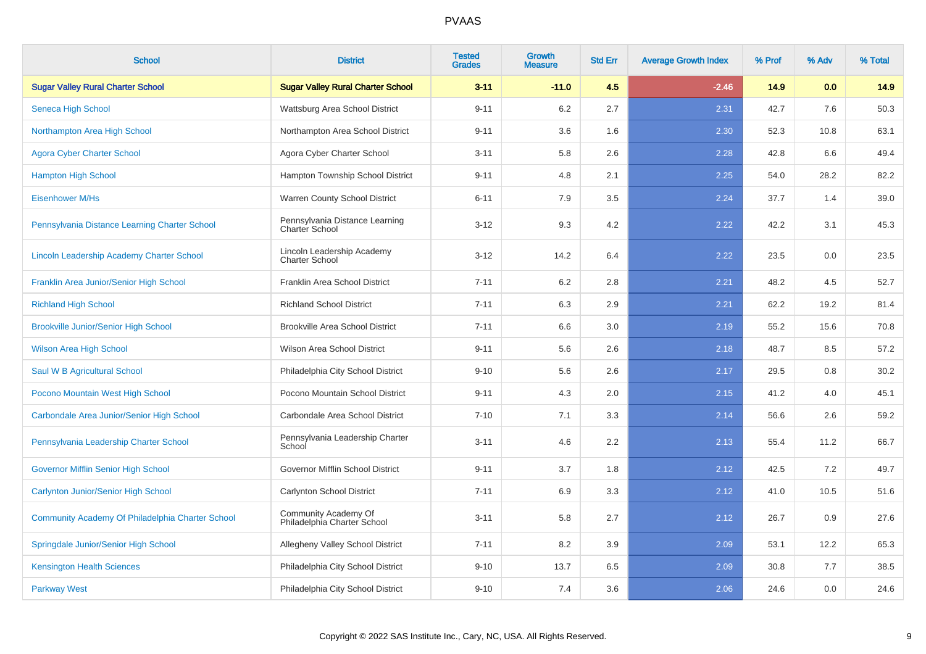| <b>School</b>                                    | <b>District</b>                                         | <b>Tested</b><br><b>Grades</b> | Growth<br><b>Measure</b> | <b>Std Err</b> | <b>Average Growth Index</b> | % Prof | % Adv | % Total |
|--------------------------------------------------|---------------------------------------------------------|--------------------------------|--------------------------|----------------|-----------------------------|--------|-------|---------|
| <b>Sugar Valley Rural Charter School</b>         | <b>Sugar Valley Rural Charter School</b>                | $3 - 11$                       | $-11.0$                  | 4.5            | $-2.46$                     | 14.9   | 0.0   | 14.9    |
| Seneca High School                               | Wattsburg Area School District                          | $9 - 11$                       | 6.2                      | 2.7            | 2.31                        | 42.7   | 7.6   | 50.3    |
| Northampton Area High School                     | Northampton Area School District                        | $9 - 11$                       | 3.6                      | 1.6            | 2.30                        | 52.3   | 10.8  | 63.1    |
| <b>Agora Cyber Charter School</b>                | Agora Cyber Charter School                              | $3 - 11$                       | 5.8                      | 2.6            | 2.28                        | 42.8   | 6.6   | 49.4    |
| <b>Hampton High School</b>                       | Hampton Township School District                        | $9 - 11$                       | 4.8                      | 2.1            | 2.25                        | 54.0   | 28.2  | 82.2    |
| <b>Eisenhower M/Hs</b>                           | Warren County School District                           | $6 - 11$                       | 7.9                      | 3.5            | 2.24                        | 37.7   | 1.4   | 39.0    |
| Pennsylvania Distance Learning Charter School    | Pennsylvania Distance Learning<br><b>Charter School</b> | $3 - 12$                       | 9.3                      | 4.2            | 2.22                        | 42.2   | 3.1   | 45.3    |
| Lincoln Leadership Academy Charter School        | Lincoln Leadership Academy<br><b>Charter School</b>     | $3 - 12$                       | 14.2                     | 6.4            | 2.22                        | 23.5   | 0.0   | 23.5    |
| Franklin Area Junior/Senior High School          | Franklin Area School District                           | $7 - 11$                       | 6.2                      | 2.8            | 2.21                        | 48.2   | 4.5   | 52.7    |
| <b>Richland High School</b>                      | <b>Richland School District</b>                         | $7 - 11$                       | 6.3                      | 2.9            | 2.21                        | 62.2   | 19.2  | 81.4    |
| <b>Brookville Junior/Senior High School</b>      | <b>Brookville Area School District</b>                  | $7 - 11$                       | 6.6                      | 3.0            | 2.19                        | 55.2   | 15.6  | 70.8    |
| <b>Wilson Area High School</b>                   | Wilson Area School District                             | $9 - 11$                       | 5.6                      | 2.6            | 2.18                        | 48.7   | 8.5   | 57.2    |
| Saul W B Agricultural School                     | Philadelphia City School District                       | $9 - 10$                       | 5.6                      | 2.6            | 2.17                        | 29.5   | 0.8   | 30.2    |
| Pocono Mountain West High School                 | Pocono Mountain School District                         | $9 - 11$                       | 4.3                      | 2.0            | 2.15                        | 41.2   | 4.0   | 45.1    |
| Carbondale Area Junior/Senior High School        | Carbondale Area School District                         | $7 - 10$                       | 7.1                      | 3.3            | 2.14                        | 56.6   | 2.6   | 59.2    |
| Pennsylvania Leadership Charter School           | Pennsylvania Leadership Charter<br>School               | $3 - 11$                       | 4.6                      | 2.2            | 2.13                        | 55.4   | 11.2  | 66.7    |
| <b>Governor Mifflin Senior High School</b>       | Governor Mifflin School District                        | $9 - 11$                       | 3.7                      | 1.8            | 2.12                        | 42.5   | 7.2   | 49.7    |
| <b>Carlynton Junior/Senior High School</b>       | Carlynton School District                               | $7 - 11$                       | 6.9                      | 3.3            | 2.12                        | 41.0   | 10.5  | 51.6    |
| Community Academy Of Philadelphia Charter School | Community Academy Of<br>Philadelphia Charter School     | $3 - 11$                       | 5.8                      | 2.7            | 2.12                        | 26.7   | 0.9   | 27.6    |
| Springdale Junior/Senior High School             | Allegheny Valley School District                        | $7 - 11$                       | 8.2                      | 3.9            | 2.09                        | 53.1   | 12.2  | 65.3    |
| <b>Kensington Health Sciences</b>                | Philadelphia City School District                       | $9 - 10$                       | 13.7                     | 6.5            | 2.09                        | 30.8   | 7.7   | 38.5    |
| <b>Parkway West</b>                              | Philadelphia City School District                       | $9 - 10$                       | 7.4                      | 3.6            | 2.06                        | 24.6   | 0.0   | 24.6    |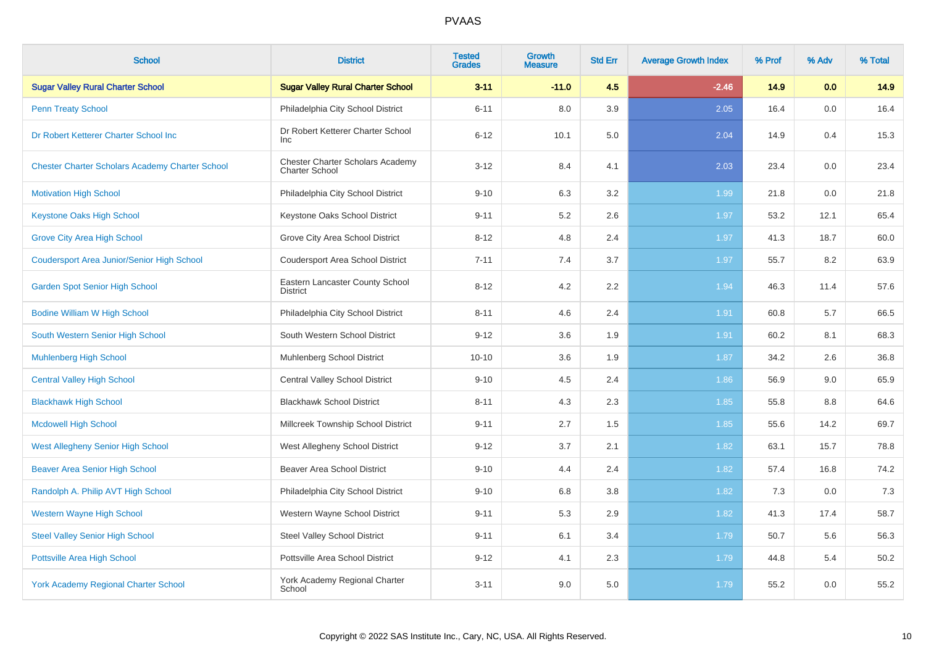| <b>School</b>                                          | <b>District</b>                                           | <b>Tested</b><br><b>Grades</b> | <b>Growth</b><br><b>Measure</b> | <b>Std Err</b> | <b>Average Growth Index</b> | % Prof | % Adv | % Total |
|--------------------------------------------------------|-----------------------------------------------------------|--------------------------------|---------------------------------|----------------|-----------------------------|--------|-------|---------|
| <b>Sugar Valley Rural Charter School</b>               | <b>Sugar Valley Rural Charter School</b>                  | $3 - 11$                       | $-11.0$                         | 4.5            | $-2.46$                     | 14.9   | 0.0   | 14.9    |
| <b>Penn Treaty School</b>                              | Philadelphia City School District                         | $6 - 11$                       | 8.0                             | 3.9            | 2.05                        | 16.4   | 0.0   | 16.4    |
| Dr Robert Ketterer Charter School Inc                  | Dr Robert Ketterer Charter School<br><b>Inc</b>           | $6 - 12$                       | 10.1                            | 5.0            | 2.04                        | 14.9   | 0.4   | 15.3    |
| <b>Chester Charter Scholars Academy Charter School</b> | Chester Charter Scholars Academy<br><b>Charter School</b> | $3 - 12$                       | 8.4                             | 4.1            | 2.03                        | 23.4   | 0.0   | 23.4    |
| <b>Motivation High School</b>                          | Philadelphia City School District                         | $9 - 10$                       | 6.3                             | 3.2            | 1.99                        | 21.8   | 0.0   | 21.8    |
| <b>Keystone Oaks High School</b>                       | Keystone Oaks School District                             | $9 - 11$                       | 5.2                             | 2.6            | 1.97                        | 53.2   | 12.1  | 65.4    |
| <b>Grove City Area High School</b>                     | Grove City Area School District                           | $8 - 12$                       | 4.8                             | 2.4            | 1.97                        | 41.3   | 18.7  | 60.0    |
| <b>Coudersport Area Junior/Senior High School</b>      | <b>Coudersport Area School District</b>                   | $7 - 11$                       | 7.4                             | 3.7            | 1.97                        | 55.7   | 8.2   | 63.9    |
| <b>Garden Spot Senior High School</b>                  | Eastern Lancaster County School<br><b>District</b>        | $8 - 12$                       | 4.2                             | 2.2            | 1.94                        | 46.3   | 11.4  | 57.6    |
| <b>Bodine William W High School</b>                    | Philadelphia City School District                         | $8 - 11$                       | 4.6                             | 2.4            | 1.91                        | 60.8   | 5.7   | 66.5    |
| South Western Senior High School                       | South Western School District                             | $9 - 12$                       | 3.6                             | 1.9            | 1.91                        | 60.2   | 8.1   | 68.3    |
| <b>Muhlenberg High School</b>                          | Muhlenberg School District                                | $10 - 10$                      | 3.6                             | 1.9            | 1.87                        | 34.2   | 2.6   | 36.8    |
| <b>Central Valley High School</b>                      | <b>Central Valley School District</b>                     | $9 - 10$                       | 4.5                             | 2.4            | 1.86                        | 56.9   | 9.0   | 65.9    |
| <b>Blackhawk High School</b>                           | <b>Blackhawk School District</b>                          | $8 - 11$                       | 4.3                             | 2.3            | 1.85                        | 55.8   | 8.8   | 64.6    |
| <b>Mcdowell High School</b>                            | Millcreek Township School District                        | $9 - 11$                       | 2.7                             | 1.5            | 1.85                        | 55.6   | 14.2  | 69.7    |
| <b>West Allegheny Senior High School</b>               | West Allegheny School District                            | $9 - 12$                       | 3.7                             | 2.1            | 1.82                        | 63.1   | 15.7  | 78.8    |
| <b>Beaver Area Senior High School</b>                  | <b>Beaver Area School District</b>                        | $9 - 10$                       | 4.4                             | 2.4            | 1.82                        | 57.4   | 16.8  | 74.2    |
| Randolph A. Philip AVT High School                     | Philadelphia City School District                         | $9 - 10$                       | 6.8                             | 3.8            | 1.82                        | 7.3    | 0.0   | 7.3     |
| <b>Western Wayne High School</b>                       | Western Wayne School District                             | $9 - 11$                       | 5.3                             | 2.9            | 1.82                        | 41.3   | 17.4  | 58.7    |
| <b>Steel Valley Senior High School</b>                 | <b>Steel Valley School District</b>                       | $9 - 11$                       | 6.1                             | 3.4            | 1.79                        | 50.7   | 5.6   | 56.3    |
| Pottsville Area High School                            | Pottsville Area School District                           | $9 - 12$                       | 4.1                             | 2.3            | 1.79                        | 44.8   | 5.4   | 50.2    |
| <b>York Academy Regional Charter School</b>            | York Academy Regional Charter<br>School                   | $3 - 11$                       | 9.0                             | 5.0            | 1.79                        | 55.2   | 0.0   | 55.2    |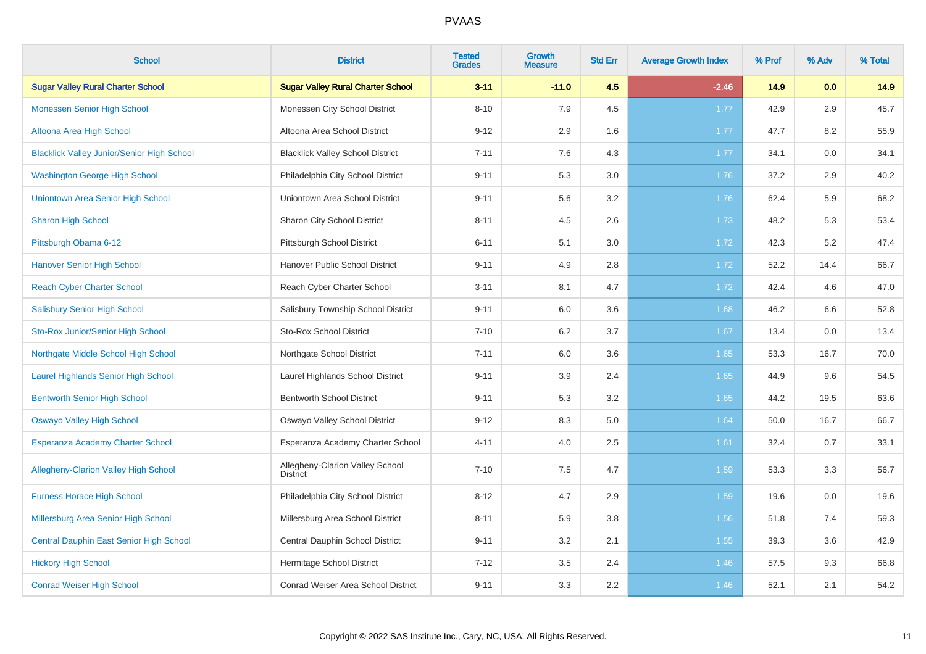| <b>School</b>                                     | <b>District</b>                                    | <b>Tested</b><br><b>Grades</b> | <b>Growth</b><br><b>Measure</b> | <b>Std Err</b> | <b>Average Growth Index</b> | % Prof | % Adv | % Total |
|---------------------------------------------------|----------------------------------------------------|--------------------------------|---------------------------------|----------------|-----------------------------|--------|-------|---------|
| <b>Sugar Valley Rural Charter School</b>          | <b>Sugar Valley Rural Charter School</b>           | $3 - 11$                       | $-11.0$                         | 4.5            | $-2.46$                     | 14.9   | 0.0   | 14.9    |
| <b>Monessen Senior High School</b>                | Monessen City School District                      | $8 - 10$                       | 7.9                             | 4.5            | 1.77                        | 42.9   | 2.9   | 45.7    |
| Altoona Area High School                          | Altoona Area School District                       | $9 - 12$                       | 2.9                             | 1.6            | 1.77                        | 47.7   | 8.2   | 55.9    |
| <b>Blacklick Valley Junior/Senior High School</b> | <b>Blacklick Valley School District</b>            | $7 - 11$                       | 7.6                             | 4.3            | 1.77                        | 34.1   | 0.0   | 34.1    |
| <b>Washington George High School</b>              | Philadelphia City School District                  | $9 - 11$                       | 5.3                             | 3.0            | 1.76                        | 37.2   | 2.9   | 40.2    |
| Uniontown Area Senior High School                 | Uniontown Area School District                     | $9 - 11$                       | 5.6                             | 3.2            | 1.76                        | 62.4   | 5.9   | 68.2    |
| <b>Sharon High School</b>                         | Sharon City School District                        | $8 - 11$                       | 4.5                             | 2.6            | 1.73                        | 48.2   | 5.3   | 53.4    |
| Pittsburgh Obama 6-12                             | Pittsburgh School District                         | $6 - 11$                       | 5.1                             | 3.0            | 1.72                        | 42.3   | 5.2   | 47.4    |
| <b>Hanover Senior High School</b>                 | Hanover Public School District                     | $9 - 11$                       | 4.9                             | 2.8            | 1.72                        | 52.2   | 14.4  | 66.7    |
| <b>Reach Cyber Charter School</b>                 | Reach Cyber Charter School                         | $3 - 11$                       | 8.1                             | 4.7            | 1.72                        | 42.4   | 4.6   | 47.0    |
| <b>Salisbury Senior High School</b>               | Salisbury Township School District                 | $9 - 11$                       | 6.0                             | 3.6            | 1.68                        | 46.2   | 6.6   | 52.8    |
| Sto-Rox Junior/Senior High School                 | <b>Sto-Rox School District</b>                     | $7 - 10$                       | 6.2                             | 3.7            | 1.67                        | 13.4   | 0.0   | 13.4    |
| Northgate Middle School High School               | Northgate School District                          | $7 - 11$                       | 6.0                             | 3.6            | 1.65                        | 53.3   | 16.7  | 70.0    |
| <b>Laurel Highlands Senior High School</b>        | Laurel Highlands School District                   | $9 - 11$                       | 3.9                             | 2.4            | 1.65                        | 44.9   | 9.6   | 54.5    |
| <b>Bentworth Senior High School</b>               | <b>Bentworth School District</b>                   | $9 - 11$                       | 5.3                             | 3.2            | 1.65                        | 44.2   | 19.5  | 63.6    |
| <b>Oswayo Valley High School</b>                  | Oswayo Valley School District                      | $9 - 12$                       | 8.3                             | 5.0            | 1.64                        | 50.0   | 16.7  | 66.7    |
| <b>Esperanza Academy Charter School</b>           | Esperanza Academy Charter School                   | $4 - 11$                       | 4.0                             | 2.5            | 1.61                        | 32.4   | 0.7   | 33.1    |
| <b>Allegheny-Clarion Valley High School</b>       | Allegheny-Clarion Valley School<br><b>District</b> | $7 - 10$                       | 7.5                             | 4.7            | 1.59                        | 53.3   | 3.3   | 56.7    |
| <b>Furness Horace High School</b>                 | Philadelphia City School District                  | $8 - 12$                       | 4.7                             | 2.9            | 1.59                        | 19.6   | 0.0   | 19.6    |
| Millersburg Area Senior High School               | Millersburg Area School District                   | $8 - 11$                       | 5.9                             | 3.8            | 1.56                        | 51.8   | 7.4   | 59.3    |
| Central Dauphin East Senior High School           | Central Dauphin School District                    | $9 - 11$                       | 3.2                             | 2.1            | 1.55                        | 39.3   | 3.6   | 42.9    |
| <b>Hickory High School</b>                        | Hermitage School District                          | $7 - 12$                       | 3.5                             | 2.4            | 1.46                        | 57.5   | 9.3   | 66.8    |
| <b>Conrad Weiser High School</b>                  | <b>Conrad Weiser Area School District</b>          | $9 - 11$                       | 3.3                             | 2.2            | 1.46                        | 52.1   | 2.1   | 54.2    |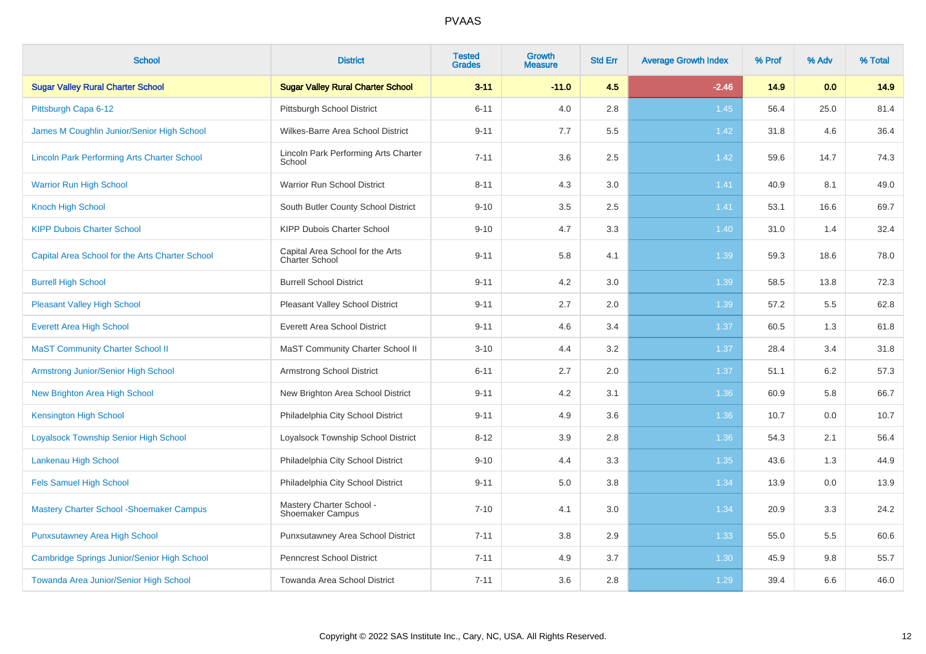| <b>School</b>                                      | <b>District</b>                                     | <b>Tested</b><br><b>Grades</b> | <b>Growth</b><br><b>Measure</b> | <b>Std Err</b> | <b>Average Growth Index</b> | % Prof | % Adv | % Total |
|----------------------------------------------------|-----------------------------------------------------|--------------------------------|---------------------------------|----------------|-----------------------------|--------|-------|---------|
| <b>Sugar Valley Rural Charter School</b>           | <b>Sugar Valley Rural Charter School</b>            | $3 - 11$                       | $-11.0$                         | 4.5            | $-2.46$                     | 14.9   | 0.0   | 14.9    |
| Pittsburgh Capa 6-12                               | <b>Pittsburgh School District</b>                   | $6 - 11$                       | 4.0                             | 2.8            | 1.45                        | 56.4   | 25.0  | 81.4    |
| James M Coughlin Junior/Senior High School         | Wilkes-Barre Area School District                   | $9 - 11$                       | 7.7                             | 5.5            | 1.42                        | 31.8   | 4.6   | 36.4    |
| <b>Lincoln Park Performing Arts Charter School</b> | Lincoln Park Performing Arts Charter<br>School      | $7 - 11$                       | 3.6                             | 2.5            | 1.42                        | 59.6   | 14.7  | 74.3    |
| <b>Warrior Run High School</b>                     | Warrior Run School District                         | $8 - 11$                       | 4.3                             | 3.0            | 1.41                        | 40.9   | 8.1   | 49.0    |
| <b>Knoch High School</b>                           | South Butler County School District                 | $9 - 10$                       | 3.5                             | 2.5            | 1.41                        | 53.1   | 16.6  | 69.7    |
| <b>KIPP Dubois Charter School</b>                  | KIPP Dubois Charter School                          | $9 - 10$                       | 4.7                             | 3.3            | 1.40                        | 31.0   | 1.4   | 32.4    |
| Capital Area School for the Arts Charter School    | Capital Area School for the Arts<br>Charter School  | $9 - 11$                       | 5.8                             | 4.1            | 1.39                        | 59.3   | 18.6  | 78.0    |
| <b>Burrell High School</b>                         | <b>Burrell School District</b>                      | $9 - 11$                       | 4.2                             | 3.0            | 1.39                        | 58.5   | 13.8  | 72.3    |
| <b>Pleasant Valley High School</b>                 | Pleasant Valley School District                     | $9 - 11$                       | 2.7                             | 2.0            | 1.39                        | 57.2   | 5.5   | 62.8    |
| <b>Everett Area High School</b>                    | <b>Everett Area School District</b>                 | $9 - 11$                       | 4.6                             | 3.4            | 1.37                        | 60.5   | 1.3   | 61.8    |
| <b>MaST Community Charter School II</b>            | MaST Community Charter School II                    | $3 - 10$                       | 4.4                             | 3.2            | 1.37                        | 28.4   | 3.4   | 31.8    |
| Armstrong Junior/Senior High School                | <b>Armstrong School District</b>                    | $6 - 11$                       | 2.7                             | 2.0            | 1.37                        | 51.1   | 6.2   | 57.3    |
| New Brighton Area High School                      | New Brighton Area School District                   | $9 - 11$                       | 4.2                             | 3.1            | 1.36                        | 60.9   | 5.8   | 66.7    |
| <b>Kensington High School</b>                      | Philadelphia City School District                   | $9 - 11$                       | 4.9                             | 3.6            | 1.36                        | 10.7   | 0.0   | 10.7    |
| <b>Loyalsock Township Senior High School</b>       | Loyalsock Township School District                  | $8 - 12$                       | 3.9                             | 2.8            | 1.36                        | 54.3   | 2.1   | 56.4    |
| Lankenau High School                               | Philadelphia City School District                   | $9 - 10$                       | 4.4                             | 3.3            | 1.35                        | 43.6   | 1.3   | 44.9    |
| <b>Fels Samuel High School</b>                     | Philadelphia City School District                   | $9 - 11$                       | 5.0                             | 3.8            | 1.34                        | 13.9   | 0.0   | 13.9    |
| <b>Mastery Charter School - Shoemaker Campus</b>   | Mastery Charter School -<br><b>Shoemaker Campus</b> | $7 - 10$                       | 4.1                             | 3.0            | 1.34                        | 20.9   | 3.3   | 24.2    |
| <b>Punxsutawney Area High School</b>               | Punxsutawney Area School District                   | $7 - 11$                       | 3.8                             | 2.9            | 1.33                        | 55.0   | 5.5   | 60.6    |
| Cambridge Springs Junior/Senior High School        | <b>Penncrest School District</b>                    | $7 - 11$                       | 4.9                             | 3.7            | 1.30                        | 45.9   | 9.8   | 55.7    |
| Towanda Area Junior/Senior High School             | Towanda Area School District                        | $7 - 11$                       | 3.6                             | 2.8            | 1.29                        | 39.4   | 6.6   | 46.0    |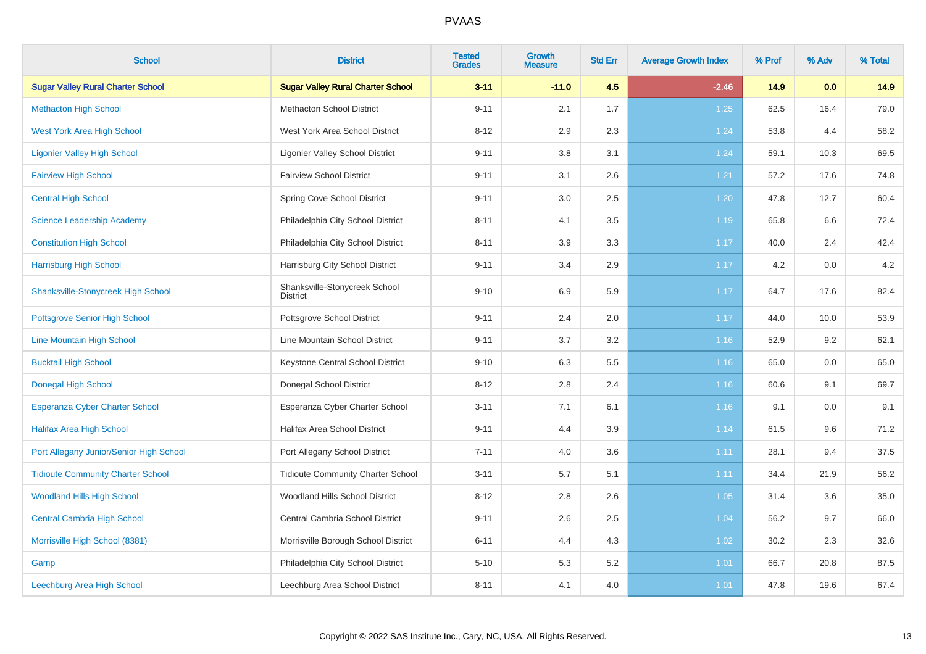| <b>School</b>                             | <b>District</b>                                  | <b>Tested</b><br><b>Grades</b> | <b>Growth</b><br><b>Measure</b> | <b>Std Err</b> | <b>Average Growth Index</b> | % Prof | % Adv | % Total |
|-------------------------------------------|--------------------------------------------------|--------------------------------|---------------------------------|----------------|-----------------------------|--------|-------|---------|
| <b>Sugar Valley Rural Charter School</b>  | <b>Sugar Valley Rural Charter School</b>         | $3 - 11$                       | $-11.0$                         | 4.5            | $-2.46$                     | 14.9   | 0.0   | 14.9    |
| <b>Methacton High School</b>              | <b>Methacton School District</b>                 | $9 - 11$                       | 2.1                             | 1.7            | 1.25                        | 62.5   | 16.4  | 79.0    |
| <b>West York Area High School</b>         | West York Area School District                   | $8 - 12$                       | 2.9                             | 2.3            | 1.24                        | 53.8   | 4.4   | 58.2    |
| <b>Ligonier Valley High School</b>        | <b>Ligonier Valley School District</b>           | $9 - 11$                       | 3.8                             | 3.1            | 1.24                        | 59.1   | 10.3  | 69.5    |
| <b>Fairview High School</b>               | <b>Fairview School District</b>                  | $9 - 11$                       | 3.1                             | 2.6            | 1.21                        | 57.2   | 17.6  | 74.8    |
| <b>Central High School</b>                | Spring Cove School District                      | $9 - 11$                       | 3.0                             | 2.5            | 1.20                        | 47.8   | 12.7  | 60.4    |
| <b>Science Leadership Academy</b>         | Philadelphia City School District                | $8 - 11$                       | 4.1                             | 3.5            | 1.19                        | 65.8   | 6.6   | 72.4    |
| <b>Constitution High School</b>           | Philadelphia City School District                | $8 - 11$                       | 3.9                             | 3.3            | 1.17                        | 40.0   | 2.4   | 42.4    |
| <b>Harrisburg High School</b>             | Harrisburg City School District                  | $9 - 11$                       | 3.4                             | 2.9            | 1.17                        | 4.2    | 0.0   | 4.2     |
| <b>Shanksville-Stonycreek High School</b> | Shanksville-Stonycreek School<br><b>District</b> | $9 - 10$                       | 6.9                             | 5.9            | 1.17                        | 64.7   | 17.6  | 82.4    |
| Pottsgrove Senior High School             | Pottsgrove School District                       | $9 - 11$                       | 2.4                             | 2.0            | 1.17                        | 44.0   | 10.0  | 53.9    |
| <b>Line Mountain High School</b>          | Line Mountain School District                    | $9 - 11$                       | 3.7                             | 3.2            | 1.16                        | 52.9   | 9.2   | 62.1    |
| <b>Bucktail High School</b>               | Keystone Central School District                 | $9 - 10$                       | 6.3                             | 5.5            | 1.16                        | 65.0   | 0.0   | 65.0    |
| <b>Donegal High School</b>                | Donegal School District                          | $8 - 12$                       | 2.8                             | 2.4            | 1.16                        | 60.6   | 9.1   | 69.7    |
| Esperanza Cyber Charter School            | Esperanza Cyber Charter School                   | $3 - 11$                       | 7.1                             | 6.1            | 1.16                        | 9.1    | 0.0   | 9.1     |
| <b>Halifax Area High School</b>           | Halifax Area School District                     | $9 - 11$                       | 4.4                             | 3.9            | 1.14                        | 61.5   | 9.6   | 71.2    |
| Port Allegany Junior/Senior High School   | Port Allegany School District                    | $7 - 11$                       | 4.0                             | 3.6            | 1.11                        | 28.1   | 9.4   | 37.5    |
| <b>Tidioute Community Charter School</b>  | <b>Tidioute Community Charter School</b>         | $3 - 11$                       | 5.7                             | 5.1            | 1.11                        | 34.4   | 21.9  | 56.2    |
| <b>Woodland Hills High School</b>         | Woodland Hills School District                   | $8 - 12$                       | 2.8                             | 2.6            | 1.05                        | 31.4   | 3.6   | 35.0    |
| <b>Central Cambria High School</b>        | Central Cambria School District                  | $9 - 11$                       | 2.6                             | $2.5\,$        | 1.04                        | 56.2   | 9.7   | 66.0    |
| Morrisville High School (8381)            | Morrisville Borough School District              | $6 - 11$                       | 4.4                             | 4.3            | 1.02                        | 30.2   | 2.3   | 32.6    |
| Gamp                                      | Philadelphia City School District                | $5 - 10$                       | 5.3                             | 5.2            | 1.01                        | 66.7   | 20.8  | 87.5    |
| Leechburg Area High School                | Leechburg Area School District                   | $8 - 11$                       | 4.1                             | 4.0            | 1.01                        | 47.8   | 19.6  | 67.4    |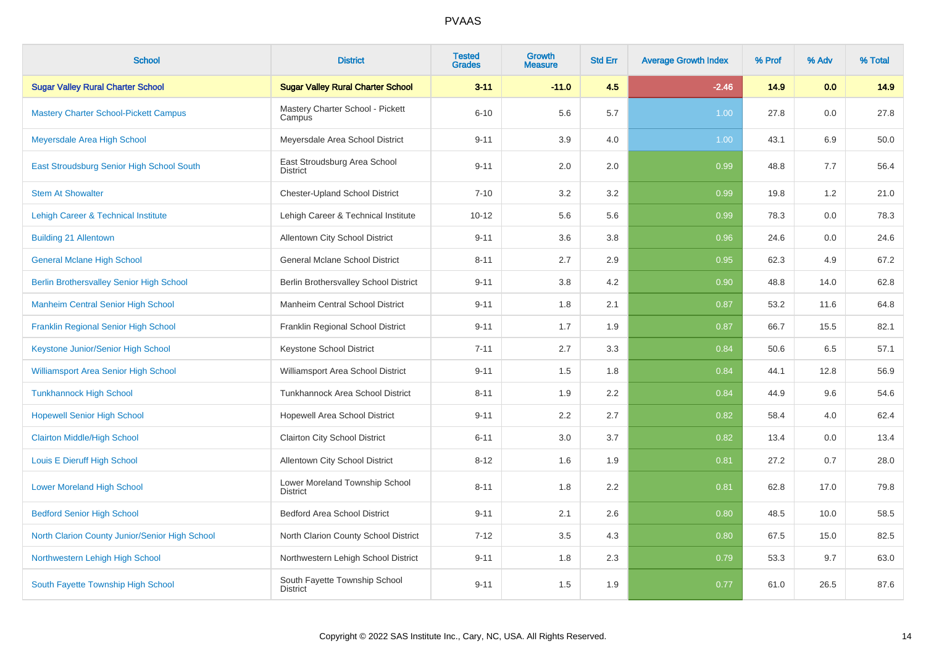| <b>School</b>                                   | <b>District</b>                                   | <b>Tested</b><br><b>Grades</b> | <b>Growth</b><br><b>Measure</b> | <b>Std Err</b> | <b>Average Growth Index</b> | % Prof | % Adv | % Total |
|-------------------------------------------------|---------------------------------------------------|--------------------------------|---------------------------------|----------------|-----------------------------|--------|-------|---------|
| <b>Sugar Valley Rural Charter School</b>        | <b>Sugar Valley Rural Charter School</b>          | $3 - 11$                       | $-11.0$                         | 4.5            | $-2.46$                     | 14.9   | 0.0   | 14.9    |
| <b>Mastery Charter School-Pickett Campus</b>    | Mastery Charter School - Pickett<br>Campus        | $6 - 10$                       | 5.6                             | 5.7            | 1.00 <sub>1</sub>           | 27.8   | 0.0   | 27.8    |
| Meyersdale Area High School                     | Meyersdale Area School District                   | $9 - 11$                       | 3.9                             | 4.0            | 1.00                        | 43.1   | 6.9   | 50.0    |
| East Stroudsburg Senior High School South       | East Stroudsburg Area School<br><b>District</b>   | $9 - 11$                       | 2.0                             | 2.0            | 0.99                        | 48.8   | 7.7   | 56.4    |
| <b>Stem At Showalter</b>                        | <b>Chester-Upland School District</b>             | $7 - 10$                       | 3.2                             | 3.2            | 0.99                        | 19.8   | 1.2   | 21.0    |
| <b>Lehigh Career &amp; Technical Institute</b>  | Lehigh Career & Technical Institute               | $10 - 12$                      | 5.6                             | 5.6            | 0.99                        | 78.3   | 0.0   | 78.3    |
| <b>Building 21 Allentown</b>                    | Allentown City School District                    | $9 - 11$                       | 3.6                             | 3.8            | 0.96                        | 24.6   | 0.0   | 24.6    |
| <b>General Mclane High School</b>               | <b>General Mclane School District</b>             | $8 - 11$                       | 2.7                             | 2.9            | 0.95                        | 62.3   | 4.9   | 67.2    |
| <b>Berlin Brothersvalley Senior High School</b> | Berlin Brothersvalley School District             | $9 - 11$                       | 3.8                             | 4.2            | 0.90                        | 48.8   | 14.0  | 62.8    |
| <b>Manheim Central Senior High School</b>       | Manheim Central School District                   | $9 - 11$                       | 1.8                             | 2.1            | 0.87                        | 53.2   | 11.6  | 64.8    |
| Franklin Regional Senior High School            | Franklin Regional School District                 | $9 - 11$                       | 1.7                             | 1.9            | 0.87                        | 66.7   | 15.5  | 82.1    |
| Keystone Junior/Senior High School              | Keystone School District                          | $7 - 11$                       | 2.7                             | 3.3            | 0.84                        | 50.6   | 6.5   | 57.1    |
| <b>Williamsport Area Senior High School</b>     | Williamsport Area School District                 | $9 - 11$                       | 1.5                             | 1.8            | 0.84                        | 44.1   | 12.8  | 56.9    |
| <b>Tunkhannock High School</b>                  | Tunkhannock Area School District                  | $8 - 11$                       | 1.9                             | 2.2            | 0.84                        | 44.9   | 9.6   | 54.6    |
| <b>Hopewell Senior High School</b>              | Hopewell Area School District                     | $9 - 11$                       | 2.2                             | 2.7            | 0.82                        | 58.4   | 4.0   | 62.4    |
| <b>Clairton Middle/High School</b>              | Clairton City School District                     | $6 - 11$                       | 3.0                             | 3.7            | 0.82                        | 13.4   | 0.0   | 13.4    |
| Louis E Dieruff High School                     | Allentown City School District                    | $8 - 12$                       | 1.6                             | 1.9            | 0.81                        | 27.2   | 0.7   | 28.0    |
| <b>Lower Moreland High School</b>               | Lower Moreland Township School<br><b>District</b> | $8 - 11$                       | 1.8                             | 2.2            | 0.81                        | 62.8   | 17.0  | 79.8    |
| <b>Bedford Senior High School</b>               | <b>Bedford Area School District</b>               | $9 - 11$                       | 2.1                             | 2.6            | 0.80                        | 48.5   | 10.0  | 58.5    |
| North Clarion County Junior/Senior High School  | North Clarion County School District              | $7 - 12$                       | $3.5\,$                         | 4.3            | 0.80                        | 67.5   | 15.0  | 82.5    |
| Northwestern Lehigh High School                 | Northwestern Lehigh School District               | $9 - 11$                       | 1.8                             | 2.3            | 0.79                        | 53.3   | 9.7   | 63.0    |
| South Fayette Township High School              | South Fayette Township School<br><b>District</b>  | $9 - 11$                       | 1.5                             | 1.9            | 0.77                        | 61.0   | 26.5  | 87.6    |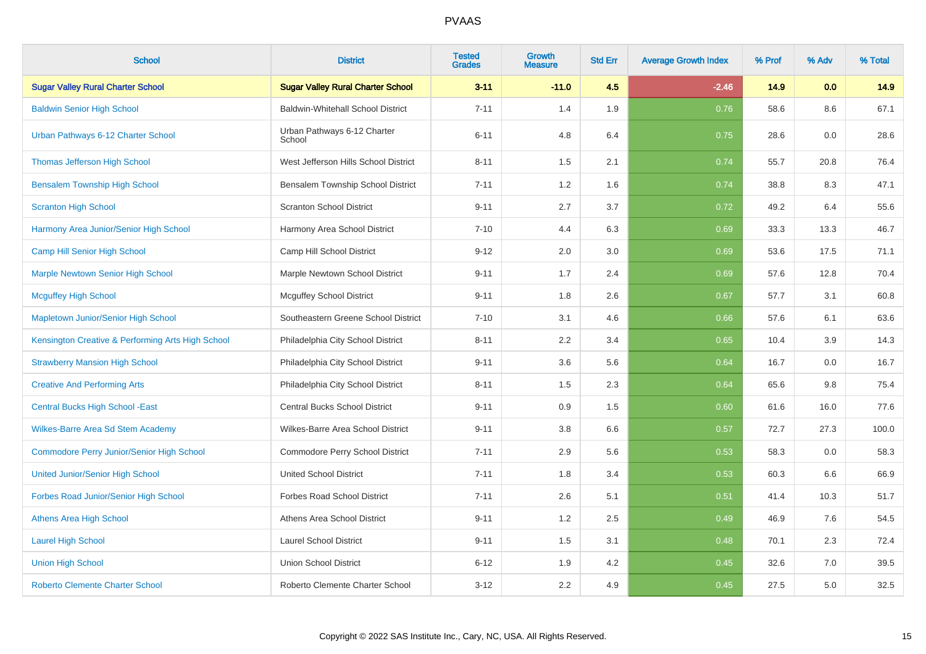| <b>School</b>                                     | <b>District</b>                          | <b>Tested</b><br><b>Grades</b> | <b>Growth</b><br><b>Measure</b> | <b>Std Err</b> | <b>Average Growth Index</b> | % Prof | % Adv | % Total |
|---------------------------------------------------|------------------------------------------|--------------------------------|---------------------------------|----------------|-----------------------------|--------|-------|---------|
| <b>Sugar Valley Rural Charter School</b>          | <b>Sugar Valley Rural Charter School</b> | $3 - 11$                       | $-11.0$                         | 4.5            | $-2.46$                     | 14.9   | 0.0   | 14.9    |
| <b>Baldwin Senior High School</b>                 | <b>Baldwin-Whitehall School District</b> | $7 - 11$                       | 1.4                             | 1.9            | 0.76                        | 58.6   | 8.6   | 67.1    |
| Urban Pathways 6-12 Charter School                | Urban Pathways 6-12 Charter<br>School    | $6 - 11$                       | 4.8                             | 6.4            | 0.75                        | 28.6   | 0.0   | 28.6    |
| <b>Thomas Jefferson High School</b>               | West Jefferson Hills School District     | $8 - 11$                       | 1.5                             | 2.1            | 0.74                        | 55.7   | 20.8  | 76.4    |
| <b>Bensalem Township High School</b>              | Bensalem Township School District        | $7 - 11$                       | 1.2                             | 1.6            | 0.74                        | 38.8   | 8.3   | 47.1    |
| <b>Scranton High School</b>                       | <b>Scranton School District</b>          | $9 - 11$                       | 2.7                             | 3.7            | 0.72                        | 49.2   | 6.4   | 55.6    |
| Harmony Area Junior/Senior High School            | Harmony Area School District             | $7 - 10$                       | 4.4                             | 6.3            | 0.69                        | 33.3   | 13.3  | 46.7    |
| Camp Hill Senior High School                      | Camp Hill School District                | $9 - 12$                       | 2.0                             | 3.0            | 0.69                        | 53.6   | 17.5  | 71.1    |
| <b>Marple Newtown Senior High School</b>          | Marple Newtown School District           | $9 - 11$                       | 1.7                             | 2.4            | 0.69                        | 57.6   | 12.8  | 70.4    |
| <b>Mcguffey High School</b>                       | <b>Mcguffey School District</b>          | $9 - 11$                       | 1.8                             | 2.6            | 0.67                        | 57.7   | 3.1   | 60.8    |
| Mapletown Junior/Senior High School               | Southeastern Greene School District      | $7 - 10$                       | 3.1                             | 4.6            | 0.66                        | 57.6   | 6.1   | 63.6    |
| Kensington Creative & Performing Arts High School | Philadelphia City School District        | $8 - 11$                       | 2.2                             | 3.4            | 0.65                        | 10.4   | 3.9   | 14.3    |
| <b>Strawberry Mansion High School</b>             | Philadelphia City School District        | $9 - 11$                       | 3.6                             | 5.6            | 0.64                        | 16.7   | 0.0   | 16.7    |
| <b>Creative And Performing Arts</b>               | Philadelphia City School District        | $8 - 11$                       | 1.5                             | 2.3            | 0.64                        | 65.6   | 9.8   | 75.4    |
| <b>Central Bucks High School - East</b>           | Central Bucks School District            | $9 - 11$                       | 0.9                             | 1.5            | 0.60                        | 61.6   | 16.0  | 77.6    |
| Wilkes-Barre Area Sd Stem Academy                 | Wilkes-Barre Area School District        | $9 - 11$                       | 3.8                             | 6.6            | 0.57                        | 72.7   | 27.3  | 100.0   |
| <b>Commodore Perry Junior/Senior High School</b>  | Commodore Perry School District          | $7 - 11$                       | 2.9                             | 5.6            | 0.53                        | 58.3   | 0.0   | 58.3    |
| <b>United Junior/Senior High School</b>           | <b>United School District</b>            | $7 - 11$                       | 1.8                             | 3.4            | 0.53                        | 60.3   | 6.6   | 66.9    |
| Forbes Road Junior/Senior High School             | <b>Forbes Road School District</b>       | $7 - 11$                       | 2.6                             | 5.1            | 0.51                        | 41.4   | 10.3  | 51.7    |
| <b>Athens Area High School</b>                    | Athens Area School District              | $9 - 11$                       | 1.2                             | 2.5            | 0.49                        | 46.9   | 7.6   | 54.5    |
| <b>Laurel High School</b>                         | <b>Laurel School District</b>            | $9 - 11$                       | 1.5                             | 3.1            | 0.48                        | 70.1   | 2.3   | 72.4    |
| <b>Union High School</b>                          | <b>Union School District</b>             | $6 - 12$                       | 1.9                             | 4.2            | 0.45                        | 32.6   | 7.0   | 39.5    |
| <b>Roberto Clemente Charter School</b>            | Roberto Clemente Charter School          | $3 - 12$                       | 2.2                             | 4.9            | 0.45                        | 27.5   | 5.0   | 32.5    |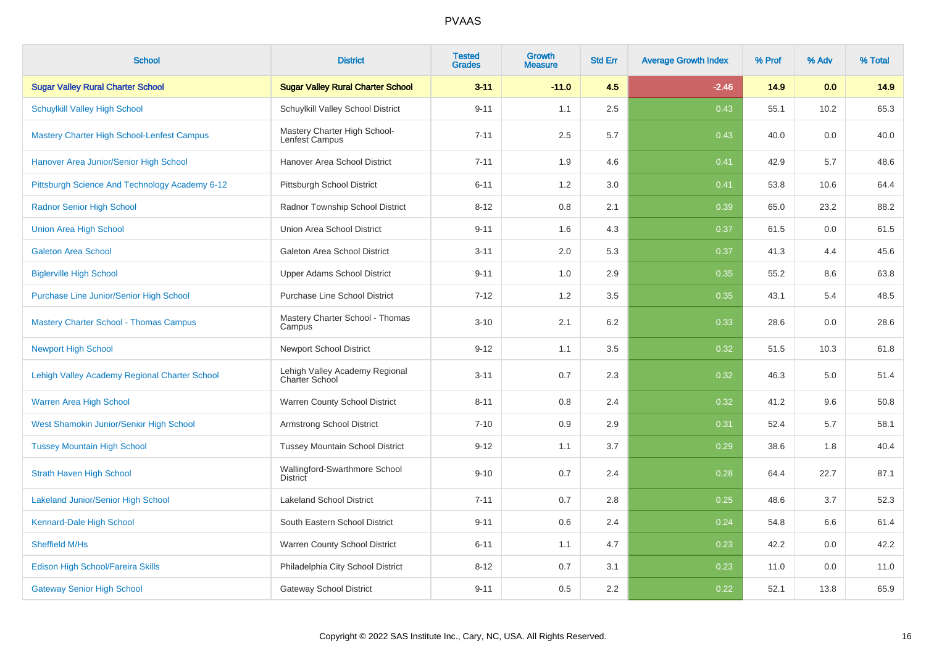| <b>School</b>                                     | <b>District</b>                                         | <b>Tested</b><br><b>Grades</b> | <b>Growth</b><br><b>Measure</b> | <b>Std Err</b> | <b>Average Growth Index</b> | % Prof | % Adv | % Total |
|---------------------------------------------------|---------------------------------------------------------|--------------------------------|---------------------------------|----------------|-----------------------------|--------|-------|---------|
| <b>Sugar Valley Rural Charter School</b>          | <b>Sugar Valley Rural Charter School</b>                | $3 - 11$                       | $-11.0$                         | 4.5            | $-2.46$                     | 14.9   | 0.0   | 14.9    |
| <b>Schuylkill Valley High School</b>              | Schuylkill Valley School District                       | $9 - 11$                       | 1.1                             | 2.5            | 0.43                        | 55.1   | 10.2  | 65.3    |
| <b>Mastery Charter High School-Lenfest Campus</b> | Mastery Charter High School-<br>Lenfest Campus          | $7 - 11$                       | 2.5                             | 5.7            | 0.43                        | 40.0   | 0.0   | 40.0    |
| Hanover Area Junior/Senior High School            | Hanover Area School District                            | $7 - 11$                       | 1.9                             | 4.6            | 0.41                        | 42.9   | 5.7   | 48.6    |
| Pittsburgh Science And Technology Academy 6-12    | Pittsburgh School District                              | $6 - 11$                       | 1.2                             | 3.0            | 0.41                        | 53.8   | 10.6  | 64.4    |
| <b>Radnor Senior High School</b>                  | Radnor Township School District                         | $8 - 12$                       | 0.8                             | 2.1            | 0.39                        | 65.0   | 23.2  | 88.2    |
| <b>Union Area High School</b>                     | Union Area School District                              | $9 - 11$                       | 1.6                             | 4.3            | 0.37                        | 61.5   | 0.0   | 61.5    |
| <b>Galeton Area School</b>                        | Galeton Area School District                            | $3 - 11$                       | 2.0                             | 5.3            | 0.37                        | 41.3   | 4.4   | 45.6    |
| <b>Biglerville High School</b>                    | <b>Upper Adams School District</b>                      | $9 - 11$                       | 1.0                             | 2.9            | 0.35                        | 55.2   | 8.6   | 63.8    |
| Purchase Line Junior/Senior High School           | <b>Purchase Line School District</b>                    | $7 - 12$                       | 1.2                             | 3.5            | 0.35                        | 43.1   | 5.4   | 48.5    |
| <b>Mastery Charter School - Thomas Campus</b>     | Mastery Charter School - Thomas<br>Campus               | $3 - 10$                       | 2.1                             | 6.2            | 0.33                        | 28.6   | 0.0   | 28.6    |
| <b>Newport High School</b>                        | <b>Newport School District</b>                          | $9 - 12$                       | 1.1                             | 3.5            | 0.32                        | 51.5   | 10.3  | 61.8    |
| Lehigh Valley Academy Regional Charter School     | Lehigh Valley Academy Regional<br><b>Charter School</b> | $3 - 11$                       | 0.7                             | 2.3            | 0.32                        | 46.3   | 5.0   | 51.4    |
| Warren Area High School                           | Warren County School District                           | $8 - 11$                       | 0.8                             | 2.4            | 0.32                        | 41.2   | 9.6   | 50.8    |
| West Shamokin Junior/Senior High School           | <b>Armstrong School District</b>                        | $7 - 10$                       | 0.9                             | 2.9            | 0.31                        | 52.4   | 5.7   | 58.1    |
| <b>Tussey Mountain High School</b>                | <b>Tussey Mountain School District</b>                  | $9 - 12$                       | 1.1                             | 3.7            | 0.29                        | 38.6   | 1.8   | 40.4    |
| <b>Strath Haven High School</b>                   | Wallingford-Swarthmore School<br><b>District</b>        | $9 - 10$                       | 0.7                             | 2.4            | 0.28                        | 64.4   | 22.7  | 87.1    |
| <b>Lakeland Junior/Senior High School</b>         | <b>Lakeland School District</b>                         | $7 - 11$                       | 0.7                             | 2.8            | 0.25                        | 48.6   | 3.7   | 52.3    |
| Kennard-Dale High School                          | South Eastern School District                           | $9 - 11$                       | 0.6                             | 2.4            | 0.24                        | 54.8   | 6.6   | 61.4    |
| Sheffield M/Hs                                    | Warren County School District                           | $6 - 11$                       | 1.1                             | 4.7            | 0.23                        | 42.2   | 0.0   | 42.2    |
| Edison High School/Fareira Skills                 | Philadelphia City School District                       | $8 - 12$                       | 0.7                             | 3.1            | 0.23                        | 11.0   | 0.0   | 11.0    |
| <b>Gateway Senior High School</b>                 | <b>Gateway School District</b>                          | $9 - 11$                       | 0.5                             | 2.2            | 0.22                        | 52.1   | 13.8  | 65.9    |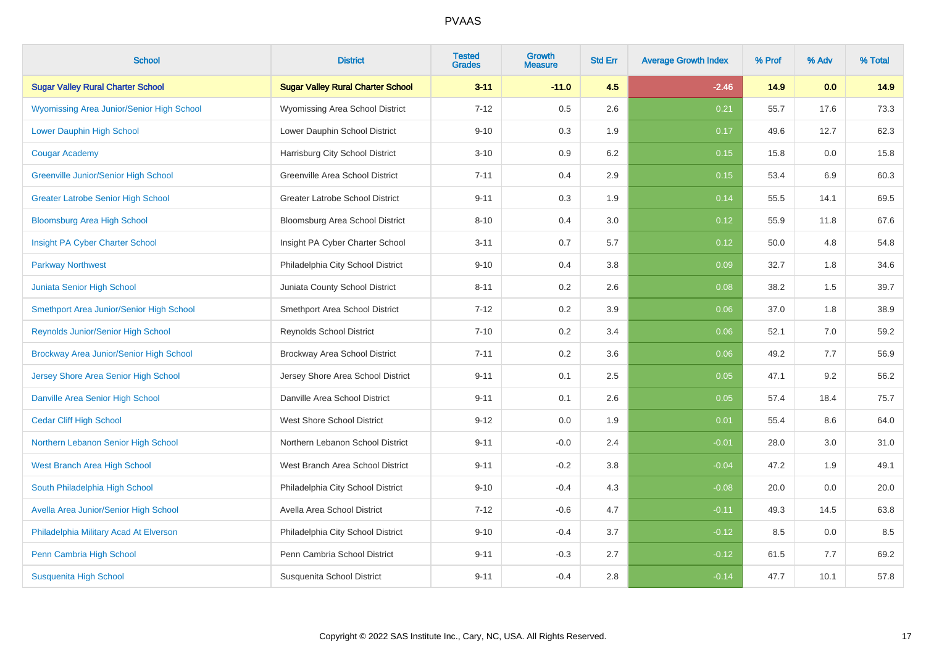| <b>School</b>                                    | <b>District</b>                          | <b>Tested</b><br><b>Grades</b> | <b>Growth</b><br><b>Measure</b> | <b>Std Err</b> | <b>Average Growth Index</b> | % Prof | % Adv | % Total |
|--------------------------------------------------|------------------------------------------|--------------------------------|---------------------------------|----------------|-----------------------------|--------|-------|---------|
| <b>Sugar Valley Rural Charter School</b>         | <b>Sugar Valley Rural Charter School</b> | $3 - 11$                       | $-11.0$                         | 4.5            | $-2.46$                     | 14.9   | 0.0   | 14.9    |
| <b>Wyomissing Area Junior/Senior High School</b> | Wyomissing Area School District          | $7 - 12$                       | 0.5                             | 2.6            | 0.21                        | 55.7   | 17.6  | 73.3    |
| <b>Lower Dauphin High School</b>                 | Lower Dauphin School District            | $9 - 10$                       | 0.3                             | 1.9            | 0.17                        | 49.6   | 12.7  | 62.3    |
| <b>Cougar Academy</b>                            | Harrisburg City School District          | $3 - 10$                       | 0.9                             | 6.2            | 0.15                        | 15.8   | 0.0   | 15.8    |
| Greenville Junior/Senior High School             | Greenville Area School District          | $7 - 11$                       | 0.4                             | 2.9            | 0.15                        | 53.4   | 6.9   | 60.3    |
| <b>Greater Latrobe Senior High School</b>        | <b>Greater Latrobe School District</b>   | $9 - 11$                       | 0.3                             | 1.9            | 0.14                        | 55.5   | 14.1  | 69.5    |
| <b>Bloomsburg Area High School</b>               | Bloomsburg Area School District          | $8 - 10$                       | 0.4                             | 3.0            | 0.12                        | 55.9   | 11.8  | 67.6    |
| Insight PA Cyber Charter School                  | Insight PA Cyber Charter School          | $3 - 11$                       | 0.7                             | 5.7            | 0.12                        | 50.0   | 4.8   | 54.8    |
| <b>Parkway Northwest</b>                         | Philadelphia City School District        | $9 - 10$                       | 0.4                             | 3.8            | 0.09                        | 32.7   | 1.8   | 34.6    |
| Juniata Senior High School                       | Juniata County School District           | $8 - 11$                       | 0.2                             | 2.6            | 0.08                        | 38.2   | 1.5   | 39.7    |
| Smethport Area Junior/Senior High School         | Smethport Area School District           | $7 - 12$                       | 0.2                             | 3.9            | 0.06                        | 37.0   | 1.8   | 38.9    |
| <b>Reynolds Junior/Senior High School</b>        | <b>Reynolds School District</b>          | $7 - 10$                       | 0.2                             | 3.4            | 0.06                        | 52.1   | 7.0   | 59.2    |
| Brockway Area Junior/Senior High School          | Brockway Area School District            | $7 - 11$                       | 0.2                             | 3.6            | 0.06                        | 49.2   | 7.7   | 56.9    |
| Jersey Shore Area Senior High School             | Jersey Shore Area School District        | $9 - 11$                       | 0.1                             | 2.5            | 0.05                        | 47.1   | 9.2   | 56.2    |
| Danville Area Senior High School                 | Danville Area School District            | $9 - 11$                       | 0.1                             | 2.6            | 0.05                        | 57.4   | 18.4  | 75.7    |
| <b>Cedar Cliff High School</b>                   | <b>West Shore School District</b>        | $9 - 12$                       | 0.0                             | 1.9            | 0.01                        | 55.4   | 8.6   | 64.0    |
| Northern Lebanon Senior High School              | Northern Lebanon School District         | $9 - 11$                       | $-0.0$                          | 2.4            | $-0.01$                     | 28.0   | 3.0   | 31.0    |
| West Branch Area High School                     | West Branch Area School District         | $9 - 11$                       | $-0.2$                          | 3.8            | $-0.04$                     | 47.2   | 1.9   | 49.1    |
| South Philadelphia High School                   | Philadelphia City School District        | $9 - 10$                       | $-0.4$                          | 4.3            | $-0.08$                     | 20.0   | 0.0   | 20.0    |
| Avella Area Junior/Senior High School            | Avella Area School District              | $7 - 12$                       | $-0.6$                          | 4.7            | $-0.11$                     | 49.3   | 14.5  | 63.8    |
| Philadelphia Military Acad At Elverson           | Philadelphia City School District        | $9 - 10$                       | $-0.4$                          | 3.7            | $-0.12$                     | 8.5    | 0.0   | 8.5     |
| Penn Cambria High School                         | Penn Cambria School District             | $9 - 11$                       | $-0.3$                          | 2.7            | $-0.12$                     | 61.5   | 7.7   | 69.2    |
| <b>Susquenita High School</b>                    | Susquenita School District               | $9 - 11$                       | $-0.4$                          | 2.8            | $-0.14$                     | 47.7   | 10.1  | 57.8    |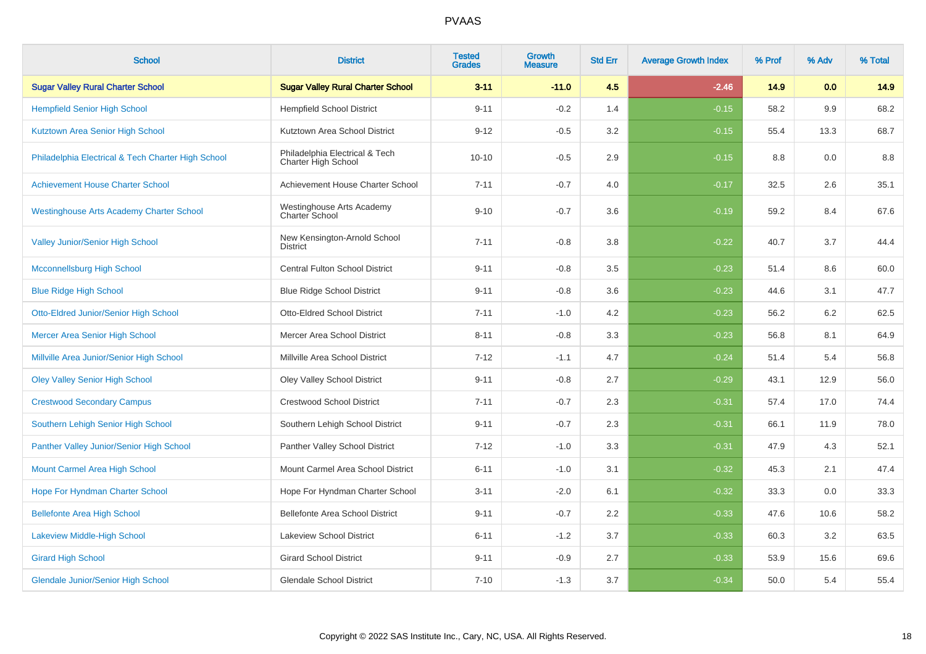| <b>School</b>                                      | <b>District</b>                                       | <b>Tested</b><br><b>Grades</b> | Growth<br><b>Measure</b> | <b>Std Err</b> | <b>Average Growth Index</b> | % Prof | % Adv | % Total |
|----------------------------------------------------|-------------------------------------------------------|--------------------------------|--------------------------|----------------|-----------------------------|--------|-------|---------|
| <b>Sugar Valley Rural Charter School</b>           | <b>Sugar Valley Rural Charter School</b>              | $3 - 11$                       | $-11.0$                  | 4.5            | $-2.46$                     | 14.9   | 0.0   | 14.9    |
| <b>Hempfield Senior High School</b>                | <b>Hempfield School District</b>                      | $9 - 11$                       | $-0.2$                   | 1.4            | $-0.15$                     | 58.2   | 9.9   | 68.2    |
| Kutztown Area Senior High School                   | Kutztown Area School District                         | $9 - 12$                       | $-0.5$                   | 3.2            | $-0.15$                     | 55.4   | 13.3  | 68.7    |
| Philadelphia Electrical & Tech Charter High School | Philadelphia Electrical & Tech<br>Charter High School | $10 - 10$                      | $-0.5$                   | 2.9            | $-0.15$                     | 8.8    | 0.0   | 8.8     |
| <b>Achievement House Charter School</b>            | Achievement House Charter School                      | $7 - 11$                       | $-0.7$                   | 4.0            | $-0.17$                     | 32.5   | 2.6   | 35.1    |
| <b>Westinghouse Arts Academy Charter School</b>    | Westinghouse Arts Academy<br>Charter School           | $9 - 10$                       | $-0.7$                   | 3.6            | $-0.19$                     | 59.2   | 8.4   | 67.6    |
| Valley Junior/Senior High School                   | New Kensington-Arnold School<br><b>District</b>       | $7 - 11$                       | $-0.8$                   | 3.8            | $-0.22$                     | 40.7   | 3.7   | 44.4    |
| <b>Mcconnellsburg High School</b>                  | Central Fulton School District                        | $9 - 11$                       | $-0.8$                   | 3.5            | $-0.23$                     | 51.4   | 8.6   | 60.0    |
| <b>Blue Ridge High School</b>                      | <b>Blue Ridge School District</b>                     | $9 - 11$                       | $-0.8$                   | 3.6            | $-0.23$                     | 44.6   | 3.1   | 47.7    |
| Otto-Eldred Junior/Senior High School              | <b>Otto-Eldred School District</b>                    | $7 - 11$                       | $-1.0$                   | 4.2            | $-0.23$                     | 56.2   | 6.2   | 62.5    |
| <b>Mercer Area Senior High School</b>              | Mercer Area School District                           | $8 - 11$                       | $-0.8$                   | 3.3            | $-0.23$                     | 56.8   | 8.1   | 64.9    |
| Millville Area Junior/Senior High School           | Millville Area School District                        | $7 - 12$                       | $-1.1$                   | 4.7            | $-0.24$                     | 51.4   | 5.4   | 56.8    |
| <b>Oley Valley Senior High School</b>              | Oley Valley School District                           | $9 - 11$                       | $-0.8$                   | 2.7            | $-0.29$                     | 43.1   | 12.9  | 56.0    |
| <b>Crestwood Secondary Campus</b>                  | <b>Crestwood School District</b>                      | $7 - 11$                       | $-0.7$                   | 2.3            | $-0.31$                     | 57.4   | 17.0  | 74.4    |
| Southern Lehigh Senior High School                 | Southern Lehigh School District                       | $9 - 11$                       | $-0.7$                   | 2.3            | $-0.31$                     | 66.1   | 11.9  | 78.0    |
| Panther Valley Junior/Senior High School           | Panther Valley School District                        | $7 - 12$                       | $-1.0$                   | 3.3            | $-0.31$                     | 47.9   | 4.3   | 52.1    |
| Mount Carmel Area High School                      | Mount Carmel Area School District                     | $6 - 11$                       | $-1.0$                   | 3.1            | $-0.32$                     | 45.3   | 2.1   | 47.4    |
| Hope For Hyndman Charter School                    | Hope For Hyndman Charter School                       | $3 - 11$                       | $-2.0$                   | 6.1            | $-0.32$                     | 33.3   | 0.0   | 33.3    |
| <b>Bellefonte Area High School</b>                 | Bellefonte Area School District                       | $9 - 11$                       | $-0.7$                   | 2.2            | $-0.33$                     | 47.6   | 10.6  | 58.2    |
| Lakeview Middle-High School                        | Lakeview School District                              | $6 - 11$                       | $-1.2$                   | 3.7            | $-0.33$                     | 60.3   | 3.2   | 63.5    |
| <b>Girard High School</b>                          | <b>Girard School District</b>                         | $9 - 11$                       | $-0.9$                   | 2.7            | $-0.33$                     | 53.9   | 15.6  | 69.6    |
| <b>Glendale Junior/Senior High School</b>          | <b>Glendale School District</b>                       | $7 - 10$                       | $-1.3$                   | 3.7            | $-0.34$                     | 50.0   | 5.4   | 55.4    |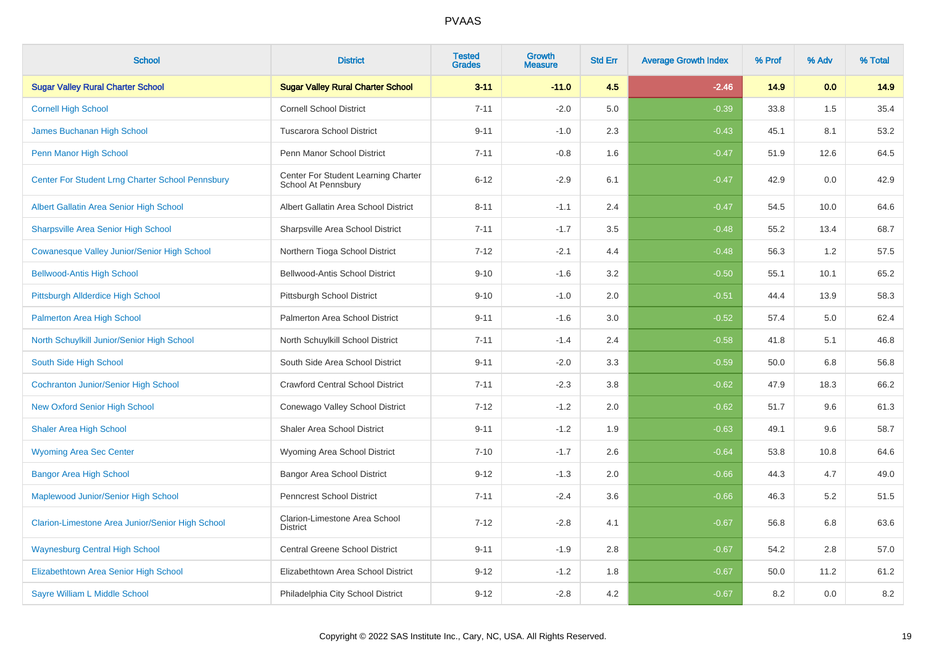| <b>School</b>                                      | <b>District</b>                                            | <b>Tested</b><br><b>Grades</b> | <b>Growth</b><br><b>Measure</b> | <b>Std Err</b> | <b>Average Growth Index</b> | % Prof | % Adv | % Total |
|----------------------------------------------------|------------------------------------------------------------|--------------------------------|---------------------------------|----------------|-----------------------------|--------|-------|---------|
| <b>Sugar Valley Rural Charter School</b>           | <b>Sugar Valley Rural Charter School</b>                   | $3 - 11$                       | $-11.0$                         | 4.5            | $-2.46$                     | 14.9   | 0.0   | 14.9    |
| <b>Cornell High School</b>                         | <b>Cornell School District</b>                             | $7 - 11$                       | $-2.0$                          | 5.0            | $-0.39$                     | 33.8   | 1.5   | 35.4    |
| James Buchanan High School                         | <b>Tuscarora School District</b>                           | $9 - 11$                       | $-1.0$                          | 2.3            | $-0.43$                     | 45.1   | 8.1   | 53.2    |
| Penn Manor High School                             | Penn Manor School District                                 | $7 - 11$                       | $-0.8$                          | 1.6            | $-0.47$                     | 51.9   | 12.6  | 64.5    |
| Center For Student Lrng Charter School Pennsbury   | Center For Student Learning Charter<br>School At Pennsbury | $6 - 12$                       | $-2.9$                          | 6.1            | $-0.47$                     | 42.9   | 0.0   | 42.9    |
| Albert Gallatin Area Senior High School            | Albert Gallatin Area School District                       | $8 - 11$                       | $-1.1$                          | 2.4            | $-0.47$                     | 54.5   | 10.0  | 64.6    |
| <b>Sharpsville Area Senior High School</b>         | Sharpsville Area School District                           | $7 - 11$                       | $-1.7$                          | 3.5            | $-0.48$                     | 55.2   | 13.4  | 68.7    |
| <b>Cowanesque Valley Junior/Senior High School</b> | Northern Tioga School District                             | $7 - 12$                       | $-2.1$                          | 4.4            | $-0.48$                     | 56.3   | 1.2   | 57.5    |
| <b>Bellwood-Antis High School</b>                  | <b>Bellwood-Antis School District</b>                      | $9 - 10$                       | $-1.6$                          | 3.2            | $-0.50$                     | 55.1   | 10.1  | 65.2    |
| Pittsburgh Allderdice High School                  | Pittsburgh School District                                 | $9 - 10$                       | $-1.0$                          | 2.0            | $-0.51$                     | 44.4   | 13.9  | 58.3    |
| <b>Palmerton Area High School</b>                  | Palmerton Area School District                             | $9 - 11$                       | $-1.6$                          | 3.0            | $-0.52$                     | 57.4   | 5.0   | 62.4    |
| North Schuylkill Junior/Senior High School         | North Schuylkill School District                           | $7 - 11$                       | $-1.4$                          | 2.4            | $-0.58$                     | 41.8   | 5.1   | 46.8    |
| South Side High School                             | South Side Area School District                            | $9 - 11$                       | $-2.0$                          | 3.3            | $-0.59$                     | 50.0   | 6.8   | 56.8    |
| <b>Cochranton Junior/Senior High School</b>        | <b>Crawford Central School District</b>                    | $7 - 11$                       | $-2.3$                          | 3.8            | $-0.62$                     | 47.9   | 18.3  | 66.2    |
| <b>New Oxford Senior High School</b>               | Conewago Valley School District                            | $7 - 12$                       | $-1.2$                          | 2.0            | $-0.62$                     | 51.7   | 9.6   | 61.3    |
| <b>Shaler Area High School</b>                     | <b>Shaler Area School District</b>                         | $9 - 11$                       | $-1.2$                          | 1.9            | $-0.63$                     | 49.1   | 9.6   | 58.7    |
| <b>Wyoming Area Sec Center</b>                     | Wyoming Area School District                               | $7 - 10$                       | $-1.7$                          | 2.6            | $-0.64$                     | 53.8   | 10.8  | 64.6    |
| <b>Bangor Area High School</b>                     | Bangor Area School District                                | $9 - 12$                       | $-1.3$                          | 2.0            | $-0.66$                     | 44.3   | 4.7   | 49.0    |
| Maplewood Junior/Senior High School                | <b>Penncrest School District</b>                           | $7 - 11$                       | $-2.4$                          | 3.6            | $-0.66$                     | 46.3   | 5.2   | 51.5    |
| Clarion-Limestone Area Junior/Senior High School   | Clarion-Limestone Area School<br><b>District</b>           | $7 - 12$                       | $-2.8$                          | 4.1            | $-0.67$                     | 56.8   | 6.8   | 63.6    |
| <b>Waynesburg Central High School</b>              | <b>Central Greene School District</b>                      | $9 - 11$                       | $-1.9$                          | 2.8            | $-0.67$                     | 54.2   | 2.8   | 57.0    |
| Elizabethtown Area Senior High School              | Elizabethtown Area School District                         | $9 - 12$                       | $-1.2$                          | 1.8            | $-0.67$                     | 50.0   | 11.2  | 61.2    |
| Sayre William L Middle School                      | Philadelphia City School District                          | $9 - 12$                       | $-2.8$                          | 4.2            | $-0.67$                     | 8.2    | 0.0   | $8.2\,$ |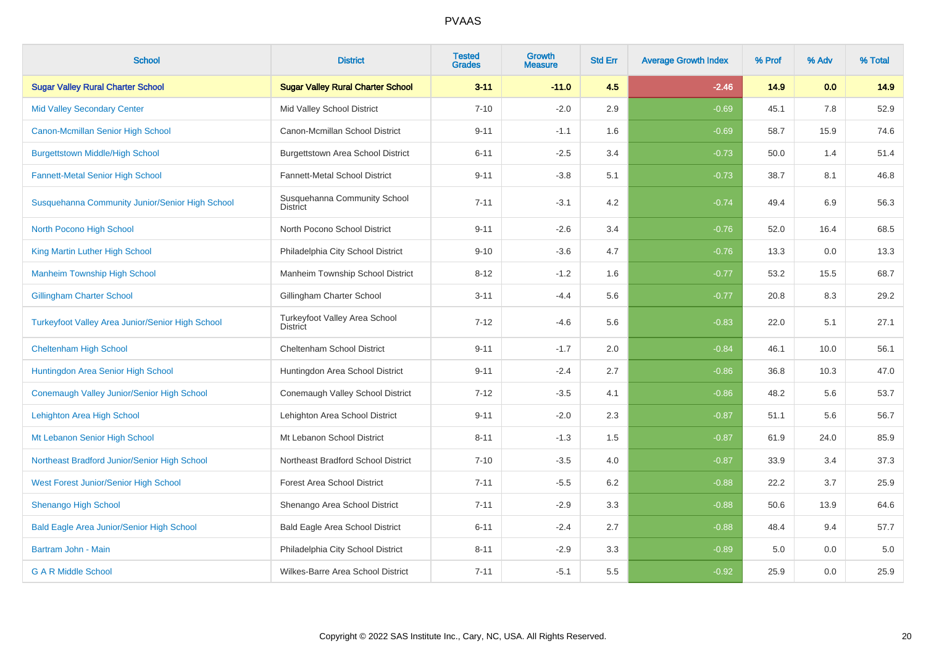| <b>School</b>                                           | <b>District</b>                                         | <b>Tested</b><br><b>Grades</b> | <b>Growth</b><br><b>Measure</b> | <b>Std Err</b> | <b>Average Growth Index</b> | % Prof | % Adv | % Total |
|---------------------------------------------------------|---------------------------------------------------------|--------------------------------|---------------------------------|----------------|-----------------------------|--------|-------|---------|
| <b>Sugar Valley Rural Charter School</b>                | <b>Sugar Valley Rural Charter School</b>                | $3 - 11$                       | $-11.0$                         | 4.5            | $-2.46$                     | 14.9   | 0.0   | 14.9    |
| <b>Mid Valley Secondary Center</b>                      | Mid Valley School District                              | $7 - 10$                       | $-2.0$                          | 2.9            | $-0.69$                     | 45.1   | 7.8   | 52.9    |
| Canon-Mcmillan Senior High School                       | Canon-Mcmillan School District                          | $9 - 11$                       | $-1.1$                          | 1.6            | $-0.69$                     | 58.7   | 15.9  | 74.6    |
| <b>Burgettstown Middle/High School</b>                  | <b>Burgettstown Area School District</b>                | $6 - 11$                       | $-2.5$                          | 3.4            | $-0.73$                     | 50.0   | 1.4   | 51.4    |
| <b>Fannett-Metal Senior High School</b>                 | Fannett-Metal School District                           | $9 - 11$                       | $-3.8$                          | 5.1            | $-0.73$                     | 38.7   | 8.1   | 46.8    |
| Susquehanna Community Junior/Senior High School         | Susquehanna Community School<br>District                | $7 - 11$                       | $-3.1$                          | 4.2            | $-0.74$                     | 49.4   | 6.9   | 56.3    |
| North Pocono High School                                | North Pocono School District                            | $9 - 11$                       | $-2.6$                          | 3.4            | $-0.76$                     | 52.0   | 16.4  | 68.5    |
| King Martin Luther High School                          | Philadelphia City School District                       | $9 - 10$                       | $-3.6$                          | 4.7            | $-0.76$                     | 13.3   | 0.0   | 13.3    |
| <b>Manheim Township High School</b>                     | Manheim Township School District                        | $8 - 12$                       | $-1.2$                          | 1.6            | $-0.77$                     | 53.2   | 15.5  | 68.7    |
| <b>Gillingham Charter School</b>                        | Gillingham Charter School                               | $3 - 11$                       | $-4.4$                          | 5.6            | $-0.77$                     | 20.8   | 8.3   | 29.2    |
| <b>Turkeyfoot Valley Area Junior/Senior High School</b> | <b>Turkeyfoot Valley Area School</b><br><b>District</b> | $7 - 12$                       | $-4.6$                          | 5.6            | $-0.83$                     | 22.0   | 5.1   | 27.1    |
| <b>Cheltenham High School</b>                           | <b>Cheltenham School District</b>                       | $9 - 11$                       | $-1.7$                          | 2.0            | $-0.84$                     | 46.1   | 10.0  | 56.1    |
| Huntingdon Area Senior High School                      | Huntingdon Area School District                         | $9 - 11$                       | $-2.4$                          | 2.7            | $-0.86$                     | 36.8   | 10.3  | 47.0    |
| Conemaugh Valley Junior/Senior High School              | Conemaugh Valley School District                        | $7 - 12$                       | $-3.5$                          | 4.1            | $-0.86$                     | 48.2   | 5.6   | 53.7    |
| Lehighton Area High School                              | Lehighton Area School District                          | $9 - 11$                       | $-2.0$                          | 2.3            | $-0.87$                     | 51.1   | 5.6   | 56.7    |
| Mt Lebanon Senior High School                           | Mt Lebanon School District                              | $8 - 11$                       | $-1.3$                          | 1.5            | $-0.87$                     | 61.9   | 24.0  | 85.9    |
| Northeast Bradford Junior/Senior High School            | Northeast Bradford School District                      | $7 - 10$                       | $-3.5$                          | 4.0            | $-0.87$                     | 33.9   | 3.4   | 37.3    |
| <b>West Forest Junior/Senior High School</b>            | <b>Forest Area School District</b>                      | $7 - 11$                       | $-5.5$                          | 6.2            | $-0.88$                     | 22.2   | 3.7   | 25.9    |
| <b>Shenango High School</b>                             | Shenango Area School District                           | $7 - 11$                       | $-2.9$                          | 3.3            | $-0.88$                     | 50.6   | 13.9  | 64.6    |
| <b>Bald Eagle Area Junior/Senior High School</b>        | <b>Bald Eagle Area School District</b>                  | $6 - 11$                       | $-2.4$                          | 2.7            | $-0.88$                     | 48.4   | 9.4   | 57.7    |
| Bartram John - Main                                     | Philadelphia City School District                       | $8 - 11$                       | $-2.9$                          | 3.3            | $-0.89$                     | 5.0    | 0.0   | 5.0     |
| <b>G A R Middle School</b>                              | Wilkes-Barre Area School District                       | $7 - 11$                       | $-5.1$                          | 5.5            | $-0.92$                     | 25.9   | 0.0   | 25.9    |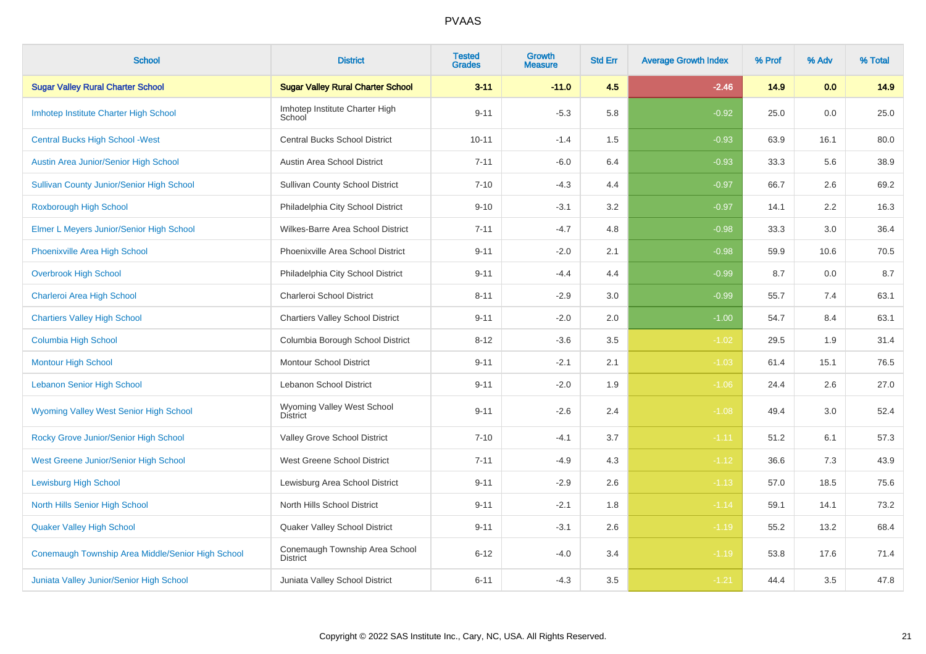| <b>School</b>                                     | <b>District</b>                                   | <b>Tested</b><br><b>Grades</b> | Growth<br><b>Measure</b> | <b>Std Err</b> | <b>Average Growth Index</b> | % Prof | % Adv | % Total |
|---------------------------------------------------|---------------------------------------------------|--------------------------------|--------------------------|----------------|-----------------------------|--------|-------|---------|
| <b>Sugar Valley Rural Charter School</b>          | <b>Sugar Valley Rural Charter School</b>          | $3 - 11$                       | $-11.0$                  | 4.5            | $-2.46$                     | 14.9   | 0.0   | 14.9    |
| Imhotep Institute Charter High School             | Imhotep Institute Charter High<br>School          | $9 - 11$                       | $-5.3$                   | 5.8            | $-0.92$                     | 25.0   | 0.0   | 25.0    |
| <b>Central Bucks High School - West</b>           | <b>Central Bucks School District</b>              | $10 - 11$                      | $-1.4$                   | 1.5            | $-0.93$                     | 63.9   | 16.1  | 80.0    |
| Austin Area Junior/Senior High School             | Austin Area School District                       | $7 - 11$                       | $-6.0$                   | 6.4            | $-0.93$                     | 33.3   | 5.6   | 38.9    |
| <b>Sullivan County Junior/Senior High School</b>  | <b>Sullivan County School District</b>            | $7 - 10$                       | $-4.3$                   | 4.4            | $-0.97$                     | 66.7   | 2.6   | 69.2    |
| Roxborough High School                            | Philadelphia City School District                 | $9 - 10$                       | $-3.1$                   | $3.2\,$        | $-0.97$                     | 14.1   | 2.2   | 16.3    |
| Elmer L Meyers Junior/Senior High School          | Wilkes-Barre Area School District                 | $7 - 11$                       | $-4.7$                   | 4.8            | $-0.98$                     | 33.3   | 3.0   | 36.4    |
| Phoenixville Area High School                     | Phoenixville Area School District                 | $9 - 11$                       | $-2.0$                   | 2.1            | $-0.98$                     | 59.9   | 10.6  | 70.5    |
| <b>Overbrook High School</b>                      | Philadelphia City School District                 | $9 - 11$                       | $-4.4$                   | 4.4            | $-0.99$                     | 8.7    | 0.0   | 8.7     |
| Charleroi Area High School                        | Charleroi School District                         | $8 - 11$                       | $-2.9$                   | 3.0            | $-0.99$                     | 55.7   | 7.4   | 63.1    |
| <b>Chartiers Valley High School</b>               | <b>Chartiers Valley School District</b>           | $9 - 11$                       | $-2.0$                   | 2.0            | $-1.00$                     | 54.7   | 8.4   | 63.1    |
| <b>Columbia High School</b>                       | Columbia Borough School District                  | $8 - 12$                       | $-3.6$                   | 3.5            | $-1.02$                     | 29.5   | 1.9   | 31.4    |
| <b>Montour High School</b>                        | <b>Montour School District</b>                    | $9 - 11$                       | $-2.1$                   | 2.1            | $-1.03$                     | 61.4   | 15.1  | 76.5    |
| <b>Lebanon Senior High School</b>                 | Lebanon School District                           | $9 - 11$                       | $-2.0$                   | 1.9            | $-1.06$                     | 24.4   | 2.6   | 27.0    |
| <b>Wyoming Valley West Senior High School</b>     | Wyoming Valley West School<br><b>District</b>     | $9 - 11$                       | $-2.6$                   | 2.4            | $-1.08$                     | 49.4   | 3.0   | 52.4    |
| Rocky Grove Junior/Senior High School             | Valley Grove School District                      | $7 - 10$                       | $-4.1$                   | 3.7            | $-1.11$                     | 51.2   | 6.1   | 57.3    |
| West Greene Junior/Senior High School             | West Greene School District                       | $7 - 11$                       | $-4.9$                   | 4.3            | $-1.12$                     | 36.6   | 7.3   | 43.9    |
| <b>Lewisburg High School</b>                      | Lewisburg Area School District                    | $9 - 11$                       | $-2.9$                   | 2.6            | $-1.13$                     | 57.0   | 18.5  | 75.6    |
| North Hills Senior High School                    | North Hills School District                       | $9 - 11$                       | $-2.1$                   | 1.8            | $-1.14$                     | 59.1   | 14.1  | 73.2    |
| <b>Quaker Valley High School</b>                  | Quaker Valley School District                     | $9 - 11$                       | $-3.1$                   | 2.6            | $-1.19$                     | 55.2   | 13.2  | 68.4    |
| Conemaugh Township Area Middle/Senior High School | Conemaugh Township Area School<br><b>District</b> | $6 - 12$                       | $-4.0$                   | 3.4            | $-1.19$                     | 53.8   | 17.6  | 71.4    |
| Juniata Valley Junior/Senior High School          | Juniata Valley School District                    | $6 - 11$                       | $-4.3$                   | 3.5            | $-1.21$                     | 44.4   | 3.5   | 47.8    |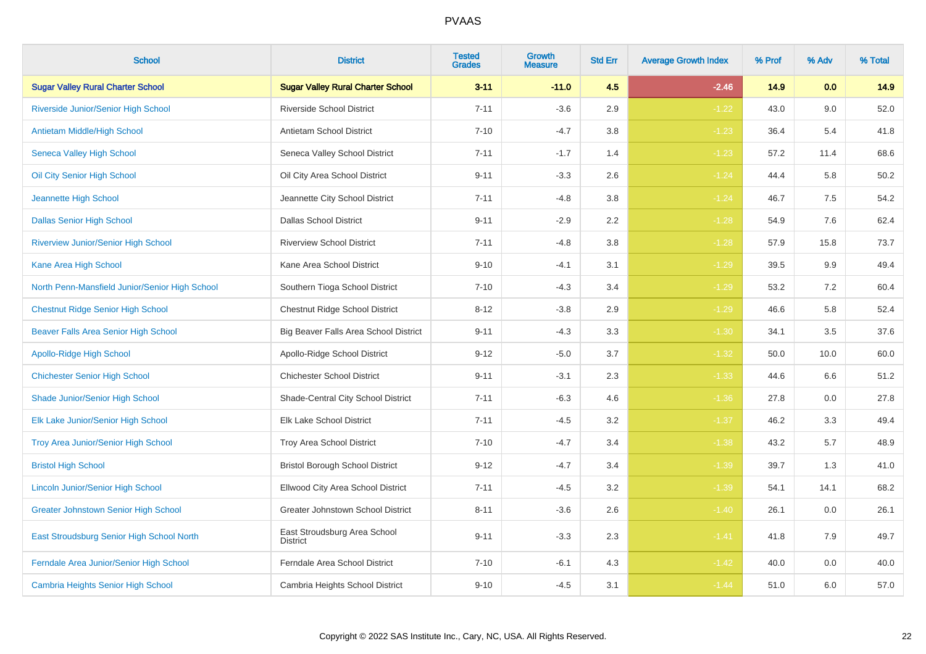| <b>School</b>                                  | <b>District</b>                                 | <b>Tested</b><br><b>Grades</b> | <b>Growth</b><br><b>Measure</b> | <b>Std Err</b> | <b>Average Growth Index</b> | % Prof | % Adv | % Total |
|------------------------------------------------|-------------------------------------------------|--------------------------------|---------------------------------|----------------|-----------------------------|--------|-------|---------|
| <b>Sugar Valley Rural Charter School</b>       | <b>Sugar Valley Rural Charter School</b>        | $3 - 11$                       | $-11.0$                         | 4.5            | $-2.46$                     | 14.9   | 0.0   | 14.9    |
| Riverside Junior/Senior High School            | Riverside School District                       | $7 - 11$                       | $-3.6$                          | 2.9            | $-1.22$                     | 43.0   | 9.0   | 52.0    |
| Antietam Middle/High School                    | Antietam School District                        | $7 - 10$                       | $-4.7$                          | 3.8            | $-1.23$                     | 36.4   | 5.4   | 41.8    |
| Seneca Valley High School                      | Seneca Valley School District                   | $7 - 11$                       | $-1.7$                          | 1.4            | $-1.23$                     | 57.2   | 11.4  | 68.6    |
| Oil City Senior High School                    | Oil City Area School District                   | $9 - 11$                       | $-3.3$                          | 2.6            | $-1.24$                     | 44.4   | 5.8   | 50.2    |
| Jeannette High School                          | Jeannette City School District                  | $7 - 11$                       | $-4.8$                          | 3.8            | $-1.24$                     | 46.7   | 7.5   | 54.2    |
| <b>Dallas Senior High School</b>               | <b>Dallas School District</b>                   | $9 - 11$                       | $-2.9$                          | 2.2            | $-1.28$                     | 54.9   | 7.6   | 62.4    |
| <b>Riverview Junior/Senior High School</b>     | <b>Riverview School District</b>                | $7 - 11$                       | $-4.8$                          | 3.8            | $-1.28$                     | 57.9   | 15.8  | 73.7    |
| Kane Area High School                          | Kane Area School District                       | $9 - 10$                       | $-4.1$                          | 3.1            | $-1.29$                     | 39.5   | 9.9   | 49.4    |
| North Penn-Mansfield Junior/Senior High School | Southern Tioga School District                  | $7 - 10$                       | $-4.3$                          | 3.4            | $-1.29$                     | 53.2   | 7.2   | 60.4    |
| <b>Chestnut Ridge Senior High School</b>       | Chestnut Ridge School District                  | $8 - 12$                       | $-3.8$                          | 2.9            | $-1.29$                     | 46.6   | 5.8   | 52.4    |
| Beaver Falls Area Senior High School           | Big Beaver Falls Area School District           | $9 - 11$                       | $-4.3$                          | 3.3            | $-1.30$                     | 34.1   | 3.5   | 37.6    |
| Apollo-Ridge High School                       | Apollo-Ridge School District                    | $9 - 12$                       | $-5.0$                          | 3.7            | $-1.32$                     | 50.0   | 10.0  | 60.0    |
| <b>Chichester Senior High School</b>           | <b>Chichester School District</b>               | $9 - 11$                       | $-3.1$                          | 2.3            | $-1.33$                     | 44.6   | 6.6   | 51.2    |
| Shade Junior/Senior High School                | Shade-Central City School District              | $7 - 11$                       | $-6.3$                          | 4.6            | $-1.36$                     | 27.8   | 0.0   | 27.8    |
| Elk Lake Junior/Senior High School             | <b>Elk Lake School District</b>                 | $7 - 11$                       | $-4.5$                          | 3.2            | $-1.37$                     | 46.2   | 3.3   | 49.4    |
| Troy Area Junior/Senior High School            | Troy Area School District                       | $7 - 10$                       | $-4.7$                          | 3.4            | $-1.38$                     | 43.2   | 5.7   | 48.9    |
| <b>Bristol High School</b>                     | <b>Bristol Borough School District</b>          | $9 - 12$                       | $-4.7$                          | 3.4            | $-1.39$                     | 39.7   | 1.3   | 41.0    |
| <b>Lincoln Junior/Senior High School</b>       | Ellwood City Area School District               | $7 - 11$                       | $-4.5$                          | 3.2            | $-1.39$                     | 54.1   | 14.1  | 68.2    |
| <b>Greater Johnstown Senior High School</b>    | Greater Johnstown School District               | $8 - 11$                       | $-3.6$                          | 2.6            | $-1.40$                     | 26.1   | 0.0   | 26.1    |
| East Stroudsburg Senior High School North      | East Stroudsburg Area School<br><b>District</b> | $9 - 11$                       | $-3.3$                          | 2.3            | $-1.41$                     | 41.8   | 7.9   | 49.7    |
| Ferndale Area Junior/Senior High School        | Ferndale Area School District                   | $7 - 10$                       | $-6.1$                          | 4.3            | $-1.42$                     | 40.0   | 0.0   | 40.0    |
| <b>Cambria Heights Senior High School</b>      | Cambria Heights School District                 | $9 - 10$                       | $-4.5$                          | 3.1            | $-1.44$                     | 51.0   | 6.0   | 57.0    |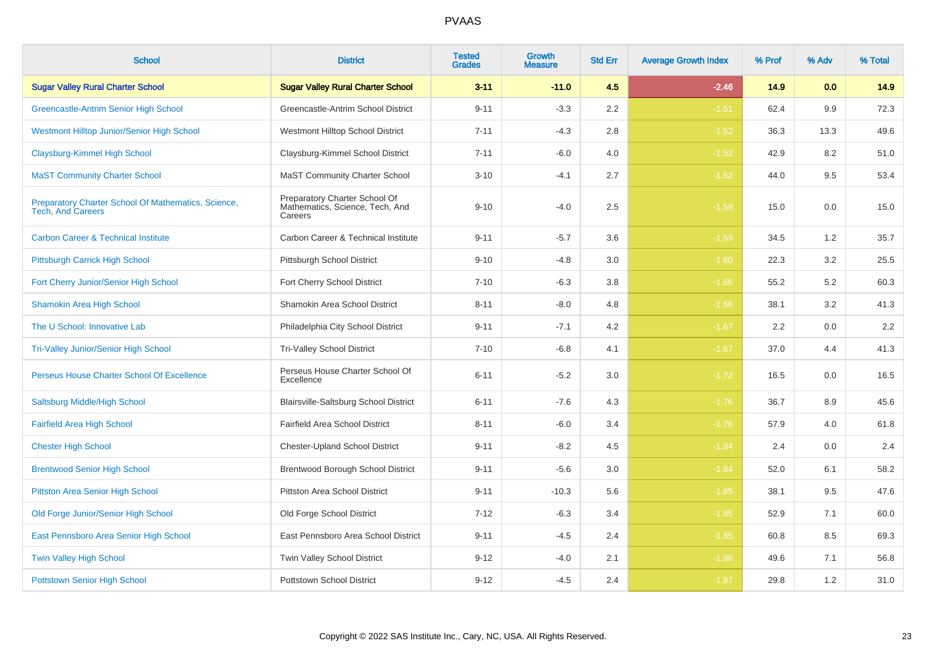| <b>School</b>                                                                   | <b>District</b>                                                             | <b>Tested</b><br><b>Grades</b> | Growth<br>Measure | <b>Std Err</b> | <b>Average Growth Index</b> | % Prof | % Adv | % Total |
|---------------------------------------------------------------------------------|-----------------------------------------------------------------------------|--------------------------------|-------------------|----------------|-----------------------------|--------|-------|---------|
| <b>Sugar Valley Rural Charter School</b>                                        | <b>Sugar Valley Rural Charter School</b>                                    | $3 - 11$                       | $-11.0$           | 4.5            | $-2.46$                     | 14.9   | 0.0   | 14.9    |
| Greencastle-Antrim Senior High School                                           | Greencastle-Antrim School District                                          | $9 - 11$                       | $-3.3$            | 2.2            | $-1.51$                     | 62.4   | 9.9   | 72.3    |
| Westmont Hilltop Junior/Senior High School                                      | Westmont Hilltop School District                                            | $7 - 11$                       | $-4.3$            | 2.8            | $-1.52$                     | 36.3   | 13.3  | 49.6    |
| Claysburg-Kimmel High School                                                    | Claysburg-Kimmel School District                                            | $7 - 11$                       | $-6.0$            | 4.0            | $-1.52$                     | 42.9   | 8.2   | 51.0    |
| <b>MaST Community Charter School</b>                                            | <b>MaST Community Charter School</b>                                        | $3 - 10$                       | $-4.1$            | 2.7            | $-1.52$                     | 44.0   | 9.5   | 53.4    |
| Preparatory Charter School Of Mathematics, Science,<br><b>Tech, And Careers</b> | Preparatory Charter School Of<br>Mathematics, Science, Tech, And<br>Careers | $9 - 10$                       | $-4.0$            | 2.5            | $-1.59$                     | 15.0   | 0.0   | 15.0    |
| <b>Carbon Career &amp; Technical Institute</b>                                  | Carbon Career & Technical Institute                                         | $9 - 11$                       | $-5.7$            | 3.6            | $-1.59$                     | 34.5   | 1.2   | 35.7    |
| Pittsburgh Carrick High School                                                  | Pittsburgh School District                                                  | $9 - 10$                       | $-4.8$            | 3.0            | $-1.60$                     | 22.3   | 3.2   | 25.5    |
| Fort Cherry Junior/Senior High School                                           | Fort Cherry School District                                                 | $7 - 10$                       | $-6.3$            | 3.8            | $-1.66$                     | 55.2   | 5.2   | 60.3    |
| <b>Shamokin Area High School</b>                                                | Shamokin Area School District                                               | $8 - 11$                       | $-8.0$            | 4.8            | $-1.66$                     | 38.1   | 3.2   | 41.3    |
| The U School: Innovative Lab                                                    | Philadelphia City School District                                           | $9 - 11$                       | $-7.1$            | 4.2            | $-1.67$                     | 2.2    | 0.0   | $2.2\,$ |
| <b>Tri-Valley Junior/Senior High School</b>                                     | <b>Tri-Valley School District</b>                                           | $7 - 10$                       | $-6.8$            | 4.1            | $-1.67$                     | 37.0   | 4.4   | 41.3    |
| Perseus House Charter School Of Excellence                                      | Perseus House Charter School Of<br>Excellence                               | $6 - 11$                       | $-5.2$            | 3.0            | $-1.72$                     | 16.5   | 0.0   | 16.5    |
| Saltsburg Middle/High School                                                    | Blairsville-Saltsburg School District                                       | $6 - 11$                       | $-7.6$            | 4.3            | $-1.76$                     | 36.7   | 8.9   | 45.6    |
| <b>Fairfield Area High School</b>                                               | Fairfield Area School District                                              | $8 - 11$                       | $-6.0$            | 3.4            | $-1.76$                     | 57.9   | 4.0   | 61.8    |
| <b>Chester High School</b>                                                      | <b>Chester-Upland School District</b>                                       | $9 - 11$                       | $-8.2$            | 4.5            | $-1.84$                     | 2.4    | 0.0   | 2.4     |
| <b>Brentwood Senior High School</b>                                             | Brentwood Borough School District                                           | $9 - 11$                       | $-5.6$            | $3.0\,$        | $-1.84$                     | 52.0   | 6.1   | 58.2    |
| <b>Pittston Area Senior High School</b>                                         | Pittston Area School District                                               | $9 - 11$                       | $-10.3$           | 5.6            | $-1.85$                     | 38.1   | 9.5   | 47.6    |
| Old Forge Junior/Senior High School                                             | Old Forge School District                                                   | $7 - 12$                       | $-6.3$            | 3.4            | $-1.85$                     | 52.9   | 7.1   | 60.0    |
| East Pennsboro Area Senior High School                                          | East Pennsboro Area School District                                         | $9 - 11$                       | $-4.5$            | 2.4            | $-1.85$                     | 60.8   | 8.5   | 69.3    |
| <b>Twin Valley High School</b>                                                  | Twin Valley School District                                                 | $9 - 12$                       | $-4.0$            | 2.1            | $-1.86$                     | 49.6   | 7.1   | 56.8    |
| <b>Pottstown Senior High School</b>                                             | <b>Pottstown School District</b>                                            | $9 - 12$                       | $-4.5$            | 2.4            | $-1.87$                     | 29.8   | 1.2   | 31.0    |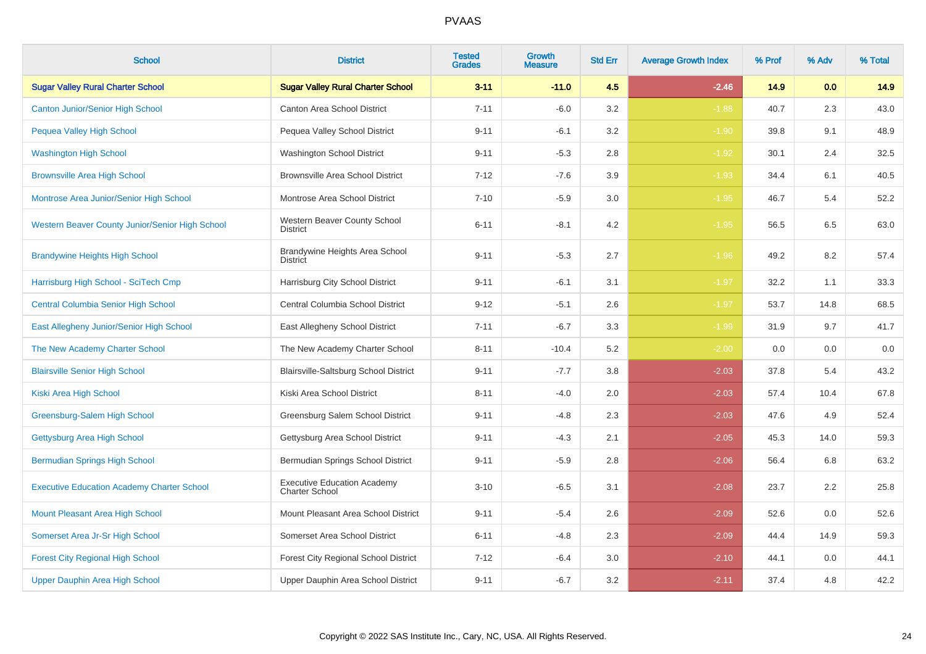| <b>School</b>                                     | <b>District</b>                                             | <b>Tested</b><br><b>Grades</b> | Growth<br><b>Measure</b> | <b>Std Err</b> | <b>Average Growth Index</b> | % Prof | % Adv | % Total |
|---------------------------------------------------|-------------------------------------------------------------|--------------------------------|--------------------------|----------------|-----------------------------|--------|-------|---------|
| <b>Sugar Valley Rural Charter School</b>          | <b>Sugar Valley Rural Charter School</b>                    | $3 - 11$                       | $-11.0$                  | 4.5            | $-2.46$                     | 14.9   | 0.0   | 14.9    |
| <b>Canton Junior/Senior High School</b>           | <b>Canton Area School District</b>                          | $7 - 11$                       | $-6.0$                   | 3.2            | $-1.88$                     | 40.7   | 2.3   | 43.0    |
| Pequea Valley High School                         | Pequea Valley School District                               | $9 - 11$                       | $-6.1$                   | 3.2            | $-1.90$                     | 39.8   | 9.1   | 48.9    |
| <b>Washington High School</b>                     | Washington School District                                  | $9 - 11$                       | $-5.3$                   | 2.8            | $-1.92$                     | 30.1   | 2.4   | 32.5    |
| <b>Brownsville Area High School</b>               | <b>Brownsville Area School District</b>                     | $7 - 12$                       | $-7.6$                   | 3.9            | $-1.93$                     | 34.4   | 6.1   | 40.5    |
| Montrose Area Junior/Senior High School           | Montrose Area School District                               | $7 - 10$                       | $-5.9$                   | 3.0            | $-1.95$                     | 46.7   | 5.4   | 52.2    |
| Western Beaver County Junior/Senior High School   | Western Beaver County School<br><b>District</b>             | $6 - 11$                       | $-8.1$                   | 4.2            | $-1.95$                     | 56.5   | 6.5   | 63.0    |
| <b>Brandywine Heights High School</b>             | Brandywine Heights Area School<br><b>District</b>           | $9 - 11$                       | $-5.3$                   | 2.7            | $-1.96$                     | 49.2   | 8.2   | 57.4    |
| Harrisburg High School - SciTech Cmp              | Harrisburg City School District                             | $9 - 11$                       | $-6.1$                   | 3.1            | $-1.97$                     | 32.2   | 1.1   | 33.3    |
| <b>Central Columbia Senior High School</b>        | Central Columbia School District                            | $9 - 12$                       | $-5.1$                   | 2.6            | $-1.97$                     | 53.7   | 14.8  | 68.5    |
| East Allegheny Junior/Senior High School          | East Allegheny School District                              | $7 - 11$                       | $-6.7$                   | 3.3            | $-1.99$                     | 31.9   | 9.7   | 41.7    |
| The New Academy Charter School                    | The New Academy Charter School                              | $8 - 11$                       | $-10.4$                  | 5.2            | $-2.00$                     | 0.0    | 0.0   | 0.0     |
| <b>Blairsville Senior High School</b>             | Blairsville-Saltsburg School District                       | $9 - 11$                       | $-7.7$                   | 3.8            | $-2.03$                     | 37.8   | 5.4   | 43.2    |
| Kiski Area High School                            | Kiski Area School District                                  | $8 - 11$                       | $-4.0$                   | 2.0            | $-2.03$                     | 57.4   | 10.4  | 67.8    |
| Greensburg-Salem High School                      | Greensburg Salem School District                            | $9 - 11$                       | $-4.8$                   | 2.3            | $-2.03$                     | 47.6   | 4.9   | 52.4    |
| Gettysburg Area High School                       | Gettysburg Area School District                             | $9 - 11$                       | $-4.3$                   | 2.1            | $-2.05$                     | 45.3   | 14.0  | 59.3    |
| <b>Bermudian Springs High School</b>              | Bermudian Springs School District                           | $9 - 11$                       | $-5.9$                   | 2.8            | $-2.06$                     | 56.4   | 6.8   | 63.2    |
| <b>Executive Education Academy Charter School</b> | <b>Executive Education Academy</b><br><b>Charter School</b> | $3 - 10$                       | $-6.5$                   | 3.1            | $-2.08$                     | 23.7   | 2.2   | 25.8    |
| <b>Mount Pleasant Area High School</b>            | Mount Pleasant Area School District                         | $9 - 11$                       | $-5.4$                   | 2.6            | $-2.09$                     | 52.6   | 0.0   | 52.6    |
| Somerset Area Jr-Sr High School                   | Somerset Area School District                               | $6 - 11$                       | $-4.8$                   | 2.3            | $-2.09$                     | 44.4   | 14.9  | 59.3    |
| <b>Forest City Regional High School</b>           | Forest City Regional School District                        | $7 - 12$                       | $-6.4$                   | 3.0            | $-2.10$                     | 44.1   | 0.0   | 44.1    |
| Upper Dauphin Area High School                    | Upper Dauphin Area School District                          | $9 - 11$                       | $-6.7$                   | 3.2            | $-2.11$                     | 37.4   | 4.8   | 42.2    |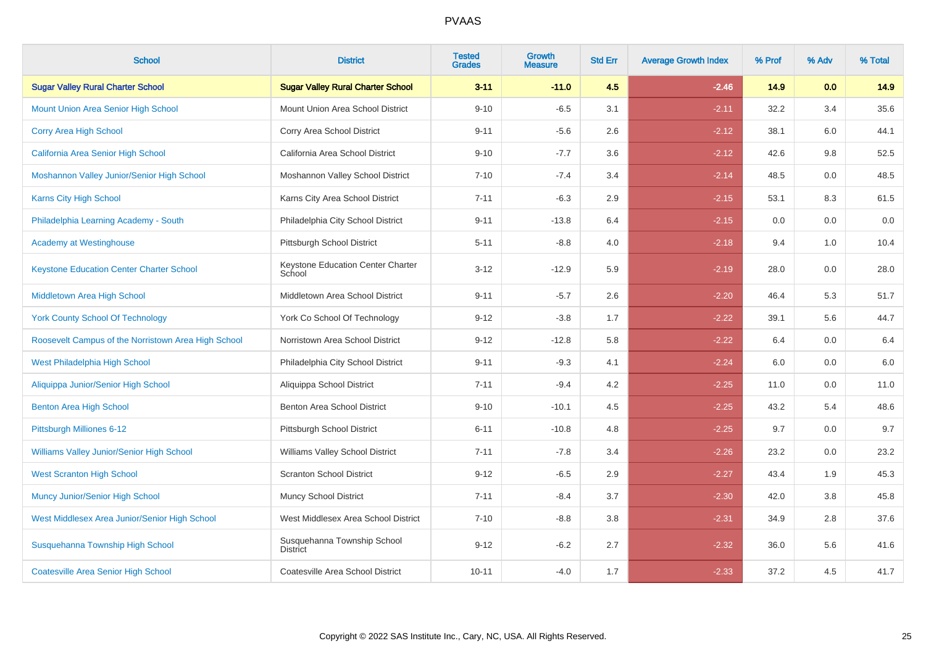| <b>School</b>                                       | <b>District</b>                             | <b>Tested</b><br><b>Grades</b> | <b>Growth</b><br><b>Measure</b> | <b>Std Err</b> | <b>Average Growth Index</b> | % Prof | % Adv | % Total |
|-----------------------------------------------------|---------------------------------------------|--------------------------------|---------------------------------|----------------|-----------------------------|--------|-------|---------|
| <b>Sugar Valley Rural Charter School</b>            | <b>Sugar Valley Rural Charter School</b>    | $3 - 11$                       | $-11.0$                         | 4.5            | $-2.46$                     | 14.9   | 0.0   | 14.9    |
| <b>Mount Union Area Senior High School</b>          | Mount Union Area School District            | $9 - 10$                       | $-6.5$                          | 3.1            | $-2.11$                     | 32.2   | 3.4   | 35.6    |
| Corry Area High School                              | Corry Area School District                  | $9 - 11$                       | $-5.6$                          | 2.6            | $-2.12$                     | 38.1   | 6.0   | 44.1    |
| California Area Senior High School                  | California Area School District             | $9 - 10$                       | $-7.7$                          | 3.6            | $-2.12$                     | 42.6   | 9.8   | 52.5    |
| Moshannon Valley Junior/Senior High School          | Moshannon Valley School District            | $7 - 10$                       | $-7.4$                          | 3.4            | $-2.14$                     | 48.5   | 0.0   | 48.5    |
| Karns City High School                              | Karns City Area School District             | $7 - 11$                       | $-6.3$                          | 2.9            | $-2.15$                     | 53.1   | 8.3   | 61.5    |
| Philadelphia Learning Academy - South               | Philadelphia City School District           | $9 - 11$                       | $-13.8$                         | 6.4            | $-2.15$                     | 0.0    | 0.0   | $0.0\,$ |
| <b>Academy at Westinghouse</b>                      | Pittsburgh School District                  | $5 - 11$                       | $-8.8$                          | 4.0            | $-2.18$                     | 9.4    | 1.0   | 10.4    |
| <b>Keystone Education Center Charter School</b>     | Keystone Education Center Charter<br>School | $3 - 12$                       | $-12.9$                         | 5.9            | $-2.19$                     | 28.0   | 0.0   | 28.0    |
| Middletown Area High School                         | Middletown Area School District             | $9 - 11$                       | $-5.7$                          | 2.6            | $-2.20$                     | 46.4   | 5.3   | 51.7    |
| <b>York County School Of Technology</b>             | York Co School Of Technology                | $9 - 12$                       | $-3.8$                          | 1.7            | $-2.22$                     | 39.1   | 5.6   | 44.7    |
| Roosevelt Campus of the Norristown Area High School | Norristown Area School District             | $9 - 12$                       | $-12.8$                         | 5.8            | $-2.22$                     | 6.4    | 0.0   | $6.4\,$ |
| West Philadelphia High School                       | Philadelphia City School District           | $9 - 11$                       | $-9.3$                          | 4.1            | $-2.24$                     | 6.0    | 0.0   | $6.0\,$ |
| Aliquippa Junior/Senior High School                 | Aliquippa School District                   | $7 - 11$                       | $-9.4$                          | 4.2            | $-2.25$                     | 11.0   | 0.0   | 11.0    |
| <b>Benton Area High School</b>                      | Benton Area School District                 | $9 - 10$                       | $-10.1$                         | 4.5            | $-2.25$                     | 43.2   | 5.4   | 48.6    |
| Pittsburgh Milliones 6-12                           | Pittsburgh School District                  | $6 - 11$                       | $-10.8$                         | 4.8            | $-2.25$                     | 9.7    | 0.0   | 9.7     |
| Williams Valley Junior/Senior High School           | Williams Valley School District             | $7 - 11$                       | $-7.8$                          | 3.4            | $-2.26$                     | 23.2   | 0.0   | 23.2    |
| <b>West Scranton High School</b>                    | <b>Scranton School District</b>             | $9 - 12$                       | $-6.5$                          | 2.9            | $-2.27$                     | 43.4   | 1.9   | 45.3    |
| <b>Muncy Junior/Senior High School</b>              | Muncy School District                       | $7 - 11$                       | $-8.4$                          | 3.7            | $-2.30$                     | 42.0   | 3.8   | 45.8    |
| West Middlesex Area Junior/Senior High School       | West Middlesex Area School District         | $7 - 10$                       | $-8.8$                          | 3.8            | $-2.31$                     | 34.9   | 2.8   | 37.6    |
| Susquehanna Township High School                    | Susquehanna Township School<br>District     | $9 - 12$                       | $-6.2$                          | 2.7            | $-2.32$                     | 36.0   | 5.6   | 41.6    |
| <b>Coatesville Area Senior High School</b>          | Coatesville Area School District            | $10 - 11$                      | $-4.0$                          | 1.7            | $-2.33$                     | 37.2   | 4.5   | 41.7    |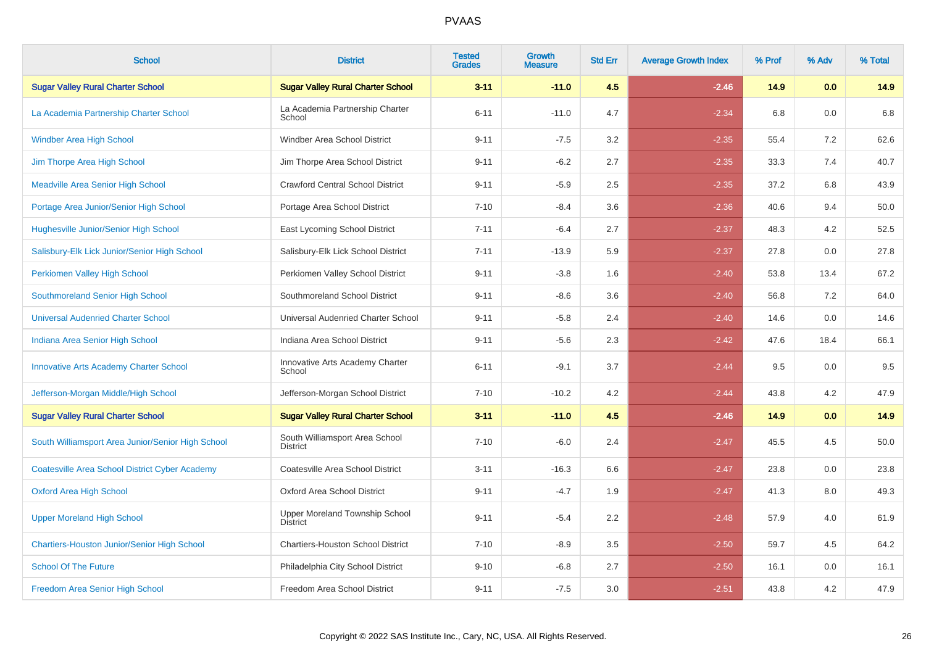| <b>School</b>                                         | <b>District</b>                                   | <b>Tested</b><br><b>Grades</b> | <b>Growth</b><br><b>Measure</b> | <b>Std Err</b> | <b>Average Growth Index</b> | % Prof | % Adv | % Total |
|-------------------------------------------------------|---------------------------------------------------|--------------------------------|---------------------------------|----------------|-----------------------------|--------|-------|---------|
| <b>Sugar Valley Rural Charter School</b>              | <b>Sugar Valley Rural Charter School</b>          | $3 - 11$                       | $-11.0$                         | 4.5            | $-2.46$                     | 14.9   | 0.0   | 14.9    |
| La Academia Partnership Charter School                | La Academia Partnership Charter<br>School         | $6 - 11$                       | $-11.0$                         | 4.7            | $-2.34$                     | 6.8    | 0.0   | 6.8     |
| <b>Windber Area High School</b>                       | Windber Area School District                      | $9 - 11$                       | $-7.5$                          | 3.2            | $-2.35$                     | 55.4   | 7.2   | 62.6    |
| Jim Thorpe Area High School                           | Jim Thorpe Area School District                   | $9 - 11$                       | $-6.2$                          | 2.7            | $-2.35$                     | 33.3   | 7.4   | 40.7    |
| <b>Meadville Area Senior High School</b>              | <b>Crawford Central School District</b>           | $9 - 11$                       | $-5.9$                          | 2.5            | $-2.35$                     | 37.2   | 6.8   | 43.9    |
| Portage Area Junior/Senior High School                | Portage Area School District                      | $7 - 10$                       | $-8.4$                          | 3.6            | $-2.36$                     | 40.6   | 9.4   | 50.0    |
| Hughesville Junior/Senior High School                 | East Lycoming School District                     | $7 - 11$                       | $-6.4$                          | 2.7            | $-2.37$                     | 48.3   | 4.2   | 52.5    |
| Salisbury-Elk Lick Junior/Senior High School          | Salisbury-Elk Lick School District                | $7 - 11$                       | $-13.9$                         | 5.9            | $-2.37$                     | 27.8   | 0.0   | 27.8    |
| Perkiomen Valley High School                          | Perkiomen Valley School District                  | $9 - 11$                       | $-3.8$                          | 1.6            | $-2.40$                     | 53.8   | 13.4  | 67.2    |
| Southmoreland Senior High School                      | Southmoreland School District                     | $9 - 11$                       | $-8.6$                          | 3.6            | $-2.40$                     | 56.8   | 7.2   | 64.0    |
| <b>Universal Audenried Charter School</b>             | Universal Audenried Charter School                | $9 - 11$                       | $-5.8$                          | 2.4            | $-2.40$                     | 14.6   | 0.0   | 14.6    |
| Indiana Area Senior High School                       | Indiana Area School District                      | $9 - 11$                       | $-5.6$                          | 2.3            | $-2.42$                     | 47.6   | 18.4  | 66.1    |
| <b>Innovative Arts Academy Charter School</b>         | Innovative Arts Academy Charter<br>School         | $6 - 11$                       | $-9.1$                          | 3.7            | $-2.44$                     | 9.5    | 0.0   | 9.5     |
| Jefferson-Morgan Middle/High School                   | Jefferson-Morgan School District                  | $7 - 10$                       | $-10.2$                         | 4.2            | $-2.44$                     | 43.8   | 4.2   | 47.9    |
| <b>Sugar Valley Rural Charter School</b>              | <b>Sugar Valley Rural Charter School</b>          | $3 - 11$                       | $-11.0$                         | 4.5            | $-2.46$                     | 14.9   | 0.0   | 14.9    |
| South Williamsport Area Junior/Senior High School     | South Williamsport Area School<br><b>District</b> | $7 - 10$                       | $-6.0$                          | 2.4            | $-2.47$                     | 45.5   | 4.5   | 50.0    |
| <b>Coatesville Area School District Cyber Academy</b> | Coatesville Area School District                  | $3 - 11$                       | $-16.3$                         | 6.6            | $-2.47$                     | 23.8   | 0.0   | 23.8    |
| <b>Oxford Area High School</b>                        | Oxford Area School District                       | $9 - 11$                       | $-4.7$                          | 1.9            | $-2.47$                     | 41.3   | 8.0   | 49.3    |
| <b>Upper Moreland High School</b>                     | Upper Moreland Township School<br>District        | $9 - 11$                       | $-5.4$                          | 2.2            | $-2.48$                     | 57.9   | 4.0   | 61.9    |
| Chartiers-Houston Junior/Senior High School           | <b>Chartiers-Houston School District</b>          | $7 - 10$                       | $-8.9$                          | 3.5            | $-2.50$                     | 59.7   | 4.5   | 64.2    |
| <b>School Of The Future</b>                           | Philadelphia City School District                 | $9 - 10$                       | $-6.8$                          | 2.7            | $-2.50$                     | 16.1   | 0.0   | 16.1    |
| Freedom Area Senior High School                       | Freedom Area School District                      | $9 - 11$                       | $-7.5$                          | 3.0            | $-2.51$                     | 43.8   | 4.2   | 47.9    |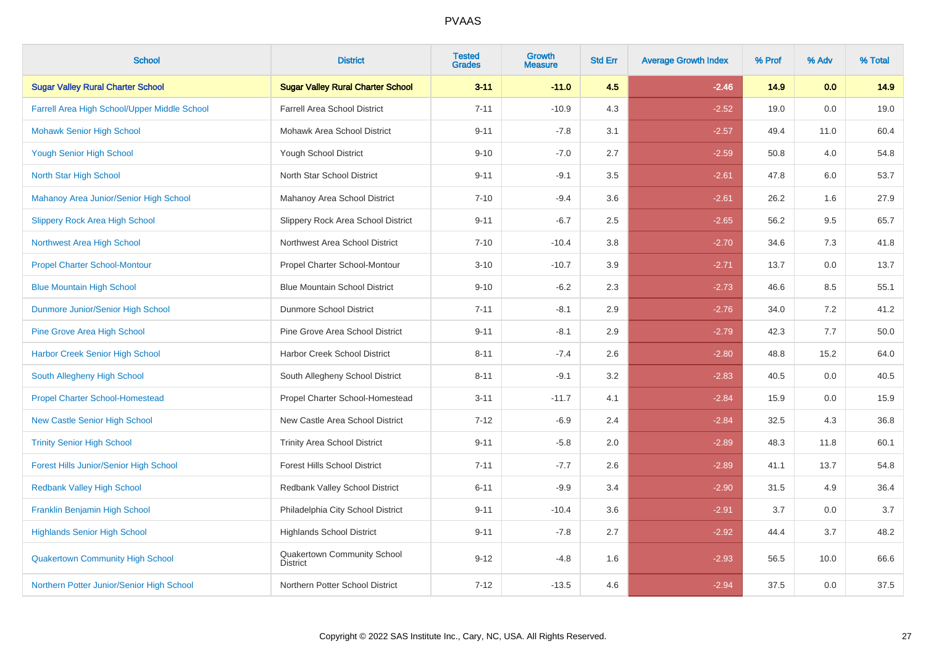| <b>School</b>                                 | <b>District</b>                                | <b>Tested</b><br><b>Grades</b> | <b>Growth</b><br><b>Measure</b> | <b>Std Err</b> | <b>Average Growth Index</b> | % Prof | % Adv | % Total |
|-----------------------------------------------|------------------------------------------------|--------------------------------|---------------------------------|----------------|-----------------------------|--------|-------|---------|
| <b>Sugar Valley Rural Charter School</b>      | <b>Sugar Valley Rural Charter School</b>       | $3 - 11$                       | $-11.0$                         | 4.5            | $-2.46$                     | 14.9   | 0.0   | 14.9    |
| Farrell Area High School/Upper Middle School  | <b>Farrell Area School District</b>            | $7 - 11$                       | $-10.9$                         | 4.3            | $-2.52$                     | 19.0   | 0.0   | 19.0    |
| <b>Mohawk Senior High School</b>              | Mohawk Area School District                    | $9 - 11$                       | $-7.8$                          | 3.1            | $-2.57$                     | 49.4   | 11.0  | 60.4    |
| <b>Yough Senior High School</b>               | Yough School District                          | $9 - 10$                       | $-7.0$                          | 2.7            | $-2.59$                     | 50.8   | 4.0   | 54.8    |
| North Star High School                        | North Star School District                     | $9 - 11$                       | $-9.1$                          | 3.5            | $-2.61$                     | 47.8   | 6.0   | 53.7    |
| Mahanoy Area Junior/Senior High School        | Mahanoy Area School District                   | $7 - 10$                       | $-9.4$                          | 3.6            | $-2.61$                     | 26.2   | 1.6   | 27.9    |
| <b>Slippery Rock Area High School</b>         | Slippery Rock Area School District             | $9 - 11$                       | $-6.7$                          | 2.5            | $-2.65$                     | 56.2   | 9.5   | 65.7    |
| Northwest Area High School                    | Northwest Area School District                 | $7 - 10$                       | $-10.4$                         | 3.8            | $-2.70$                     | 34.6   | 7.3   | 41.8    |
| <b>Propel Charter School-Montour</b>          | Propel Charter School-Montour                  | $3 - 10$                       | $-10.7$                         | 3.9            | $-2.71$                     | 13.7   | 0.0   | 13.7    |
| <b>Blue Mountain High School</b>              | <b>Blue Mountain School District</b>           | $9 - 10$                       | $-6.2$                          | 2.3            | $-2.73$                     | 46.6   | 8.5   | 55.1    |
| Dunmore Junior/Senior High School             | <b>Dunmore School District</b>                 | $7 - 11$                       | $-8.1$                          | 2.9            | $-2.76$                     | 34.0   | 7.2   | 41.2    |
| <b>Pine Grove Area High School</b>            | Pine Grove Area School District                | $9 - 11$                       | $-8.1$                          | 2.9            | $-2.79$                     | 42.3   | 7.7   | 50.0    |
| <b>Harbor Creek Senior High School</b>        | Harbor Creek School District                   | $8 - 11$                       | $-7.4$                          | 2.6            | $-2.80$                     | 48.8   | 15.2  | 64.0    |
| South Allegheny High School                   | South Allegheny School District                | $8 - 11$                       | $-9.1$                          | 3.2            | $-2.83$                     | 40.5   | 0.0   | 40.5    |
| <b>Propel Charter School-Homestead</b>        | Propel Charter School-Homestead                | $3 - 11$                       | $-11.7$                         | 4.1            | $-2.84$                     | 15.9   | 0.0   | 15.9    |
| <b>New Castle Senior High School</b>          | New Castle Area School District                | $7 - 12$                       | $-6.9$                          | 2.4            | $-2.84$                     | 32.5   | 4.3   | 36.8    |
| <b>Trinity Senior High School</b>             | <b>Trinity Area School District</b>            | $9 - 11$                       | $-5.8$                          | 2.0            | $-2.89$                     | 48.3   | 11.8  | 60.1    |
| <b>Forest Hills Junior/Senior High School</b> | <b>Forest Hills School District</b>            | $7 - 11$                       | $-7.7$                          | 2.6            | $-2.89$                     | 41.1   | 13.7  | 54.8    |
| <b>Redbank Valley High School</b>             | Redbank Valley School District                 | $6 - 11$                       | $-9.9$                          | 3.4            | $-2.90$                     | 31.5   | 4.9   | 36.4    |
| Franklin Benjamin High School                 | Philadelphia City School District              | $9 - 11$                       | $-10.4$                         | 3.6            | $-2.91$                     | 3.7    | 0.0   | 3.7     |
| <b>Highlands Senior High School</b>           | <b>Highlands School District</b>               | $9 - 11$                       | $-7.8$                          | 2.7            | $-2.92$                     | 44.4   | 3.7   | 48.2    |
| <b>Quakertown Community High School</b>       | Quakertown Community School<br><b>District</b> | $9 - 12$                       | $-4.8$                          | 1.6            | $-2.93$                     | 56.5   | 10.0  | 66.6    |
| Northern Potter Junior/Senior High School     | Northern Potter School District                | $7 - 12$                       | $-13.5$                         | 4.6            | $-2.94$                     | 37.5   | 0.0   | 37.5    |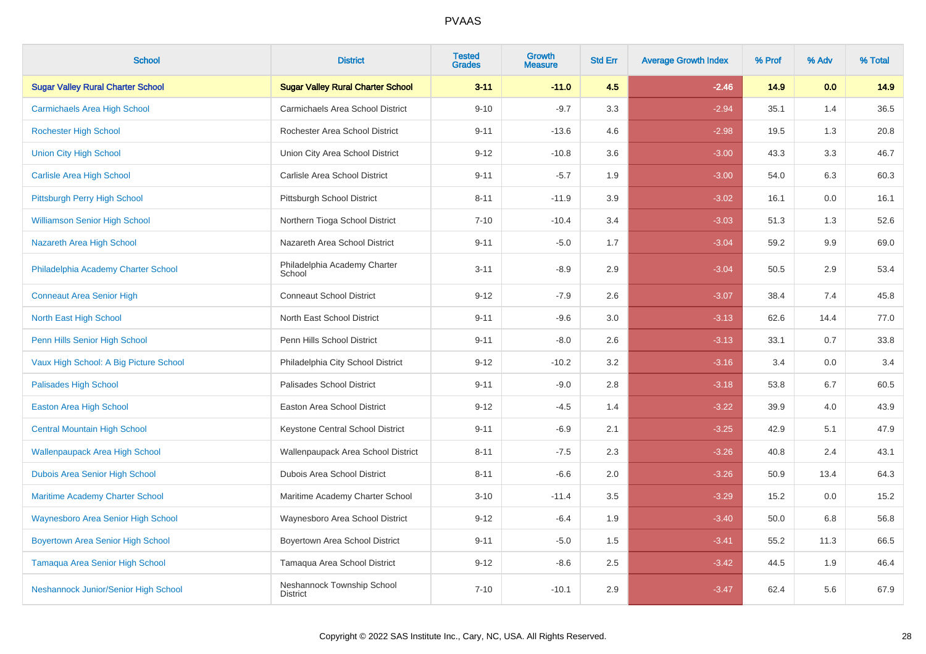| <b>School</b>                             | <b>District</b>                               | <b>Tested</b><br><b>Grades</b> | Growth<br><b>Measure</b> | <b>Std Err</b> | <b>Average Growth Index</b> | % Prof | % Adv | % Total |
|-------------------------------------------|-----------------------------------------------|--------------------------------|--------------------------|----------------|-----------------------------|--------|-------|---------|
| <b>Sugar Valley Rural Charter School</b>  | <b>Sugar Valley Rural Charter School</b>      | $3 - 11$                       | $-11.0$                  | 4.5            | $-2.46$                     | 14.9   | 0.0   | 14.9    |
| <b>Carmichaels Area High School</b>       | Carmichaels Area School District              | $9 - 10$                       | $-9.7$                   | 3.3            | $-2.94$                     | 35.1   | 1.4   | 36.5    |
| <b>Rochester High School</b>              | Rochester Area School District                | $9 - 11$                       | $-13.6$                  | 4.6            | $-2.98$                     | 19.5   | 1.3   | 20.8    |
| <b>Union City High School</b>             | Union City Area School District               | $9 - 12$                       | $-10.8$                  | 3.6            | $-3.00$                     | 43.3   | 3.3   | 46.7    |
| <b>Carlisle Area High School</b>          | Carlisle Area School District                 | $9 - 11$                       | $-5.7$                   | 1.9            | $-3.00$                     | 54.0   | 6.3   | 60.3    |
| Pittsburgh Perry High School              | Pittsburgh School District                    | $8 - 11$                       | $-11.9$                  | 3.9            | $-3.02$                     | 16.1   | 0.0   | 16.1    |
| <b>Williamson Senior High School</b>      | Northern Tioga School District                | $7 - 10$                       | $-10.4$                  | 3.4            | $-3.03$                     | 51.3   | 1.3   | 52.6    |
| Nazareth Area High School                 | Nazareth Area School District                 | $9 - 11$                       | $-5.0$                   | 1.7            | $-3.04$                     | 59.2   | 9.9   | 69.0    |
| Philadelphia Academy Charter School       | Philadelphia Academy Charter<br>School        | $3 - 11$                       | $-8.9$                   | 2.9            | $-3.04$                     | 50.5   | 2.9   | 53.4    |
| <b>Conneaut Area Senior High</b>          | <b>Conneaut School District</b>               | $9 - 12$                       | $-7.9$                   | 2.6            | $-3.07$                     | 38.4   | 7.4   | 45.8    |
| North East High School                    | North East School District                    | $9 - 11$                       | $-9.6$                   | 3.0            | $-3.13$                     | 62.6   | 14.4  | 77.0    |
| Penn Hills Senior High School             | Penn Hills School District                    | $9 - 11$                       | $-8.0$                   | 2.6            | $-3.13$                     | 33.1   | 0.7   | 33.8    |
| Vaux High School: A Big Picture School    | Philadelphia City School District             | $9 - 12$                       | $-10.2$                  | 3.2            | $-3.16$                     | 3.4    | 0.0   | 3.4     |
| <b>Palisades High School</b>              | Palisades School District                     | $9 - 11$                       | $-9.0$                   | 2.8            | $-3.18$                     | 53.8   | 6.7   | 60.5    |
| Easton Area High School                   | Easton Area School District                   | $9 - 12$                       | $-4.5$                   | 1.4            | $-3.22$                     | 39.9   | 4.0   | 43.9    |
| <b>Central Mountain High School</b>       | Keystone Central School District              | $9 - 11$                       | $-6.9$                   | 2.1            | $-3.25$                     | 42.9   | 5.1   | 47.9    |
| <b>Wallenpaupack Area High School</b>     | Wallenpaupack Area School District            | $8 - 11$                       | $-7.5$                   | 2.3            | $-3.26$                     | 40.8   | 2.4   | 43.1    |
| Dubois Area Senior High School            | Dubois Area School District                   | $8 - 11$                       | $-6.6$                   | 2.0            | $-3.26$                     | 50.9   | 13.4  | 64.3    |
| <b>Maritime Academy Charter School</b>    | Maritime Academy Charter School               | $3 - 10$                       | $-11.4$                  | 3.5            | $-3.29$                     | 15.2   | 0.0   | 15.2    |
| <b>Waynesboro Area Senior High School</b> | Waynesboro Area School District               | $9 - 12$                       | $-6.4$                   | 1.9            | $-3.40$                     | 50.0   | 6.8   | 56.8    |
| <b>Boyertown Area Senior High School</b>  | Boyertown Area School District                | $9 - 11$                       | $-5.0$                   | 1.5            | $-3.41$                     | 55.2   | 11.3  | 66.5    |
| <b>Tamaqua Area Senior High School</b>    | Tamaqua Area School District                  | $9 - 12$                       | $-8.6$                   | 2.5            | $-3.42$                     | 44.5   | 1.9   | 46.4    |
| Neshannock Junior/Senior High School      | Neshannock Township School<br><b>District</b> | $7 - 10$                       | $-10.1$                  | 2.9            | $-3.47$                     | 62.4   | 5.6   | 67.9    |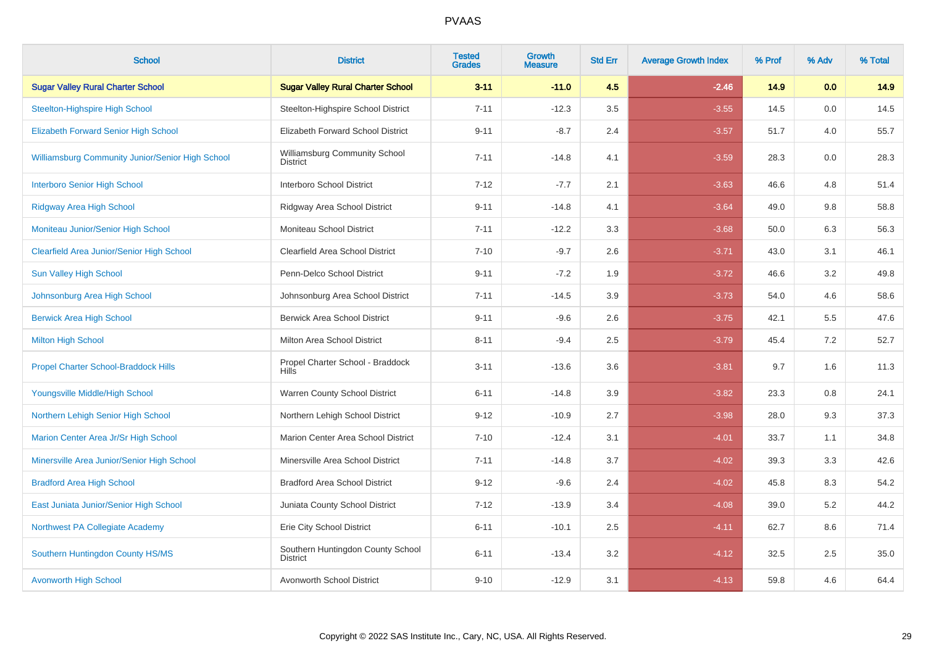| <b>School</b>                                           | <b>District</b>                                      | <b>Tested</b><br><b>Grades</b> | <b>Growth</b><br><b>Measure</b> | <b>Std Err</b> | <b>Average Growth Index</b> | % Prof | % Adv | % Total |
|---------------------------------------------------------|------------------------------------------------------|--------------------------------|---------------------------------|----------------|-----------------------------|--------|-------|---------|
| <b>Sugar Valley Rural Charter School</b>                | <b>Sugar Valley Rural Charter School</b>             | $3 - 11$                       | $-11.0$                         | 4.5            | $-2.46$                     | 14.9   | 0.0   | 14.9    |
| <b>Steelton-Highspire High School</b>                   | Steelton-Highspire School District                   | $7 - 11$                       | $-12.3$                         | 3.5            | $-3.55$                     | 14.5   | 0.0   | 14.5    |
| <b>Elizabeth Forward Senior High School</b>             | Elizabeth Forward School District                    | $9 - 11$                       | $-8.7$                          | 2.4            | $-3.57$                     | 51.7   | 4.0   | 55.7    |
| <b>Williamsburg Community Junior/Senior High School</b> | Williamsburg Community School<br><b>District</b>     | $7 - 11$                       | $-14.8$                         | 4.1            | $-3.59$                     | 28.3   | 0.0   | 28.3    |
| <b>Interboro Senior High School</b>                     | Interboro School District                            | $7 - 12$                       | $-7.7$                          | 2.1            | $-3.63$                     | 46.6   | 4.8   | 51.4    |
| <b>Ridgway Area High School</b>                         | Ridgway Area School District                         | $9 - 11$                       | $-14.8$                         | 4.1            | $-3.64$                     | 49.0   | 9.8   | 58.8    |
| Moniteau Junior/Senior High School                      | Moniteau School District                             | $7 - 11$                       | $-12.2$                         | 3.3            | $-3.68$                     | 50.0   | 6.3   | 56.3    |
| <b>Clearfield Area Junior/Senior High School</b>        | Clearfield Area School District                      | $7 - 10$                       | $-9.7$                          | 2.6            | $-3.71$                     | 43.0   | 3.1   | 46.1    |
| <b>Sun Valley High School</b>                           | Penn-Delco School District                           | $9 - 11$                       | $-7.2$                          | 1.9            | $-3.72$                     | 46.6   | 3.2   | 49.8    |
| Johnsonburg Area High School                            | Johnsonburg Area School District                     | $7 - 11$                       | $-14.5$                         | 3.9            | $-3.73$                     | 54.0   | 4.6   | 58.6    |
| <b>Berwick Area High School</b>                         | <b>Berwick Area School District</b>                  | $9 - 11$                       | $-9.6$                          | 2.6            | $-3.75$                     | 42.1   | 5.5   | 47.6    |
| <b>Milton High School</b>                               | Milton Area School District                          | $8 - 11$                       | $-9.4$                          | 2.5            | $-3.79$                     | 45.4   | 7.2   | 52.7    |
| <b>Propel Charter School-Braddock Hills</b>             | Propel Charter School - Braddock<br><b>Hills</b>     | $3 - 11$                       | $-13.6$                         | 3.6            | $-3.81$                     | 9.7    | 1.6   | 11.3    |
| Youngsville Middle/High School                          | Warren County School District                        | $6 - 11$                       | $-14.8$                         | 3.9            | $-3.82$                     | 23.3   | 0.8   | 24.1    |
| Northern Lehigh Senior High School                      | Northern Lehigh School District                      | $9 - 12$                       | $-10.9$                         | 2.7            | $-3.98$                     | 28.0   | 9.3   | 37.3    |
| Marion Center Area Jr/Sr High School                    | Marion Center Area School District                   | $7 - 10$                       | $-12.4$                         | 3.1            | $-4.01$                     | 33.7   | 1.1   | 34.8    |
| Minersville Area Junior/Senior High School              | Minersville Area School District                     | $7 - 11$                       | $-14.8$                         | 3.7            | $-4.02$                     | 39.3   | 3.3   | 42.6    |
| <b>Bradford Area High School</b>                        | <b>Bradford Area School District</b>                 | $9 - 12$                       | $-9.6$                          | 2.4            | $-4.02$                     | 45.8   | 8.3   | 54.2    |
| East Juniata Junior/Senior High School                  | Juniata County School District                       | $7 - 12$                       | $-13.9$                         | 3.4            | $-4.08$                     | 39.0   | 5.2   | 44.2    |
| Northwest PA Collegiate Academy                         | Erie City School District                            | $6 - 11$                       | $-10.1$                         | 2.5            | $-4.11$                     | 62.7   | 8.6   | 71.4    |
| Southern Huntingdon County HS/MS                        | Southern Huntingdon County School<br><b>District</b> | $6 - 11$                       | $-13.4$                         | 3.2            | $-4.12$                     | 32.5   | 2.5   | 35.0    |
| <b>Avonworth High School</b>                            | Avonworth School District                            | $9 - 10$                       | $-12.9$                         | 3.1            | $-4.13$                     | 59.8   | 4.6   | 64.4    |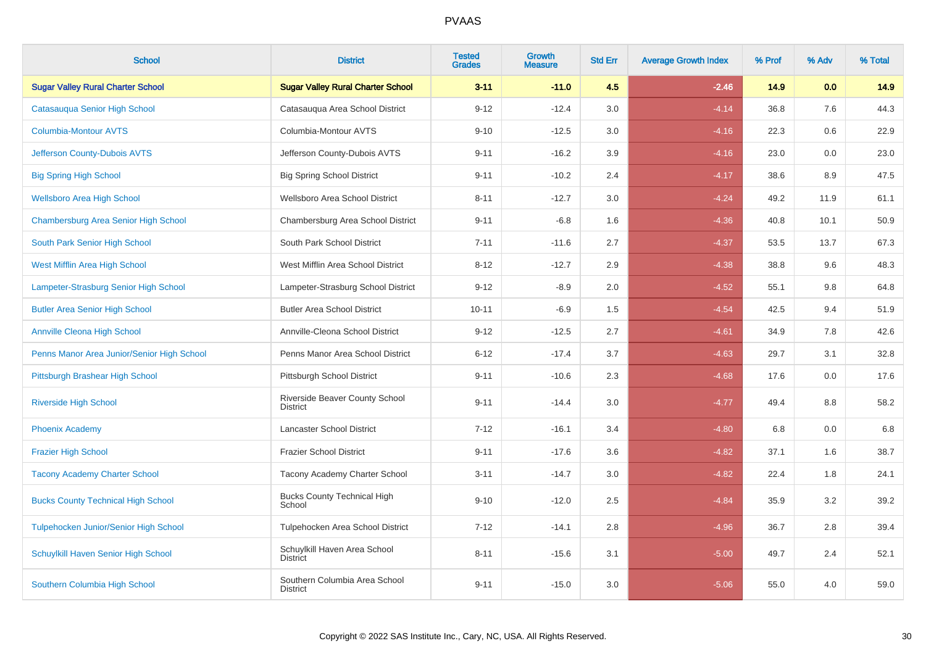| <b>School</b>                                | <b>District</b>                                  | <b>Tested</b><br><b>Grades</b> | Growth<br><b>Measure</b> | <b>Std Err</b> | <b>Average Growth Index</b> | % Prof | % Adv | % Total |
|----------------------------------------------|--------------------------------------------------|--------------------------------|--------------------------|----------------|-----------------------------|--------|-------|---------|
| <b>Sugar Valley Rural Charter School</b>     | <b>Sugar Valley Rural Charter School</b>         | $3 - 11$                       | $-11.0$                  | 4.5            | $-2.46$                     | 14.9   | 0.0   | 14.9    |
| Catasauqua Senior High School                | Catasauqua Area School District                  | $9 - 12$                       | $-12.4$                  | 3.0            | $-4.14$                     | 36.8   | 7.6   | 44.3    |
| <b>Columbia-Montour AVTS</b>                 | Columbia-Montour AVTS                            | $9 - 10$                       | $-12.5$                  | 3.0            | $-4.16$                     | 22.3   | 0.6   | 22.9    |
| Jefferson County-Dubois AVTS                 | Jefferson County-Dubois AVTS                     | $9 - 11$                       | $-16.2$                  | 3.9            | $-4.16$                     | 23.0   | 0.0   | 23.0    |
| <b>Big Spring High School</b>                | <b>Big Spring School District</b>                | $9 - 11$                       | $-10.2$                  | 2.4            | $-4.17$                     | 38.6   | 8.9   | 47.5    |
| <b>Wellsboro Area High School</b>            | Wellsboro Area School District                   | $8 - 11$                       | $-12.7$                  | 3.0            | $-4.24$                     | 49.2   | 11.9  | 61.1    |
| Chambersburg Area Senior High School         | Chambersburg Area School District                | $9 - 11$                       | $-6.8$                   | 1.6            | $-4.36$                     | 40.8   | 10.1  | 50.9    |
| South Park Senior High School                | South Park School District                       | $7 - 11$                       | $-11.6$                  | 2.7            | $-4.37$                     | 53.5   | 13.7  | 67.3    |
| West Mifflin Area High School                | West Mifflin Area School District                | $8 - 12$                       | $-12.7$                  | 2.9            | $-4.38$                     | 38.8   | 9.6   | 48.3    |
| Lampeter-Strasburg Senior High School        | Lampeter-Strasburg School District               | $9 - 12$                       | $-8.9$                   | 2.0            | $-4.52$                     | 55.1   | 9.8   | 64.8    |
| <b>Butler Area Senior High School</b>        | <b>Butler Area School District</b>               | $10 - 11$                      | $-6.9$                   | 1.5            | $-4.54$                     | 42.5   | 9.4   | 51.9    |
| <b>Annville Cleona High School</b>           | Annville-Cleona School District                  | $9 - 12$                       | $-12.5$                  | 2.7            | $-4.61$                     | 34.9   | 7.8   | 42.6    |
| Penns Manor Area Junior/Senior High School   | Penns Manor Area School District                 | $6 - 12$                       | $-17.4$                  | 3.7            | $-4.63$                     | 29.7   | 3.1   | 32.8    |
| Pittsburgh Brashear High School              | Pittsburgh School District                       | $9 - 11$                       | $-10.6$                  | 2.3            | $-4.68$                     | 17.6   | 0.0   | 17.6    |
| <b>Riverside High School</b>                 | Riverside Beaver County School<br>District       | $9 - 11$                       | $-14.4$                  | $3.0\,$        | $-4.77$                     | 49.4   | 8.8   | 58.2    |
| <b>Phoenix Academy</b>                       | Lancaster School District                        | $7 - 12$                       | $-16.1$                  | 3.4            | $-4.80$                     | 6.8    | 0.0   | 6.8     |
| <b>Frazier High School</b>                   | <b>Frazier School District</b>                   | $9 - 11$                       | $-17.6$                  | 3.6            | $-4.82$                     | 37.1   | 1.6   | 38.7    |
| <b>Tacony Academy Charter School</b>         | Tacony Academy Charter School                    | $3 - 11$                       | $-14.7$                  | 3.0            | $-4.82$                     | 22.4   | 1.8   | 24.1    |
| <b>Bucks County Technical High School</b>    | <b>Bucks County Technical High</b><br>School     | $9 - 10$                       | $-12.0$                  | 2.5            | $-4.84$                     | 35.9   | 3.2   | 39.2    |
| <b>Tulpehocken Junior/Senior High School</b> | Tulpehocken Area School District                 | $7 - 12$                       | $-14.1$                  | 2.8            | $-4.96$                     | 36.7   | 2.8   | 39.4    |
| Schuylkill Haven Senior High School          | Schuylkill Haven Area School<br><b>District</b>  | $8 - 11$                       | $-15.6$                  | 3.1            | $-5.00$                     | 49.7   | 2.4   | 52.1    |
| Southern Columbia High School                | Southern Columbia Area School<br><b>District</b> | $9 - 11$                       | $-15.0$                  | 3.0            | $-5.06$                     | 55.0   | 4.0   | 59.0    |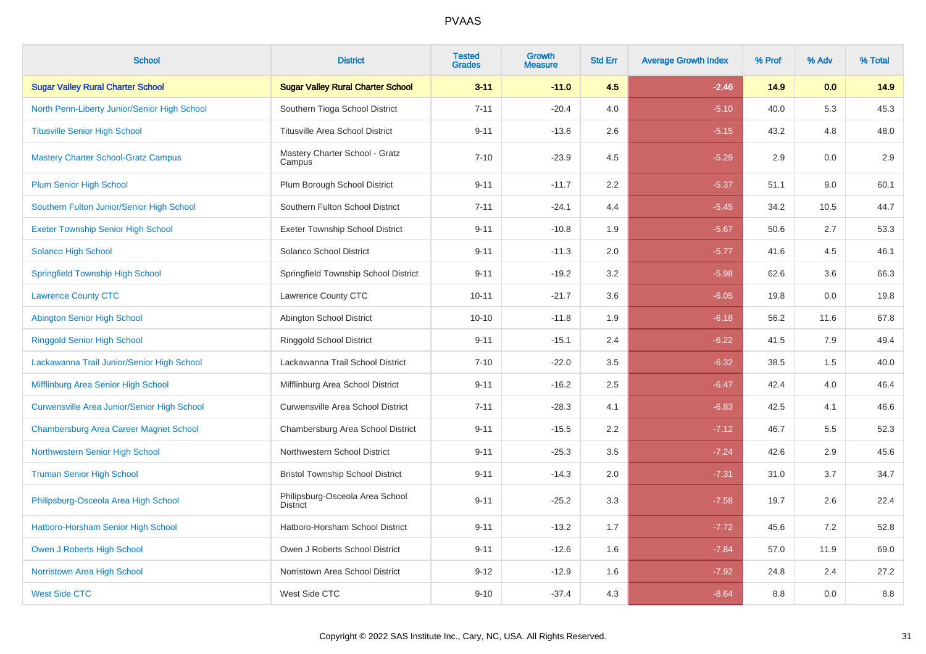| <b>School</b>                                      | <b>District</b>                                    | <b>Tested</b><br><b>Grades</b> | Growth<br><b>Measure</b> | <b>Std Err</b> | <b>Average Growth Index</b> | % Prof | % Adv | % Total |
|----------------------------------------------------|----------------------------------------------------|--------------------------------|--------------------------|----------------|-----------------------------|--------|-------|---------|
| <b>Sugar Valley Rural Charter School</b>           | <b>Sugar Valley Rural Charter School</b>           | $3 - 11$                       | $-11.0$                  | 4.5            | $-2.46$                     | 14.9   | 0.0   | 14.9    |
| North Penn-Liberty Junior/Senior High School       | Southern Tioga School District                     | $7 - 11$                       | $-20.4$                  | 4.0            | $-5.10$                     | 40.0   | 5.3   | 45.3    |
| <b>Titusville Senior High School</b>               | <b>Titusville Area School District</b>             | $9 - 11$                       | $-13.6$                  | 2.6            | $-5.15$                     | 43.2   | 4.8   | 48.0    |
| <b>Mastery Charter School-Gratz Campus</b>         | Mastery Charter School - Gratz<br>Campus           | $7 - 10$                       | $-23.9$                  | 4.5            | $-5.29$                     | 2.9    | 0.0   | 2.9     |
| <b>Plum Senior High School</b>                     | Plum Borough School District                       | $9 - 11$                       | $-11.7$                  | 2.2            | $-5.37$                     | 51.1   | 9.0   | 60.1    |
| Southern Fulton Junior/Senior High School          | Southern Fulton School District                    | $7 - 11$                       | $-24.1$                  | 4.4            | $-5.45$                     | 34.2   | 10.5  | 44.7    |
| <b>Exeter Township Senior High School</b>          | <b>Exeter Township School District</b>             | $9 - 11$                       | $-10.8$                  | 1.9            | $-5.67$                     | 50.6   | 2.7   | 53.3    |
| Solanco High School                                | Solanco School District                            | $9 - 11$                       | $-11.3$                  | 2.0            | $-5.77$                     | 41.6   | 4.5   | 46.1    |
| <b>Springfield Township High School</b>            | Springfield Township School District               | $9 - 11$                       | $-19.2$                  | 3.2            | $-5.98$                     | 62.6   | 3.6   | 66.3    |
| <b>Lawrence County CTC</b>                         | Lawrence County CTC                                | $10 - 11$                      | $-21.7$                  | 3.6            | $-6.05$                     | 19.8   | 0.0   | 19.8    |
| Abington Senior High School                        | Abington School District                           | $10 - 10$                      | $-11.8$                  | 1.9            | $-6.18$                     | 56.2   | 11.6  | 67.8    |
| <b>Ringgold Senior High School</b>                 | <b>Ringgold School District</b>                    | $9 - 11$                       | $-15.1$                  | 2.4            | $-6.22$                     | 41.5   | 7.9   | 49.4    |
| Lackawanna Trail Junior/Senior High School         | Lackawanna Trail School District                   | $7 - 10$                       | $-22.0$                  | 3.5            | $-6.32$                     | 38.5   | 1.5   | 40.0    |
| Mifflinburg Area Senior High School                | Mifflinburg Area School District                   | $9 - 11$                       | $-16.2$                  | 2.5            | $-6.47$                     | 42.4   | 4.0   | 46.4    |
| <b>Curwensville Area Junior/Senior High School</b> | <b>Curwensville Area School District</b>           | $7 - 11$                       | $-28.3$                  | 4.1            | $-6.83$                     | 42.5   | 4.1   | 46.6    |
| <b>Chambersburg Area Career Magnet School</b>      | Chambersburg Area School District                  | $9 - 11$                       | $-15.5$                  | 2.2            | $-7.12$                     | 46.7   | 5.5   | 52.3    |
| Northwestern Senior High School                    | Northwestern School District                       | $9 - 11$                       | $-25.3$                  | 3.5            | $-7.24$                     | 42.6   | 2.9   | 45.6    |
| <b>Truman Senior High School</b>                   | <b>Bristol Township School District</b>            | $9 - 11$                       | $-14.3$                  | 2.0            | $-7.31$                     | 31.0   | 3.7   | 34.7    |
| Philipsburg-Osceola Area High School               | Philipsburg-Osceola Area School<br><b>District</b> | $9 - 11$                       | $-25.2$                  | 3.3            | $-7.58$                     | 19.7   | 2.6   | 22.4    |
| Hatboro-Horsham Senior High School                 | Hatboro-Horsham School District                    | $9 - 11$                       | $-13.2$                  | 1.7            | $-7.72$                     | 45.6   | 7.2   | 52.8    |
| Owen J Roberts High School                         | Owen J Roberts School District                     | $9 - 11$                       | $-12.6$                  | 1.6            | $-7.84$                     | 57.0   | 11.9  | 69.0    |
| Norristown Area High School                        | Norristown Area School District                    | $9 - 12$                       | $-12.9$                  | 1.6            | $-7.92$                     | 24.8   | 2.4   | 27.2    |
| <b>West Side CTC</b>                               | West Side CTC                                      | $9 - 10$                       | $-37.4$                  | 4.3            | $-8.64$                     | 8.8    | 0.0   | $8.8\,$ |